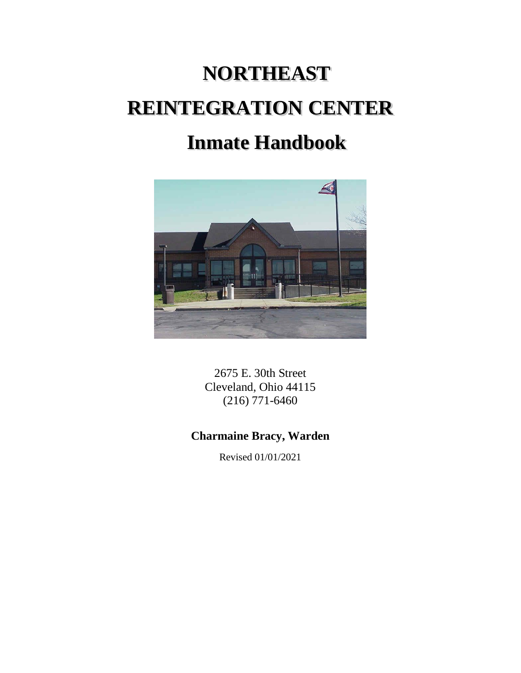# **NORTHEAST REINTEGRATION CENTER Inmate Handbook**



2675 E. 30th Street Cleveland, Ohio 44115 (216) 771-6460

# **Charmaine Bracy, Warden**

Revised 01/01/2021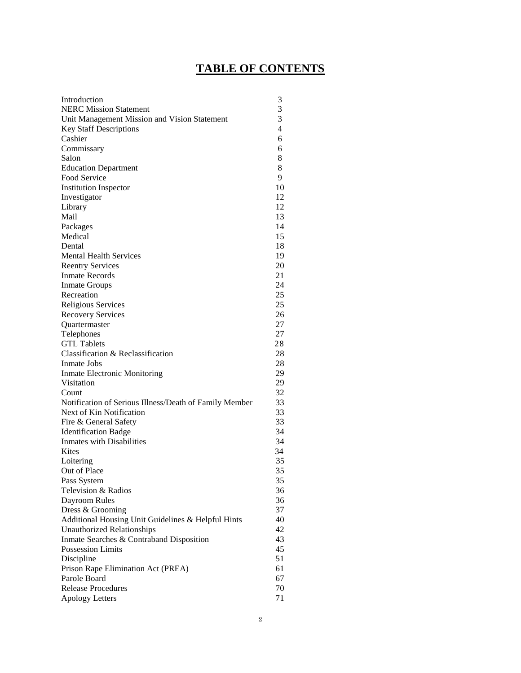# **TABLE OF CONTENTS**

| Introduction                                           | 3              |
|--------------------------------------------------------|----------------|
| <b>NERC Mission Statement</b>                          | 3              |
| Unit Management Mission and Vision Statement           | 3              |
| <b>Key Staff Descriptions</b>                          | $\overline{4}$ |
| Cashier                                                | 6              |
| Commissary                                             | 6              |
| Salon                                                  | 8              |
| <b>Education Department</b>                            | 8              |
| Food Service                                           | 9              |
| <b>Institution Inspector</b>                           | 10             |
| Investigator                                           | 12             |
| Library                                                | 12             |
| Mail                                                   | 13             |
| Packages                                               | 14             |
| Medical                                                | 15             |
| Dental                                                 | 18             |
| <b>Mental Health Services</b>                          | 19             |
| <b>Reentry Services</b>                                | 20             |
| <b>Inmate Records</b>                                  | 21             |
| <b>Inmate Groups</b>                                   | 24             |
| Recreation                                             | 25             |
| Religious Services                                     | 25             |
| <b>Recovery Services</b>                               | 26             |
| Quartermaster                                          | 27             |
| Telephones                                             | 27             |
| <b>GTL Tablets</b>                                     | 28             |
| Classification & Reclassification                      | 28             |
| Inmate Jobs                                            | 28             |
| Inmate Electronic Monitoring                           | 29             |
| Visitation                                             | 29             |
| Count                                                  | 32             |
| Notification of Serious Illness/Death of Family Member | 33             |
| Next of Kin Notification                               | 33             |
| Fire & General Safety                                  | 33             |
| <b>Identification Badge</b>                            | 34             |
| <b>Inmates with Disabilities</b>                       | 34             |
| Kites                                                  | 34             |
| Loitering                                              | 35             |
| Out of Place                                           | 35             |
| Pass System                                            | 35             |
| Television & Radios                                    |                |
|                                                        | 36<br>36       |
| Dayroom Rules                                          | 37             |
| Dress & Grooming                                       |                |
| Additional Housing Unit Guidelines & Helpful Hints     | 40             |
| <b>Unauthorized Relationships</b>                      | 42             |
| Inmate Searches & Contraband Disposition               | 43             |
| <b>Possession Limits</b>                               | 45             |
| Discipline                                             | 51             |
| Prison Rape Elimination Act (PREA)                     | 61             |
| Parole Board                                           | 67             |
| <b>Release Procedures</b>                              | 70             |
| <b>Apology Letters</b>                                 | 71             |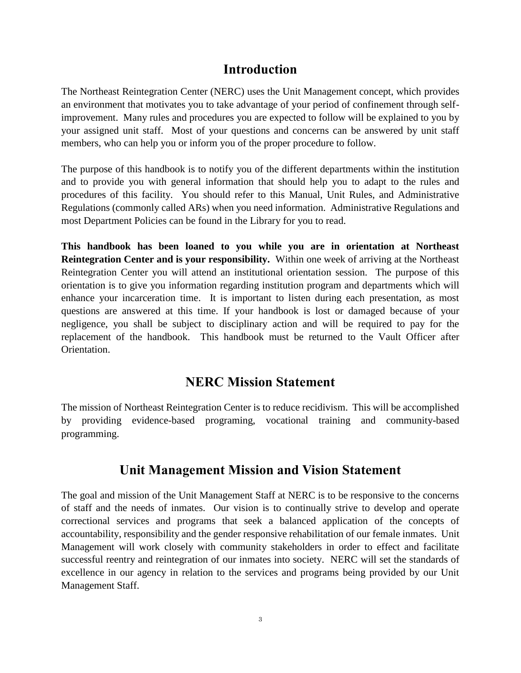# **Introduction**

The Northeast Reintegration Center (NERC) uses the Unit Management concept, which provides an environment that motivates you to take advantage of your period of confinement through selfimprovement. Many rules and procedures you are expected to follow will be explained to you by your assigned unit staff. Most of your questions and concerns can be answered by unit staff members, who can help you or inform you of the proper procedure to follow.

The purpose of this handbook is to notify you of the different departments within the institution and to provide you with general information that should help you to adapt to the rules and procedures of this facility. You should refer to this Manual, Unit Rules, and Administrative Regulations (commonly called ARs) when you need information. Administrative Regulations and most Department Policies can be found in the Library for you to read.

**This handbook has been loaned to you while you are in orientation at Northeast Reintegration Center and is your responsibility.** Within one week of arriving at the Northeast Reintegration Center you will attend an institutional orientation session. The purpose of this orientation is to give you information regarding institution program and departments which will enhance your incarceration time. It is important to listen during each presentation, as most questions are answered at this time. If your handbook is lost or damaged because of your negligence, you shall be subject to disciplinary action and will be required to pay for the replacement of the handbook. This handbook must be returned to the Vault Officer after Orientation.

# **NERC Mission Statement**

The mission of Northeast Reintegration Center is to reduce recidivism. This will be accomplished by providing evidence-based programing, vocational training and community-based programming.

# **Unit Management Mission and Vision Statement**

The goal and mission of the Unit Management Staff at NERC is to be responsive to the concerns of staff and the needs of inmates. Our vision is to continually strive to develop and operate correctional services and programs that seek a balanced application of the concepts of accountability, responsibility and the gender responsive rehabilitation of our female inmates. Unit Management will work closely with community stakeholders in order to effect and facilitate successful reentry and reintegration of our inmates into society. NERC will set the standards of excellence in our agency in relation to the services and programs being provided by our Unit Management Staff.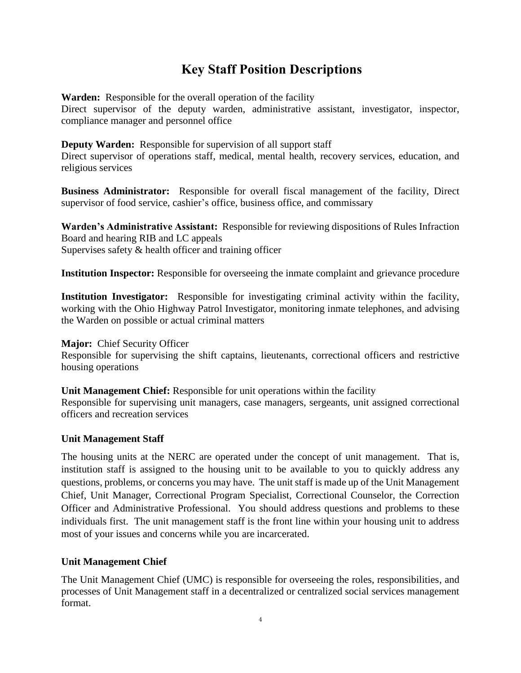# **Key Staff Position Descriptions**

**Warden:** Responsible for the overall operation of the facility

Direct supervisor of the deputy warden, administrative assistant, investigator, inspector, compliance manager and personnel office

**Deputy Warden:** Responsible for supervision of all support staff

Direct supervisor of operations staff, medical, mental health, recovery services, education, and religious services

**Business Administrator:** Responsible for overall fiscal management of the facility, Direct supervisor of food service, cashier's office, business office, and commissary

**Warden's Administrative Assistant:** Responsible for reviewing dispositions of Rules Infraction Board and hearing RIB and LC appeals Supervises safety & health officer and training officer

**Institution Inspector:** Responsible for overseeing the inmate complaint and grievance procedure

**Institution Investigator:** Responsible for investigating criminal activity within the facility, working with the Ohio Highway Patrol Investigator, monitoring inmate telephones, and advising the Warden on possible or actual criminal matters

**Major:** Chief Security Officer

Responsible for supervising the shift captains, lieutenants, correctional officers and restrictive housing operations

**Unit Management Chief:** Responsible for unit operations within the facility

Responsible for supervising unit managers, case managers, sergeants, unit assigned correctional officers and recreation services

#### **Unit Management Staff**

The housing units at the NERC are operated under the concept of unit management. That is, institution staff is assigned to the housing unit to be available to you to quickly address any questions, problems, or concerns you may have. The unit staff is made up of the Unit Management Chief, Unit Manager, Correctional Program Specialist, Correctional Counselor, the Correction Officer and Administrative Professional. You should address questions and problems to these individuals first. The unit management staff is the front line within your housing unit to address most of your issues and concerns while you are incarcerated.

#### **Unit Management Chief**

The Unit Management Chief (UMC) is responsible for overseeing the roles, responsibilities, and processes of Unit Management staff in a decentralized or centralized social services management format.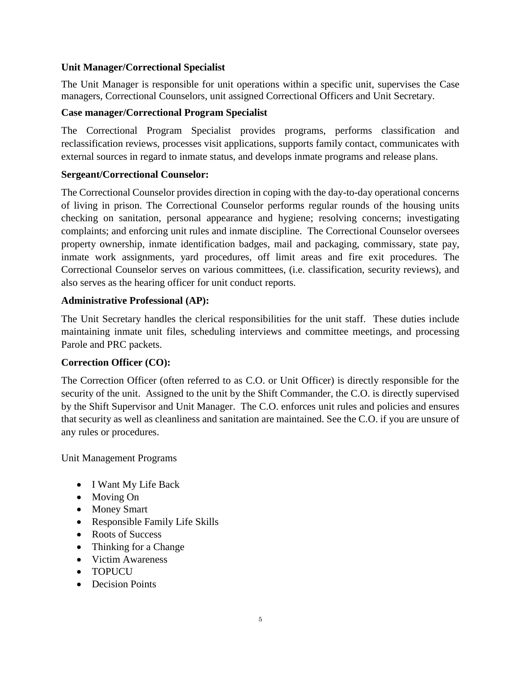#### **Unit Manager/Correctional Specialist**

The Unit Manager is responsible for unit operations within a specific unit, supervises the Case managers, Correctional Counselors, unit assigned Correctional Officers and Unit Secretary.

#### **Case manager/Correctional Program Specialist**

The Correctional Program Specialist provides programs, performs classification and reclassification reviews, processes visit applications, supports family contact, communicates with external sources in regard to inmate status, and develops inmate programs and release plans.

#### **Sergeant/Correctional Counselor:**

The Correctional Counselor provides direction in coping with the day-to-day operational concerns of living in prison. The Correctional Counselor performs regular rounds of the housing units checking on sanitation, personal appearance and hygiene; resolving concerns; investigating complaints; and enforcing unit rules and inmate discipline. The Correctional Counselor oversees property ownership, inmate identification badges, mail and packaging, commissary, state pay, inmate work assignments, yard procedures, off limit areas and fire exit procedures. The Correctional Counselor serves on various committees, (i.e. classification, security reviews), and also serves as the hearing officer for unit conduct reports.

#### **Administrative Professional (AP):**

The Unit Secretary handles the clerical responsibilities for the unit staff. These duties include maintaining inmate unit files, scheduling interviews and committee meetings, and processing Parole and PRC packets.

#### **Correction Officer (CO):**

The Correction Officer (often referred to as C.O. or Unit Officer) is directly responsible for the security of the unit. Assigned to the unit by the Shift Commander, the C.O. is directly supervised by the Shift Supervisor and Unit Manager. The C.O. enforces unit rules and policies and ensures that security as well as cleanliness and sanitation are maintained. See the C.O. if you are unsure of any rules or procedures.

Unit Management Programs

- I Want My Life Back
- Moving On
- Money Smart
- Responsible Family Life Skills
- Roots of Success
- Thinking for a Change
- Victim Awareness
- TOPUCU
- Decision Points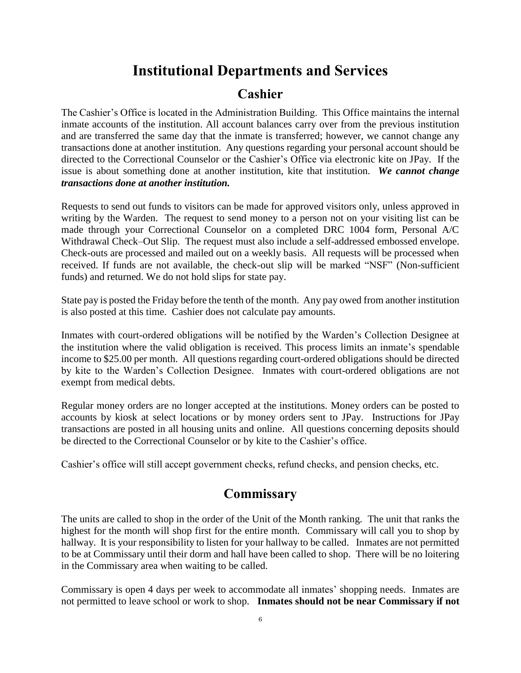# **Institutional Departments and Services**

### **Cashier**

The Cashier's Office is located in the Administration Building. This Office maintains the internal inmate accounts of the institution. All account balances carry over from the previous institution and are transferred the same day that the inmate is transferred; however, we cannot change any transactions done at another institution. Any questions regarding your personal account should be directed to the Correctional Counselor or the Cashier's Office via electronic kite on JPay. If the issue is about something done at another institution, kite that institution. *We cannot change transactions done at another institution.*

Requests to send out funds to visitors can be made for approved visitors only, unless approved in writing by the Warden. The request to send money to a person not on your visiting list can be made through your Correctional Counselor on a completed DRC 1004 form, Personal A/C Withdrawal Check–Out Slip. The request must also include a self-addressed embossed envelope. Check-outs are processed and mailed out on a weekly basis. All requests will be processed when received. If funds are not available, the check-out slip will be marked "NSF" (Non-sufficient funds) and returned. We do not hold slips for state pay.

State pay is posted the Friday before the tenth of the month. Any pay owed from another institution is also posted at this time. Cashier does not calculate pay amounts.

Inmates with court-ordered obligations will be notified by the Warden's Collection Designee at the institution where the valid obligation is received. This process limits an inmate's spendable income to \$25.00 per month. All questions regarding court-ordered obligations should be directed by kite to the Warden's Collection Designee. Inmates with court-ordered obligations are not exempt from medical debts.

Regular money orders are no longer accepted at the institutions. Money orders can be posted to accounts by kiosk at select locations or by money orders sent to JPay. Instructions for JPay transactions are posted in all housing units and online. All questions concerning deposits should be directed to the Correctional Counselor or by kite to the Cashier's office.

Cashier's office will still accept government checks, refund checks, and pension checks, etc.

# **Commissary**

The units are called to shop in the order of the Unit of the Month ranking. The unit that ranks the highest for the month will shop first for the entire month. Commissary will call you to shop by hallway. It is your responsibility to listen for your hallway to be called. Inmates are not permitted to be at Commissary until their dorm and hall have been called to shop. There will be no loitering in the Commissary area when waiting to be called.

Commissary is open 4 days per week to accommodate all inmates' shopping needs. Inmates are not permitted to leave school or work to shop. **Inmates should not be near Commissary if not**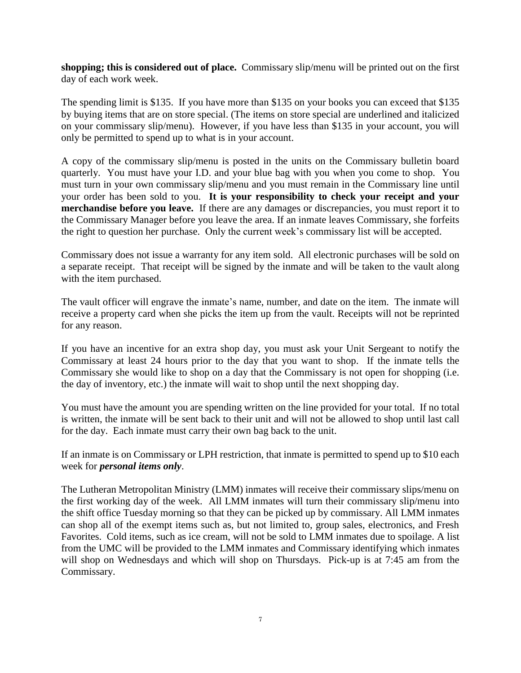**shopping; this is considered out of place.** Commissary slip/menu will be printed out on the first day of each work week.

The spending limit is \$135. If you have more than \$135 on your books you can exceed that \$135 by buying items that are on store special. (The items on store special are underlined and italicized on your commissary slip/menu). However, if you have less than \$135 in your account, you will only be permitted to spend up to what is in your account.

A copy of the commissary slip/menu is posted in the units on the Commissary bulletin board quarterly. You must have your I.D. and your blue bag with you when you come to shop. You must turn in your own commissary slip/menu and you must remain in the Commissary line until your order has been sold to you. **It is your responsibility to check your receipt and your merchandise before you leave.** If there are any damages or discrepancies, you must report it to the Commissary Manager before you leave the area. If an inmate leaves Commissary, she forfeits the right to question her purchase. Only the current week's commissary list will be accepted.

Commissary does not issue a warranty for any item sold. All electronic purchases will be sold on a separate receipt. That receipt will be signed by the inmate and will be taken to the vault along with the item purchased.

The vault officer will engrave the inmate's name, number, and date on the item. The inmate will receive a property card when she picks the item up from the vault. Receipts will not be reprinted for any reason.

If you have an incentive for an extra shop day, you must ask your Unit Sergeant to notify the Commissary at least 24 hours prior to the day that you want to shop. If the inmate tells the Commissary she would like to shop on a day that the Commissary is not open for shopping (i.e. the day of inventory, etc.) the inmate will wait to shop until the next shopping day.

You must have the amount you are spending written on the line provided for your total. If no total is written, the inmate will be sent back to their unit and will not be allowed to shop until last call for the day. Each inmate must carry their own bag back to the unit.

If an inmate is on Commissary or LPH restriction, that inmate is permitted to spend up to \$10 each week for *personal items only*.

The Lutheran Metropolitan Ministry (LMM) inmates will receive their commissary slips/menu on the first working day of the week. All LMM inmates will turn their commissary slip/menu into the shift office Tuesday morning so that they can be picked up by commissary. All LMM inmates can shop all of the exempt items such as, but not limited to, group sales, electronics, and Fresh Favorites. Cold items, such as ice cream, will not be sold to LMM inmates due to spoilage. A list from the UMC will be provided to the LMM inmates and Commissary identifying which inmates will shop on Wednesdays and which will shop on Thursdays. Pick-up is at 7:45 am from the Commissary.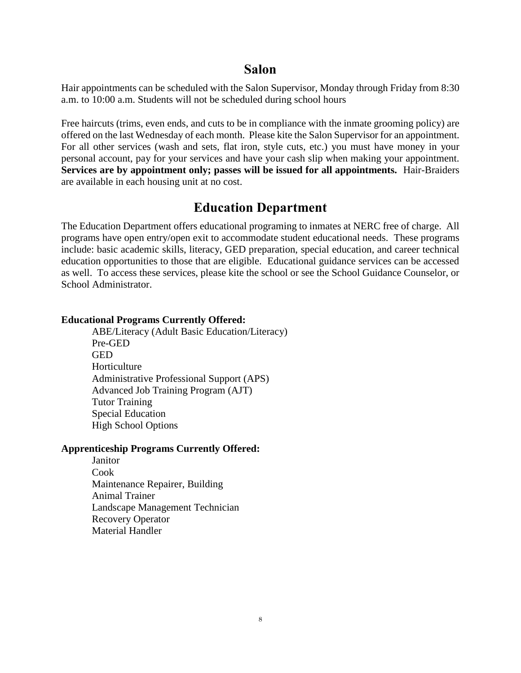### **Salon**

Hair appointments can be scheduled with the Salon Supervisor, Monday through Friday from 8:30 a.m. to 10:00 a.m. Students will not be scheduled during school hours

Free haircuts (trims, even ends, and cuts to be in compliance with the inmate grooming policy) are offered on the last Wednesday of each month. Please kite the Salon Supervisor for an appointment. For all other services (wash and sets, flat iron, style cuts, etc.) you must have money in your personal account, pay for your services and have your cash slip when making your appointment. **Services are by appointment only; passes will be issued for all appointments.** Hair-Braiders are available in each housing unit at no cost.

# **Education Department**

The Education Department offers educational programing to inmates at NERC free of charge. All programs have open entry/open exit to accommodate student educational needs. These programs include: basic academic skills, literacy, GED preparation, special education, and career technical education opportunities to those that are eligible. Educational guidance services can be accessed as well. To access these services, please kite the school or see the School Guidance Counselor, or School Administrator.

#### **Educational Programs Currently Offered:**

ABE/Literacy (Adult Basic Education/Literacy) Pre-GED GED Horticulture Administrative Professional Support (APS) Advanced Job Training Program (AJT) Tutor Training Special Education High School Options

#### **Apprenticeship Programs Currently Offered:**

Janitor Cook Maintenance Repairer, Building Animal Trainer Landscape Management Technician Recovery Operator Material Handler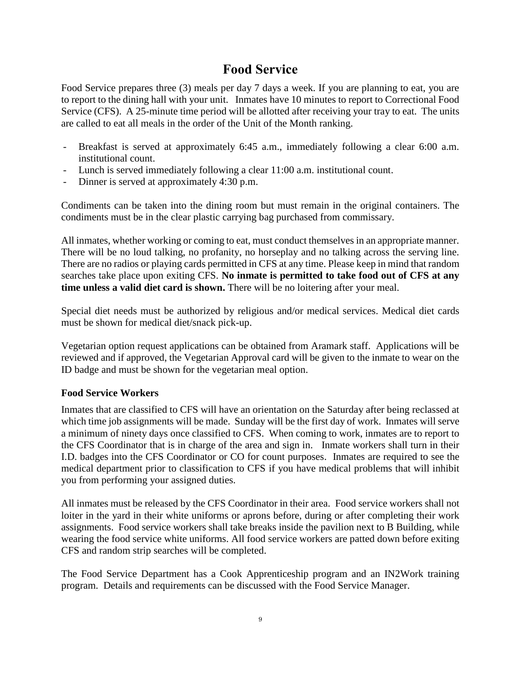# **Food Service**

Food Service prepares three (3) meals per day 7 days a week. If you are planning to eat, you are to report to the dining hall with your unit. Inmates have 10 minutes to report to Correctional Food Service (CFS). A 25-minute time period will be allotted after receiving your tray to eat. The units are called to eat all meals in the order of the Unit of the Month ranking.

- Breakfast is served at approximately 6:45 a.m., immediately following a clear 6:00 a.m. institutional count.
- Lunch is served immediately following a clear 11:00 a.m. institutional count.
- Dinner is served at approximately 4:30 p.m.

Condiments can be taken into the dining room but must remain in the original containers. The condiments must be in the clear plastic carrying bag purchased from commissary.

All inmates, whether working or coming to eat, must conduct themselves in an appropriate manner. There will be no loud talking, no profanity, no horseplay and no talking across the serving line. There are no radios or playing cards permitted in CFS at any time. Please keep in mind that random searches take place upon exiting CFS. **No inmate is permitted to take food out of CFS at any time unless a valid diet card is shown.** There will be no loitering after your meal.

Special diet needs must be authorized by religious and/or medical services. Medical diet cards must be shown for medical diet/snack pick-up.

Vegetarian option request applications can be obtained from Aramark staff. Applications will be reviewed and if approved, the Vegetarian Approval card will be given to the inmate to wear on the ID badge and must be shown for the vegetarian meal option.

#### **Food Service Workers**

Inmates that are classified to CFS will have an orientation on the Saturday after being reclassed at which time job assignments will be made. Sunday will be the first day of work. Inmates will serve a minimum of ninety days once classified to CFS. When coming to work, inmates are to report to the CFS Coordinator that is in charge of the area and sign in. Inmate workers shall turn in their I.D. badges into the CFS Coordinator or CO for count purposes. Inmates are required to see the medical department prior to classification to CFS if you have medical problems that will inhibit you from performing your assigned duties.

All inmates must be released by the CFS Coordinator in their area. Food service workers shall not loiter in the yard in their white uniforms or aprons before, during or after completing their work assignments. Food service workers shall take breaks inside the pavilion next to B Building, while wearing the food service white uniforms. All food service workers are patted down before exiting CFS and random strip searches will be completed.

The Food Service Department has a Cook Apprenticeship program and an IN2Work training program. Details and requirements can be discussed with the Food Service Manager.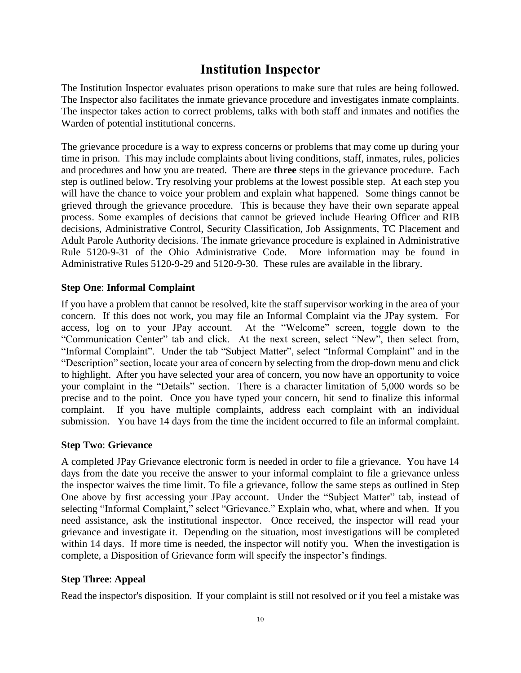# **Institution Inspector**

The Institution Inspector evaluates prison operations to make sure that rules are being followed. The Inspector also facilitates the inmate grievance procedure and investigates inmate complaints. The inspector takes action to correct problems, talks with both staff and inmates and notifies the Warden of potential institutional concerns.

The grievance procedure is a way to express concerns or problems that may come up during your time in prison. This may include complaints about living conditions, staff, inmates, rules, policies and procedures and how you are treated. There are **three** steps in the grievance procedure. Each step is outlined below. Try resolving your problems at the lowest possible step. At each step you will have the chance to voice your problem and explain what happened. Some things cannot be grieved through the grievance procedure. This is because they have their own separate appeal process. Some examples of decisions that cannot be grieved include Hearing Officer and RIB decisions, Administrative Control, Security Classification, Job Assignments, TC Placement and Adult Parole Authority decisions. The inmate grievance procedure is explained in Administrative Rule 5120-9-31 of the Ohio Administrative Code. More information may be found in Administrative Rules 5120-9-29 and 5120-9-30. These rules are available in the library.

#### **Step One**: **Informal Complaint**

If you have a problem that cannot be resolved, kite the staff supervisor working in the area of your concern. If this does not work, you may file an Informal Complaint via the JPay system. For access, log on to your JPay account. At the "Welcome" screen, toggle down to the "Communication Center" tab and click. At the next screen, select "New", then select from, "Informal Complaint". Under the tab "Subject Matter", select "Informal Complaint" and in the "Description" section, locate your area of concern by selecting from the drop-down menu and click to highlight. After you have selected your area of concern, you now have an opportunity to voice your complaint in the "Details" section. There is a character limitation of 5,000 words so be precise and to the point. Once you have typed your concern, hit send to finalize this informal complaint. If you have multiple complaints, address each complaint with an individual submission. You have 14 days from the time the incident occurred to file an informal complaint.

#### **Step Two**: **Grievance**

A completed JPay Grievance electronic form is needed in order to file a grievance. You have 14 days from the date you receive the answer to your informal complaint to file a grievance unless the inspector waives the time limit. To file a grievance, follow the same steps as outlined in Step One above by first accessing your JPay account. Under the "Subject Matter" tab, instead of selecting "Informal Complaint," select "Grievance." Explain who, what, where and when. If you need assistance, ask the institutional inspector. Once received, the inspector will read your grievance and investigate it. Depending on the situation, most investigations will be completed within 14 days. If more time is needed, the inspector will notify you. When the investigation is complete, a Disposition of Grievance form will specify the inspector's findings.

#### **Step Three**: **Appeal**

Read the inspector's disposition. If your complaint is still not resolved or if you feel a mistake was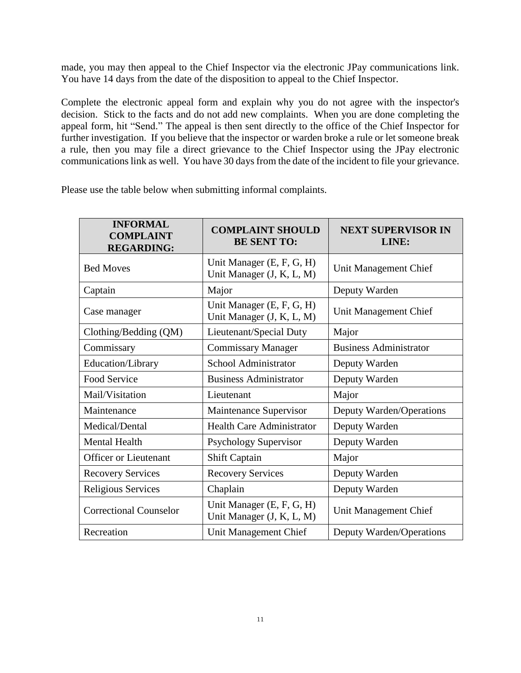made, you may then appeal to the Chief Inspector via the electronic JPay communications link. You have 14 days from the date of the disposition to appeal to the Chief Inspector.

Complete the electronic appeal form and explain why you do not agree with the inspector's decision. Stick to the facts and do not add new complaints. When you are done completing the appeal form, hit "Send." The appeal is then sent directly to the office of the Chief Inspector for further investigation. If you believe that the inspector or warden broke a rule or let someone break a rule, then you may file a direct grievance to the Chief Inspector using the JPay electronic communications link as well. You have 30 days from the date of the incident to file your grievance.

Please use the table below when submitting informal complaints.

| <b>INFORMAL</b><br><b>COMPLAINT</b><br><b>REGARDING:</b> | <b>COMPLAINT SHOULD</b><br><b>BE SENT TO:</b>          | <b>NEXT SUPERVISOR IN</b><br>LINE: |
|----------------------------------------------------------|--------------------------------------------------------|------------------------------------|
| <b>Bed Moves</b>                                         | Unit Manager (E, F, G, H)<br>Unit Manager (J, K, L, M) | Unit Management Chief              |
| Captain                                                  | Major                                                  | Deputy Warden                      |
| Case manager                                             | Unit Manager (E, F, G, H)<br>Unit Manager (J, K, L, M) | Unit Management Chief              |
| Clothing/Bedding (QM)                                    | Lieutenant/Special Duty                                | Major                              |
| Commissary                                               | <b>Commissary Manager</b>                              | <b>Business Administrator</b>      |
| Education/Library                                        | School Administrator                                   | Deputy Warden                      |
| Food Service                                             | <b>Business Administrator</b>                          | Deputy Warden                      |
| Mail/Visitation                                          | Lieutenant                                             | Major                              |
| Maintenance                                              | Maintenance Supervisor                                 | Deputy Warden/Operations           |
| Medical/Dental                                           | <b>Health Care Administrator</b>                       | Deputy Warden                      |
| <b>Mental Health</b>                                     | Psychology Supervisor                                  | Deputy Warden                      |
| <b>Officer or Lieutenant</b>                             | <b>Shift Captain</b>                                   | Major                              |
| <b>Recovery Services</b>                                 | <b>Recovery Services</b>                               | Deputy Warden                      |
| Religious Services                                       | Chaplain                                               | Deputy Warden                      |
| <b>Correctional Counselor</b>                            | Unit Manager (E, F, G, H)<br>Unit Manager (J, K, L, M) | Unit Management Chief              |
| Recreation                                               | Unit Management Chief                                  | Deputy Warden/Operations           |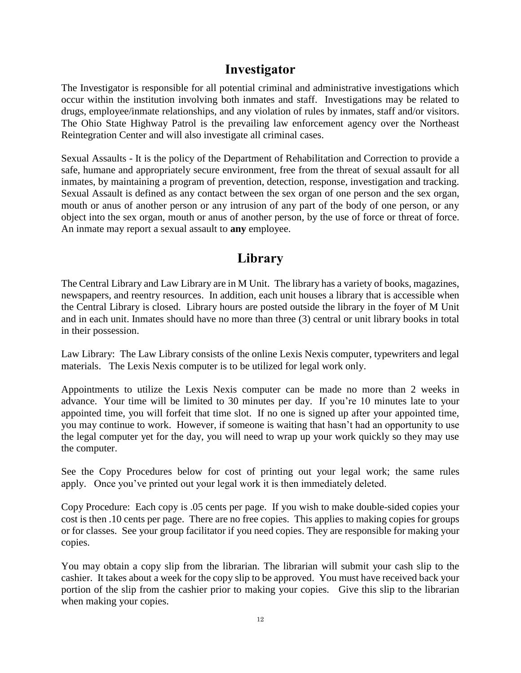# **Investigator**

The Investigator is responsible for all potential criminal and administrative investigations which occur within the institution involving both inmates and staff. Investigations may be related to drugs, employee/inmate relationships, and any violation of rules by inmates, staff and/or visitors. The Ohio State Highway Patrol is the prevailing law enforcement agency over the Northeast Reintegration Center and will also investigate all criminal cases.

Sexual Assaults - It is the policy of the Department of Rehabilitation and Correction to provide a safe, humane and appropriately secure environment, free from the threat of sexual assault for all inmates, by maintaining a program of prevention, detection, response, investigation and tracking. Sexual Assault is defined as any contact between the sex organ of one person and the sex organ, mouth or anus of another person or any intrusion of any part of the body of one person, or any object into the sex organ, mouth or anus of another person, by the use of force or threat of force. An inmate may report a sexual assault to **any** employee.

# **Library**

The Central Library and Law Library are in M Unit. The library has a variety of books, magazines, newspapers, and reentry resources. In addition, each unit houses a library that is accessible when the Central Library is closed. Library hours are posted outside the library in the foyer of M Unit and in each unit. Inmates should have no more than three (3) central or unit library books in total in their possession.

Law Library: The Law Library consists of the online Lexis Nexis computer, typewriters and legal materials. The Lexis Nexis computer is to be utilized for legal work only.

Appointments to utilize the Lexis Nexis computer can be made no more than 2 weeks in advance. Your time will be limited to 30 minutes per day. If you're 10 minutes late to your appointed time, you will forfeit that time slot. If no one is signed up after your appointed time, you may continue to work. However, if someone is waiting that hasn't had an opportunity to use the legal computer yet for the day, you will need to wrap up your work quickly so they may use the computer.

See the Copy Procedures below for cost of printing out your legal work; the same rules apply. Once you've printed out your legal work it is then immediately deleted.

Copy Procedure: Each copy is .05 cents per page. If you wish to make double-sided copies your cost is then .10 cents per page. There are no free copies. This applies to making copies for groups or for classes. See your group facilitator if you need copies. They are responsible for making your copies.

You may obtain a copy slip from the librarian. The librarian will submit your cash slip to the cashier. It takes about a week for the copy slip to be approved. You must have received back your portion of the slip from the cashier prior to making your copies. Give this slip to the librarian when making your copies.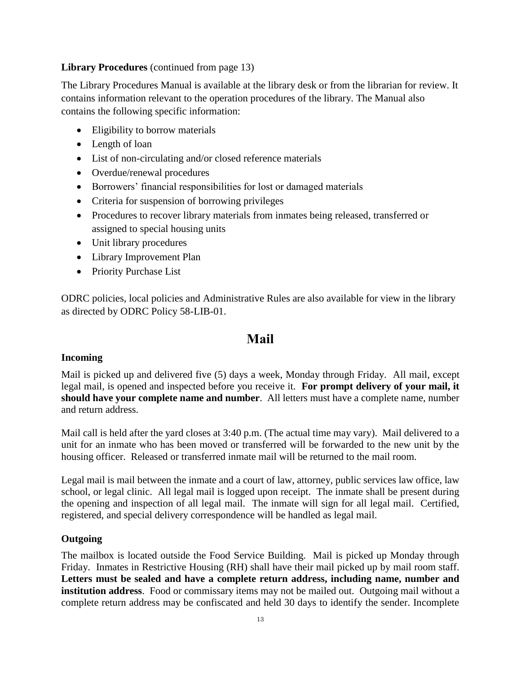#### **Library Procedures** (continued from page 13)

The Library Procedures Manual is available at the library desk or from the librarian for review. It contains information relevant to the operation procedures of the library. The Manual also contains the following specific information:

- Eligibility to borrow materials
- Length of loan
- List of non-circulating and/or closed reference materials
- Overdue/renewal procedures
- Borrowers' financial responsibilities for lost or damaged materials
- Criteria for suspension of borrowing privileges
- Procedures to recover library materials from inmates being released, transferred or assigned to special housing units
- Unit library procedures
- Library Improvement Plan
- Priority Purchase List

ODRC policies, local policies and Administrative Rules are also available for view in the library as directed by ODRC Policy 58-LIB-01.

### **Mail**

#### **Incoming**

Mail is picked up and delivered five (5) days a week, Monday through Friday. All mail, except legal mail, is opened and inspected before you receive it. **For prompt delivery of your mail, it should have your complete name and number**. All letters must have a complete name, number and return address.

Mail call is held after the yard closes at 3:40 p.m. (The actual time may vary). Mail delivered to a unit for an inmate who has been moved or transferred will be forwarded to the new unit by the housing officer. Released or transferred inmate mail will be returned to the mail room.

Legal mail is mail between the inmate and a court of law, attorney, public services law office, law school, or legal clinic. All legal mail is logged upon receipt. The inmate shall be present during the opening and inspection of all legal mail. The inmate will sign for all legal mail. Certified, registered, and special delivery correspondence will be handled as legal mail.

#### **Outgoing**

The mailbox is located outside the Food Service Building. Mail is picked up Monday through Friday. Inmates in Restrictive Housing (RH) shall have their mail picked up by mail room staff. **Letters must be sealed and have a complete return address, including name, number and institution address**. Food or commissary items may not be mailed out. Outgoing mail without a complete return address may be confiscated and held 30 days to identify the sender. Incomplete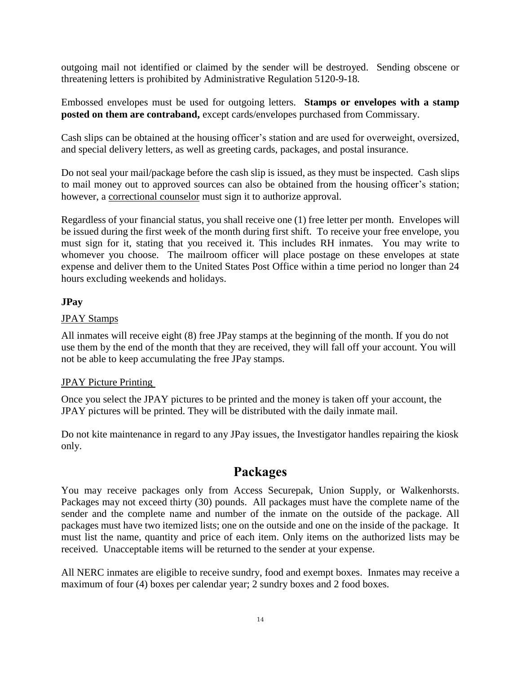outgoing mail not identified or claimed by the sender will be destroyed. Sending obscene or threatening letters is prohibited by Administrative Regulation 5120-9-18*.*

Embossed envelopes must be used for outgoing letters. **Stamps or envelopes with a stamp posted on them are contraband,** except cards/envelopes purchased from Commissary.

Cash slips can be obtained at the housing officer's station and are used for overweight, oversized, and special delivery letters, as well as greeting cards, packages, and postal insurance.

Do not seal your mail/package before the cash slip is issued, as they must be inspected. Cash slips to mail money out to approved sources can also be obtained from the housing officer's station; however, a correctional counselor must sign it to authorize approval.

Regardless of your financial status, you shall receive one (1) free letter per month. Envelopes will be issued during the first week of the month during first shift. To receive your free envelope, you must sign for it, stating that you received it. This includes RH inmates. You may write to whomever you choose. The mailroom officer will place postage on these envelopes at state expense and deliver them to the United States Post Office within a time period no longer than 24 hours excluding weekends and holidays.

#### **JPay**

#### JPAY Stamps

All inmates will receive eight (8) free JPay stamps at the beginning of the month. If you do not use them by the end of the month that they are received, they will fall off your account. You will not be able to keep accumulating the free JPay stamps.

#### JPAY Picture Printing

Once you select the JPAY pictures to be printed and the money is taken off your account, the JPAY pictures will be printed. They will be distributed with the daily inmate mail.

Do not kite maintenance in regard to any JPay issues, the Investigator handles repairing the kiosk only.

# **Packages**

You may receive packages only from Access Securepak, Union Supply, or Walkenhorsts. Packages may not exceed thirty (30) pounds. All packages must have the complete name of the sender and the complete name and number of the inmate on the outside of the package. All packages must have two itemized lists; one on the outside and one on the inside of the package. It must list the name, quantity and price of each item. Only items on the authorized lists may be received. Unacceptable items will be returned to the sender at your expense.

All NERC inmates are eligible to receive sundry, food and exempt boxes. Inmates may receive a maximum of four (4) boxes per calendar year; 2 sundry boxes and 2 food boxes.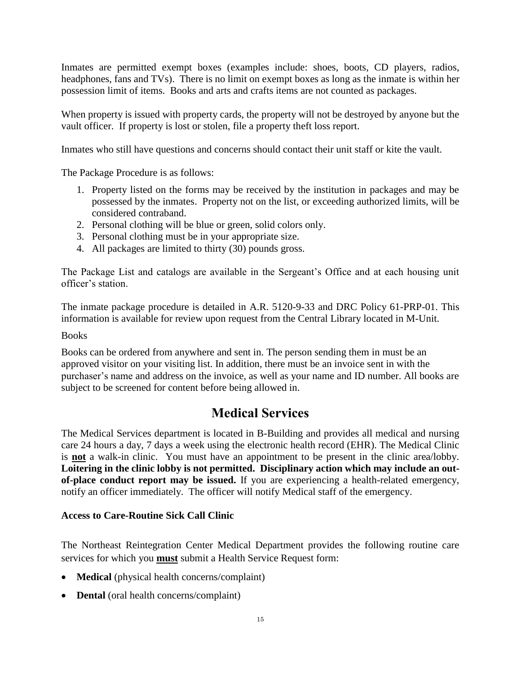Inmates are permitted exempt boxes (examples include: shoes, boots, CD players, radios, headphones, fans and TVs). There is no limit on exempt boxes as long as the inmate is within her possession limit of items. Books and arts and crafts items are not counted as packages.

When property is issued with property cards, the property will not be destroyed by anyone but the vault officer. If property is lost or stolen, file a property theft loss report.

Inmates who still have questions and concerns should contact their unit staff or kite the vault.

The Package Procedure is as follows:

- 1. Property listed on the forms may be received by the institution in packages and may be possessed by the inmates. Property not on the list, or exceeding authorized limits, will be considered contraband.
- 2. Personal clothing will be blue or green, solid colors only.
- 3. Personal clothing must be in your appropriate size.
- 4. All packages are limited to thirty (30) pounds gross.

The Package List and catalogs are available in the Sergeant's Office and at each housing unit officer's station.

The inmate package procedure is detailed in A.R. 5120-9-33 and DRC Policy 61-PRP-01. This information is available for review upon request from the Central Library located in M-Unit.

#### Books

Books can be ordered from anywhere and sent in. The person sending them in must be an approved visitor on your visiting list. In addition, there must be an invoice sent in with the purchaser's name and address on the invoice, as well as your name and ID number. All books are subject to be screened for content before being allowed in.

# **Medical Services**

The Medical Services department is located in B-Building and provides all medical and nursing care 24 hours a day, 7 days a week using the electronic health record (EHR). The Medical Clinic is **not** a walk-in clinic. You must have an appointment to be present in the clinic area/lobby. **Loitering in the clinic lobby is not permitted. Disciplinary action which may include an outof-place conduct report may be issued.** If you are experiencing a health-related emergency, notify an officer immediately. The officer will notify Medical staff of the emergency.

#### **Access to Care-Routine Sick Call Clinic**

The Northeast Reintegration Center Medical Department provides the following routine care services for which you **must** submit a Health Service Request form:

- **Medical** (physical health concerns/complaint)
- **Dental** (oral health concerns/complaint)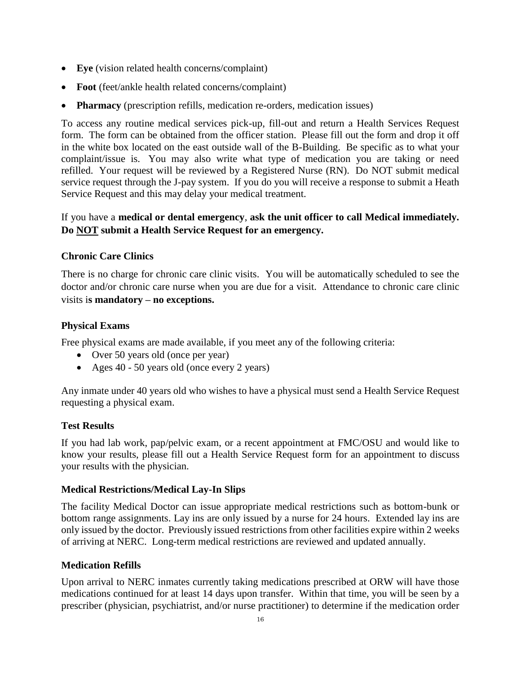- **Eye** (vision related health concerns/complaint)
- **Foot** (feet/ankle health related concerns/complaint)
- **Pharmacy** (prescription refills, medication re-orders, medication issues)

To access any routine medical services pick-up, fill-out and return a Health Services Request form. The form can be obtained from the officer station. Please fill out the form and drop it off in the white box located on the east outside wall of the B-Building. Be specific as to what your complaint/issue is. You may also write what type of medication you are taking or need refilled. Your request will be reviewed by a Registered Nurse (RN). Do NOT submit medical service request through the J-pay system. If you do you will receive a response to submit a Heath Service Request and this may delay your medical treatment.

#### If you have a **medical or dental emergency**, **ask the unit officer to call Medical immediately. Do NOT submit a Health Service Request for an emergency.**

#### **Chronic Care Clinics**

There is no charge for chronic care clinic visits. You will be automatically scheduled to see the doctor and/or chronic care nurse when you are due for a visit. Attendance to chronic care clinic visits i**s mandatory – no exceptions.**

#### **Physical Exams**

Free physical exams are made available, if you meet any of the following criteria:

- Over 50 years old (once per year)
- Ages 40 50 years old (once every 2 years)

Any inmate under 40 years old who wishes to have a physical must send a Health Service Request requesting a physical exam.

#### **Test Results**

If you had lab work, pap/pelvic exam, or a recent appointment at FMC/OSU and would like to know your results, please fill out a Health Service Request form for an appointment to discuss your results with the physician.

#### **Medical Restrictions/Medical Lay-In Slips**

The facility Medical Doctor can issue appropriate medical restrictions such as bottom-bunk or bottom range assignments. Lay ins are only issued by a nurse for 24 hours. Extended lay ins are only issued by the doctor. Previously issued restrictions from other facilities expire within 2 weeks of arriving at NERC. Long-term medical restrictions are reviewed and updated annually.

#### **Medication Refills**

Upon arrival to NERC inmates currently taking medications prescribed at ORW will have those medications continued for at least 14 days upon transfer. Within that time, you will be seen by a prescriber (physician, psychiatrist, and/or nurse practitioner) to determine if the medication order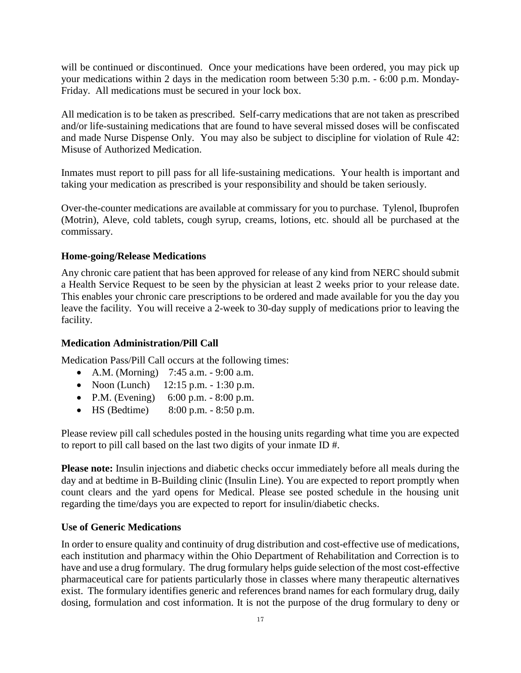will be continued or discontinued. Once your medications have been ordered, you may pick up your medications within 2 days in the medication room between 5:30 p.m. - 6:00 p.m. Monday-Friday. All medications must be secured in your lock box.

All medication is to be taken as prescribed. Self-carry medications that are not taken as prescribed and/or life-sustaining medications that are found to have several missed doses will be confiscated and made Nurse Dispense Only. You may also be subject to discipline for violation of Rule 42: Misuse of Authorized Medication.

Inmates must report to pill pass for all life-sustaining medications. Your health is important and taking your medication as prescribed is your responsibility and should be taken seriously.

Over-the-counter medications are available at commissary for you to purchase. Tylenol, Ibuprofen (Motrin), Aleve, cold tablets, cough syrup, creams, lotions, etc. should all be purchased at the commissary.

#### **Home-going/Release Medications**

Any chronic care patient that has been approved for release of any kind from NERC should submit a Health Service Request to be seen by the physician at least 2 weeks prior to your release date. This enables your chronic care prescriptions to be ordered and made available for you the day you leave the facility. You will receive a 2-week to 30-day supply of medications prior to leaving the facility.

#### **Medication Administration/Pill Call**

Medication Pass/Pill Call occurs at the following times:

- A.M. (Morning) 7:45 a.m. 9:00 a.m.
- Noon (Lunch)  $12:15 \text{ p.m.} 1:30 \text{ p.m.}$
- P.M. (Evening)  $6:00 \text{ p.m.} 8:00 \text{ p.m.}$
- HS (Bedtime) 8:00 p.m. 8:50 p.m.

Please review pill call schedules posted in the housing units regarding what time you are expected to report to pill call based on the last two digits of your inmate ID #.

**Please note:** Insulin injections and diabetic checks occur immediately before all meals during the day and at bedtime in B-Building clinic (Insulin Line). You are expected to report promptly when count clears and the yard opens for Medical. Please see posted schedule in the housing unit regarding the time/days you are expected to report for insulin/diabetic checks.

#### **Use of Generic Medications**

In order to ensure quality and continuity of drug distribution and cost-effective use of medications, each institution and pharmacy within the Ohio Department of Rehabilitation and Correction is to have and use a drug formulary. The drug formulary helps guide selection of the most cost-effective pharmaceutical care for patients particularly those in classes where many therapeutic alternatives exist. The formulary identifies generic and references brand names for each formulary drug, daily dosing, formulation and cost information. It is not the purpose of the drug formulary to deny or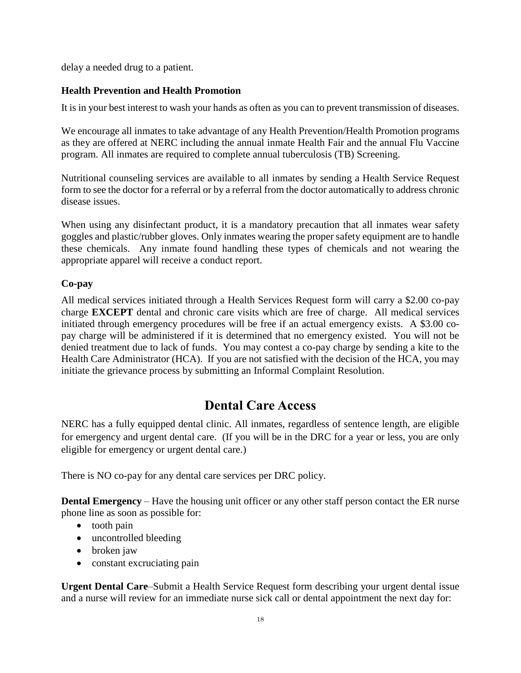delay a needed drug to a patient.

#### **Health Prevention and Health Promotion**

It is in your best interest to wash your hands as often as you can to prevent transmission of diseases.

We encourage all inmates to take advantage of any Health Prevention/Health Promotion programs as they are offered at NERC including the annual inmate Health Fair and the annual Flu Vaccine program. All inmates are required to complete annual tuberculosis (TB) Screening.

Nutritional counseling services are available to all inmates by sending a Health Service Request form to see the doctor for a referral or by a referral from the doctor automatically to address chronic disease issues.

When using any disinfectant product, it is a mandatory precaution that all inmates wear safety goggles and plastic/rubber gloves. Only inmates wearing the proper safety equipment are to handle these chemicals. Any inmate found handling these types of chemicals and not wearing the appropriate apparel will receive a conduct report.

#### **Co-pay**

All medical services initiated through a Health Services Request form will carry a \$2.00 co-pay charge **EXCEPT** dental and chronic care visits which are free of charge. All medical services initiated through emergency procedures will be free if an actual emergency exists. A \$3.00 copay charge will be administered if it is determined that no emergency existed. You will not be denied treatment due to lack of funds. You may contest a co-pay charge by sending a kite to the Health Care Administrator (HCA). If you are not satisfied with the decision of the HCA, you may initiate the grievance process by submitting an Informal Complaint Resolution.

# **Dental Care Access**

NERC has a fully equipped dental clinic. All inmates, regardless of sentence length, are eligible for emergency and urgent dental care. (If you will be in the DRC for a year or less, you are only eligible for emergency or urgent dental care.)

There is NO co-pay for any dental care services per DRC policy.

**Dental Emergency** – Have the housing unit officer or any other staff person contact the ER nurse phone line as soon as possible for:

- tooth pain
- uncontrolled bleeding
- broken jaw
- constant excruciating pain

**Urgent Dental Care**–Submit a Health Service Request form describing your urgent dental issue and a nurse will review for an immediate nurse sick call or dental appointment the next day for: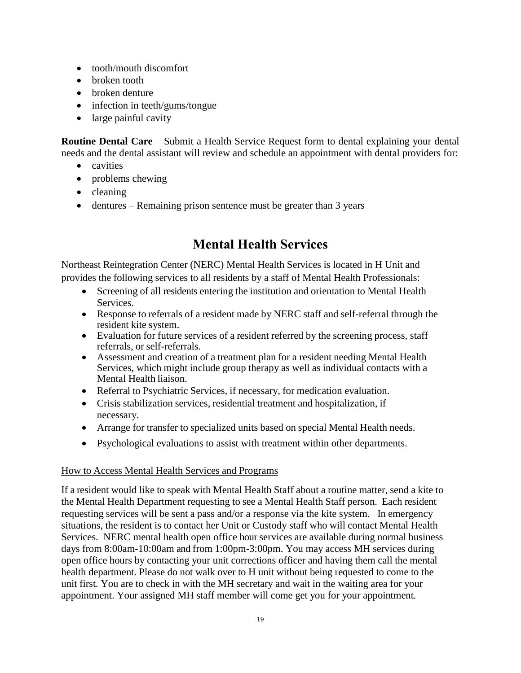- tooth/mouth discomfort
- broken tooth
- broken denture
- infection in teeth/gums/tongue
- large painful cavity

**Routine Dental Care** – Submit a Health Service Request form to dental explaining your dental needs and the dental assistant will review and schedule an appointment with dental providers for:

- cavities
- problems chewing
- cleaning
- dentures Remaining prison sentence must be greater than 3 years

# **Mental Health Services**

Northeast Reintegration Center (NERC) Mental Health Services is located in H Unit and provides the following services to all residents by a staff of Mental Health Professionals:

- Screening of all residents entering the institution and orientation to Mental Health Services.
- Response to referrals of a resident made by NERC staff and self-referral through the resident kite system.
- Evaluation for future services of a resident referred by the screening process, staff referrals, or self-referrals.
- Assessment and creation of a treatment plan for a resident needing Mental Health Services, which might include group therapy as well as individual contacts with a Mental Health liaison.
- Referral to Psychiatric Services, if necessary, for medication evaluation.
- Crisis stabilization services, residential treatment and hospitalization, if necessary.
- Arrange for transfer to specialized units based on special Mental Health needs.
- Psychological evaluations to assist with treatment within other departments.

#### How to Access Mental Health Services and Programs

If a resident would like to speak with Mental Health Staff about a routine matter, send a kite to the Mental Health Department requesting to see a Mental Health Staff person. Each resident requesting services will be sent a pass and/or a response via the kite system. In emergency situations, the resident is to contact her Unit or Custody staff who will contact Mental Health Services. NERC mental health open office hour services are available during normal business days from 8:00am-10:00am and from 1:00pm-3:00pm. You may access MH services during open office hours by contacting your unit corrections officer and having them call the mental health department. Please do not walk over to H unit without being requested to come to the unit first. You are to check in with the MH secretary and wait in the waiting area for your appointment. Your assigned MH staff member will come get you for your appointment.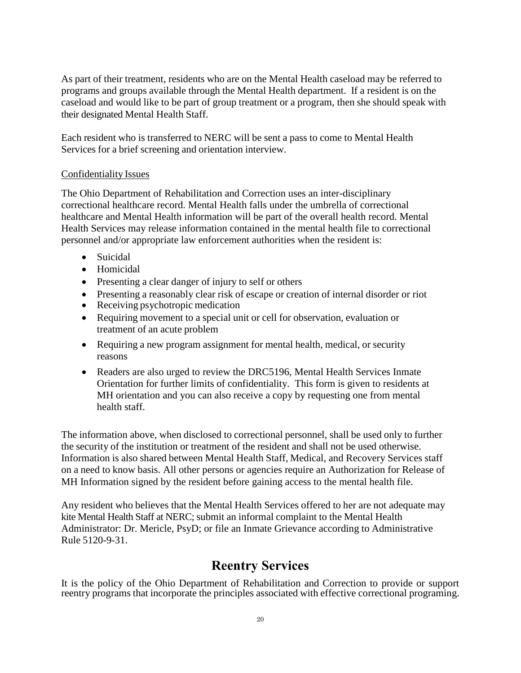As part of their treatment, residents who are on the Mental Health caseload may be referred to programs and groups available through the Mental Health department. If a resident is on the caseload and would like to be part of group treatment or a program, then she should speak with their designated Mental Health Staff.

Each resident who is transferred to NERC will be sent a pass to come to Mental Health Services for a brief screening and orientation interview.

#### Confidentiality Issues

The Ohio Department of Rehabilitation and Correction uses an inter-disciplinary correctional healthcare record. Mental Health falls under the umbrella of correctional healthcare and Mental Health information will be part of the overall health record. Mental Health Services may release information contained in the mental health file to correctional personnel and/or appropriate law enforcement authorities when the resident is:

- Suicidal
- Homicidal
- Presenting a clear danger of injury to self or others
- Presenting a reasonably clear risk of escape or creation of internal disorder or riot
- Receiving psychotropic medication
- Requiring movement to a special unit or cell for observation, evaluation or treatment of an acute problem
- Requiring a new program assignment for mental health, medical, or security reasons
- Readers are also urged to review the DRC5196, Mental Health Services Inmate Orientation for further limits of confidentiality. This form is given to residents at MH orientation and you can also receive a copy by requesting one from mental health staff.

The information above, when disclosed to correctional personnel, shall be used only to further the security of the institution or treatment of the resident and shall not be used otherwise. Information is also shared between Mental Health Staff, Medical, and Recovery Services staff on a need to know basis. All other persons or agencies require an Authorization for Release of MH Information signed by the resident before gaining access to the mental health file.

Any resident who believes that the Mental Health Services offered to her are not adequate may kite Mental Health Staff at NERC; submit an informal complaint to the Mental Health Administrator: Dr. Mericle, PsyD; or file an Inmate Grievance according to Administrative Rule 5120-9-31.

# **Reentry Services**

It is the policy of the Ohio Department of Rehabilitation and Correction to provide or support reentry programs that incorporate the principles associated with effective correctional programing.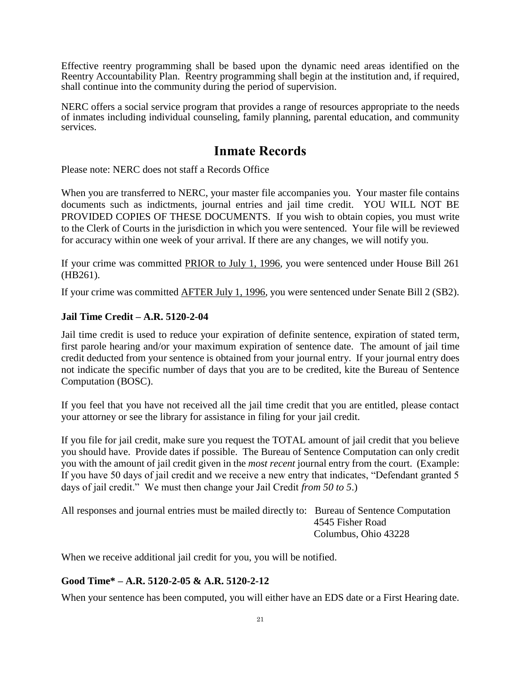Effective reentry programming shall be based upon the dynamic need areas identified on the Reentry Accountability Plan. Reentry programming shall begin at the institution and, if required, shall continue into the community during the period of supervision.

NERC offers a social service program that provides a range of resources appropriate to the needs of inmates including individual counseling, family planning, parental education, and community services.

# **Inmate Records**

Please note: NERC does not staff a Records Office

When you are transferred to NERC, your master file accompanies you. Your master file contains documents such as indictments, journal entries and jail time credit. YOU WILL NOT BE PROVIDED COPIES OF THESE DOCUMENTS. If you wish to obtain copies, you must write to the Clerk of Courts in the jurisdiction in which you were sentenced. Your file will be reviewed for accuracy within one week of your arrival. If there are any changes, we will notify you.

If your crime was committed PRIOR to July 1, 1996, you were sentenced under House Bill 261 (HB261).

If your crime was committed AFTER July 1, 1996, you were sentenced under Senate Bill 2 (SB2).

#### **Jail Time Credit – A.R. 5120-2-04**

Jail time credit is used to reduce your expiration of definite sentence, expiration of stated term, first parole hearing and/or your maximum expiration of sentence date. The amount of jail time credit deducted from your sentence is obtained from your journal entry. If your journal entry does not indicate the specific number of days that you are to be credited, kite the Bureau of Sentence Computation (BOSC).

If you feel that you have not received all the jail time credit that you are entitled, please contact your attorney or see the library for assistance in filing for your jail credit.

If you file for jail credit, make sure you request the TOTAL amount of jail credit that you believe you should have. Provide dates if possible. The Bureau of Sentence Computation can only credit you with the amount of jail credit given in the *most recent* journal entry from the court. (Example: If you have 50 days of jail credit and we receive a new entry that indicates, "Defendant granted 5 days of jail credit." We must then change your Jail Credit *from 50 to 5*.)

All responses and journal entries must be mailed directly to: Bureau of Sentence Computation 4545 Fisher Road Columbus, Ohio 43228

When we receive additional jail credit for you, you will be notified.

#### **Good Time\* – A.R. 5120-2-05 & A.R. 5120-2-12**

When your sentence has been computed, you will either have an EDS date or a First Hearing date.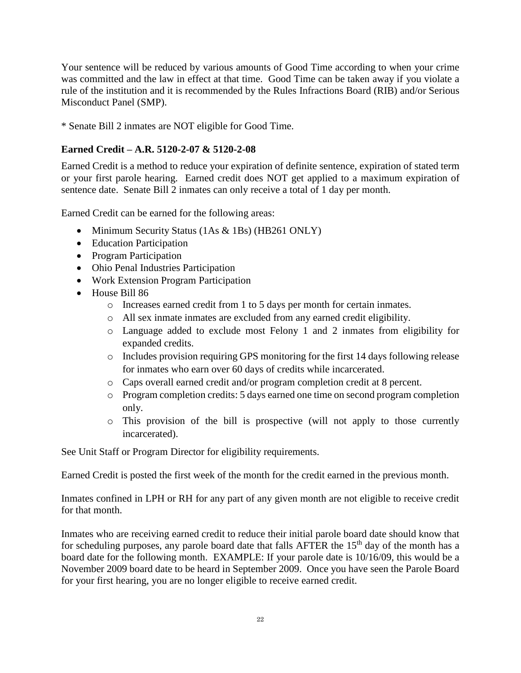Your sentence will be reduced by various amounts of Good Time according to when your crime was committed and the law in effect at that time. Good Time can be taken away if you violate a rule of the institution and it is recommended by the Rules Infractions Board (RIB) and/or Serious Misconduct Panel (SMP).

\* Senate Bill 2 inmates are NOT eligible for Good Time.

#### **Earned Credit – A.R. 5120-2-07 & 5120-2-08**

Earned Credit is a method to reduce your expiration of definite sentence, expiration of stated term or your first parole hearing. Earned credit does NOT get applied to a maximum expiration of sentence date. Senate Bill 2 inmates can only receive a total of 1 day per month.

Earned Credit can be earned for the following areas:

- Minimum Security Status (1As & 1Bs) (HB261 ONLY)
- Education Participation
- Program Participation
- Ohio Penal Industries Participation
- Work Extension Program Participation
- House Bill 86
	- o Increases earned credit from 1 to 5 days per month for certain inmates.
	- o All sex inmate inmates are excluded from any earned credit eligibility.
	- o Language added to exclude most Felony 1 and 2 inmates from eligibility for expanded credits.
	- o Includes provision requiring GPS monitoring for the first 14 days following release for inmates who earn over 60 days of credits while incarcerated.
	- o Caps overall earned credit and/or program completion credit at 8 percent.
	- o Program completion credits: 5 days earned one time on second program completion only.
	- o This provision of the bill is prospective (will not apply to those currently incarcerated).

See Unit Staff or Program Director for eligibility requirements.

Earned Credit is posted the first week of the month for the credit earned in the previous month.

Inmates confined in LPH or RH for any part of any given month are not eligible to receive credit for that month.

Inmates who are receiving earned credit to reduce their initial parole board date should know that for scheduling purposes, any parole board date that falls AFTER the  $15<sup>th</sup>$  day of the month has a board date for the following month. EXAMPLE: If your parole date is 10/16/09, this would be a November 2009 board date to be heard in September 2009. Once you have seen the Parole Board for your first hearing, you are no longer eligible to receive earned credit.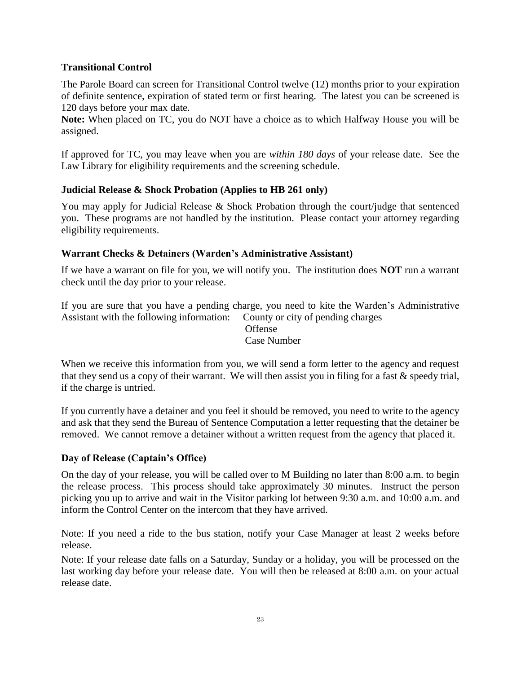#### **Transitional Control**

The Parole Board can screen for Transitional Control twelve (12) months prior to your expiration of definite sentence, expiration of stated term or first hearing. The latest you can be screened is 120 days before your max date.

**Note:** When placed on TC, you do NOT have a choice as to which Halfway House you will be assigned.

If approved for TC, you may leave when you are *within 180 days* of your release date. See the Law Library for eligibility requirements and the screening schedule.

#### **Judicial Release & Shock Probation (Applies to HB 261 only)**

You may apply for Judicial Release & Shock Probation through the court/judge that sentenced you. These programs are not handled by the institution. Please contact your attorney regarding eligibility requirements.

#### **Warrant Checks & Detainers (Warden's Administrative Assistant)**

If we have a warrant on file for you, we will notify you. The institution does **NOT** run a warrant check until the day prior to your release.

If you are sure that you have a pending charge, you need to kite the Warden's Administrative Assistant with the following information: County or city of pending charges

> Offense Case Number

When we receive this information from you, we will send a form letter to the agency and request that they send us a copy of their warrant. We will then assist you in filing for a fast & speedy trial, if the charge is untried.

If you currently have a detainer and you feel it should be removed, you need to write to the agency and ask that they send the Bureau of Sentence Computation a letter requesting that the detainer be removed. We cannot remove a detainer without a written request from the agency that placed it.

#### **Day of Release (Captain's Office)**

On the day of your release, you will be called over to M Building no later than 8:00 a.m. to begin the release process. This process should take approximately 30 minutes. Instruct the person picking you up to arrive and wait in the Visitor parking lot between 9:30 a.m. and 10:00 a.m. and inform the Control Center on the intercom that they have arrived.

Note: If you need a ride to the bus station, notify your Case Manager at least 2 weeks before release.

Note: If your release date falls on a Saturday, Sunday or a holiday, you will be processed on the last working day before your release date. You will then be released at 8:00 a.m. on your actual release date.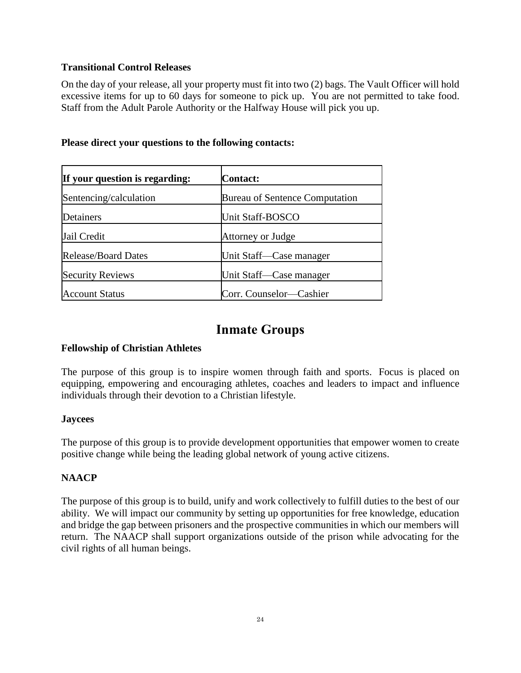#### **Transitional Control Releases**

On the day of your release, all your property must fit into two (2) bags. The Vault Officer will hold excessive items for up to 60 days for someone to pick up. You are not permitted to take food. Staff from the Adult Parole Authority or the Halfway House will pick you up.

| If your question is regarding: | <b>Contact:</b>                       |
|--------------------------------|---------------------------------------|
| Sentencing/calculation         | <b>Bureau of Sentence Computation</b> |
| Detainers                      | <b>Unit Staff-BOSCO</b>               |
| Jail Credit                    | Attorney or Judge                     |
| <b>Release/Board Dates</b>     | Unit Staff—Case manager               |
| <b>Security Reviews</b>        | Unit Staff—Case manager               |
| <b>Account Status</b>          | Corr. Counselor-Cashier               |

#### **Please direct your questions to the following contacts:**

# **Inmate Groups**

#### **Fellowship of Christian Athletes**

The purpose of this group is to inspire women through faith and sports. Focus is placed on equipping, empowering and encouraging athletes, coaches and leaders to impact and influence individuals through their devotion to a Christian lifestyle.

#### **Jaycees**

The purpose of this group is to provide development opportunities that empower women to create positive change while being the leading global network of young active citizens.

#### **NAACP**

The purpose of this group is to build, unify and work collectively to fulfill duties to the best of our ability. We will impact our community by setting up opportunities for free knowledge, education and bridge the gap between prisoners and the prospective communities in which our members will return. The NAACP shall support organizations outside of the prison while advocating for the civil rights of all human beings.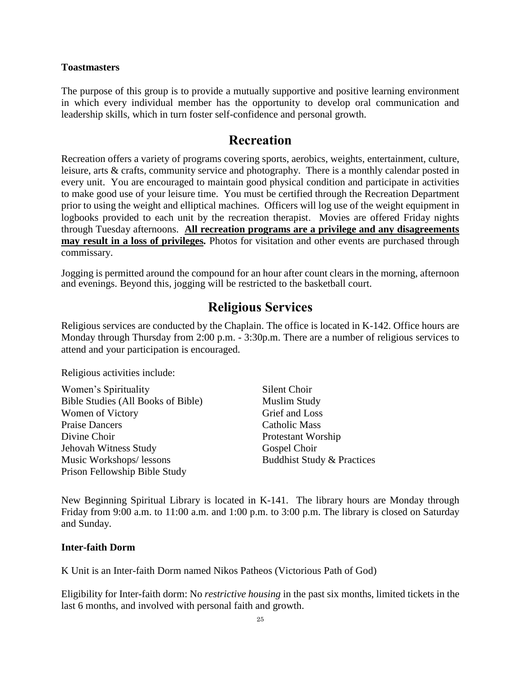#### **Toastmasters**

The purpose of this group is to provide a mutually supportive and positive learning environment in which every individual member has the opportunity to develop oral communication and leadership skills, which in turn foster self-confidence and personal growth.

#### **Recreation**

Recreation offers a variety of programs covering sports, aerobics, weights, entertainment, culture, leisure, arts & crafts, community service and photography. There is a monthly calendar posted in every unit. You are encouraged to maintain good physical condition and participate in activities to make good use of your leisure time. You must be certified through the Recreation Department prior to using the weight and elliptical machines. Officers will log use of the weight equipment in logbooks provided to each unit by the recreation therapist. Movies are offered Friday nights through Tuesday afternoons. **All recreation programs are a privilege and any disagreements may result in a loss of privileges***.* Photos for visitation and other events are purchased through commissary.

Jogging is permitted around the compound for an hour after count clears in the morning, afternoon and evenings. Beyond this, jogging will be restricted to the basketball court.

# **Religious Services**

Religious services are conducted by the Chaplain. The office is located in K-142. Office hours are Monday through Thursday from 2:00 p.m. - 3:30p.m. There are a number of religious services to attend and your participation is encouraged.

Religious activities include:

| Women's Spirituality               | Silent Choir                          |
|------------------------------------|---------------------------------------|
| Bible Studies (All Books of Bible) | <b>Muslim Study</b>                   |
| Women of Victory                   | Grief and Loss                        |
| Praise Dancers                     | Catholic Mass                         |
| Divine Choir                       | Protestant Worship                    |
| Jehovah Witness Study              | Gospel Choir                          |
| Music Workshops/ lessons           | <b>Buddhist Study &amp; Practices</b> |
| Prison Fellowship Bible Study      |                                       |

New Beginning Spiritual Library is located in K-141. The library hours are Monday through Friday from 9:00 a.m. to 11:00 a.m. and 1:00 p.m. to 3:00 p.m. The library is closed on Saturday and Sunday.

#### **Inter-faith Dorm**

K Unit is an Inter-faith Dorm named Nikos Patheos (Victorious Path of God)

Eligibility for Inter-faith dorm: No *restrictive housing* in the past six months, limited tickets in the last 6 months, and involved with personal faith and growth.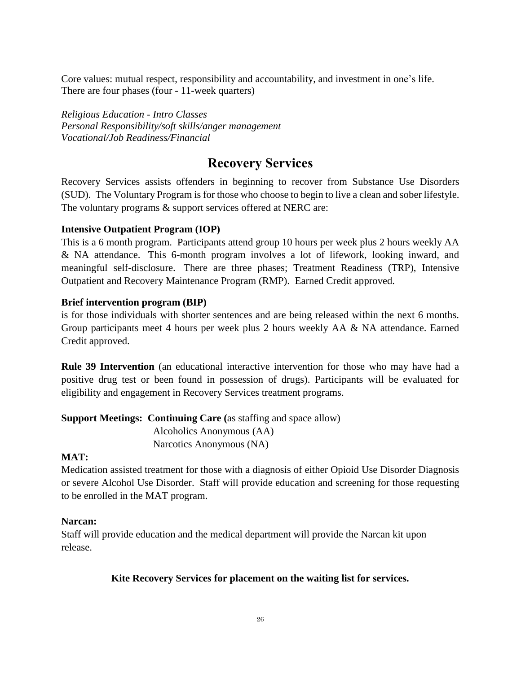Core values: mutual respect, responsibility and accountability, and investment in one's life. There are four phases (four - 11-week quarters)

*Religious Education - Intro Classes Personal Responsibility/soft skills/anger management Vocational/Job Readiness/Financial*

# **Recovery Services**

Recovery Services assists offenders in beginning to recover from Substance Use Disorders (SUD). The Voluntary Program is for those who choose to begin to live a clean and sober lifestyle. The voluntary programs  $\&$  support services offered at NERC are:

#### **Intensive Outpatient Program (IOP)**

This is a 6 month program. Participants attend group 10 hours per week plus 2 hours weekly AA & NA attendance. This 6-month program involves a lot of lifework, looking inward, and meaningful self-disclosure. There are three phases; Treatment Readiness (TRP), Intensive Outpatient and Recovery Maintenance Program (RMP). Earned Credit approved.

#### **Brief intervention program (BIP)**

is for those individuals with shorter sentences and are being released within the next 6 months. Group participants meet 4 hours per week plus 2 hours weekly AA & NA attendance. Earned Credit approved.

**Rule 39 Intervention** (an educational interactive intervention for those who may have had a positive drug test or been found in possession of drugs). Participants will be evaluated for eligibility and engagement in Recovery Services treatment programs.

**Support Meetings: Continuing Care (**as staffing and space allow) Alcoholics Anonymous (AA) Narcotics Anonymous (NA)

#### **MAT:**

Medication assisted treatment for those with a diagnosis of either Opioid Use Disorder Diagnosis or severe Alcohol Use Disorder. Staff will provide education and screening for those requesting to be enrolled in the MAT program.

#### **Narcan:**

Staff will provide education and the medical department will provide the Narcan kit upon release.

#### **Kite Recovery Services for placement on the waiting list for services.**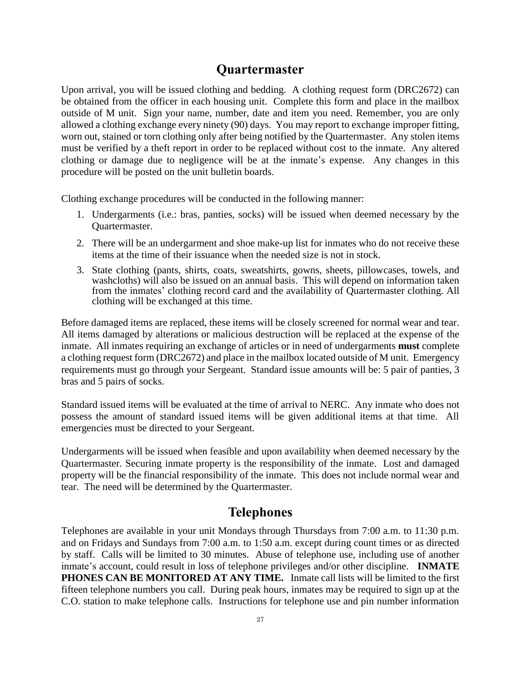# **Quartermaster**

Upon arrival, you will be issued clothing and bedding. A clothing request form (DRC2672) can be obtained from the officer in each housing unit. Complete this form and place in the mailbox outside of M unit. Sign your name, number, date and item you need. Remember, you are only allowed a clothing exchange every ninety (90) days. You may report to exchange improper fitting, worn out, stained or torn clothing only after being notified by the Quartermaster. Any stolen items must be verified by a theft report in order to be replaced without cost to the inmate. Any altered clothing or damage due to negligence will be at the inmate's expense. Any changes in this procedure will be posted on the unit bulletin boards.

Clothing exchange procedures will be conducted in the following manner:

- 1. Undergarments (i.e.: bras, panties, socks) will be issued when deemed necessary by the Quartermaster.
- 2. There will be an undergarment and shoe make-up list for inmates who do not receive these items at the time of their issuance when the needed size is not in stock.
- 3. State clothing (pants, shirts, coats, sweatshirts, gowns, sheets, pillowcases, towels, and washcloths) will also be issued on an annual basis. This will depend on information taken from the inmates' clothing record card and the availability of Quartermaster clothing. All clothing will be exchanged at this time.

Before damaged items are replaced, these items will be closely screened for normal wear and tear. All items damaged by alterations or malicious destruction will be replaced at the expense of the inmate. All inmates requiring an exchange of articles or in need of undergarments **must** complete a clothing request form (DRC2672) and place in the mailbox located outside of M unit. Emergency requirements must go through your Sergeant. Standard issue amounts will be: 5 pair of panties, 3 bras and 5 pairs of socks.

Standard issued items will be evaluated at the time of arrival to NERC. Any inmate who does not possess the amount of standard issued items will be given additional items at that time. All emergencies must be directed to your Sergeant.

Undergarments will be issued when feasible and upon availability when deemed necessary by the Quartermaster. Securing inmate property is the responsibility of the inmate. Lost and damaged property will be the financial responsibility of the inmate. This does not include normal wear and tear. The need will be determined by the Quartermaster.

# **Telephones**

Telephones are available in your unit Mondays through Thursdays from 7:00 a.m. to 11:30 p.m. and on Fridays and Sundays from 7:00 a.m. to 1:50 a.m. except during count times or as directed by staff. Calls will be limited to 30 minutes. Abuse of telephone use, including use of another inmate's account, could result in loss of telephone privileges and/or other discipline. **INMATE PHONES CAN BE MONITORED AT ANY TIME.** Inmate call lists will be limited to the first fifteen telephone numbers you call. During peak hours, inmates may be required to sign up at the C.O. station to make telephone calls. Instructions for telephone use and pin number information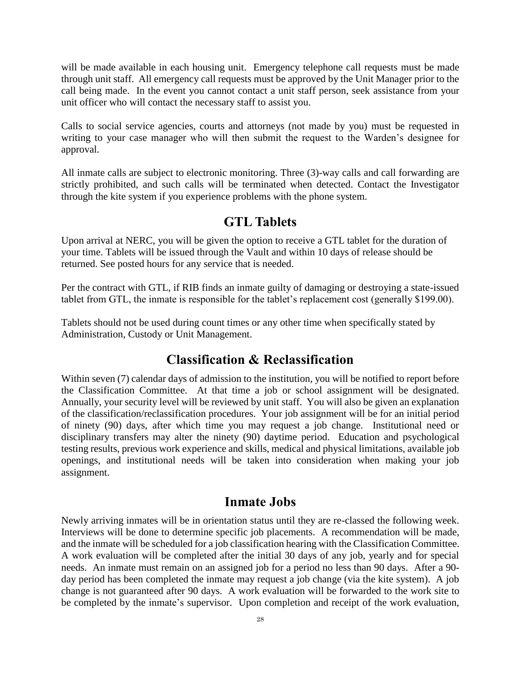will be made available in each housing unit. Emergency telephone call requests must be made through unit staff. All emergency call requests must be approved by the Unit Manager prior to the call being made. In the event you cannot contact a unit staff person, seek assistance from your unit officer who will contact the necessary staff to assist you.

Calls to social service agencies, courts and attorneys (not made by you) must be requested in writing to your case manager who will then submit the request to the Warden's designee for approval.

All inmate calls are subject to electronic monitoring. Three (3)-way calls and call forwarding are strictly prohibited, and such calls will be terminated when detected. Contact the Investigator through the kite system if you experience problems with the phone system.

#### **GTL Tablets**

Upon arrival at NERC, you will be given the option to receive a GTL tablet for the duration of your time. Tablets will be issued through the Vault and within 10 days of release should be returned. See posted hours for any service that is needed.

Per the contract with GTL, if RIB finds an inmate guilty of damaging or destroying a state-issued tablet from GTL, the inmate is responsible for the tablet's replacement cost (generally \$199.00).

Tablets should not be used during count times or any other time when specifically stated by Administration, Custody or Unit Management.

### **Classification & Reclassification**

Within seven (7) calendar days of admission to the institution, you will be notified to report before the Classification Committee. At that time a job or school assignment will be designated. Annually, your security level will be reviewed by unit staff. You will also be given an explanation of the classification/reclassification procedures. Your job assignment will be for an initial period of ninety (90) days, after which time you may request a job change. Institutional need or disciplinary transfers may alter the ninety (90) daytime period. Education and psychological testing results, previous work experience and skills, medical and physical limitations, available job openings, and institutional needs will be taken into consideration when making your job assignment.

#### **Inmate Jobs**

Newly arriving inmates will be in orientation status until they are re-classed the following week. Interviews will be done to determine specific job placements. A recommendation will be made, and the inmate will be scheduled for a job classification hearing with the Classification Committee. A work evaluation will be completed after the initial 30 days of any job, yearly and for special needs. An inmate must remain on an assigned job for a period no less than 90 days. After a 90 day period has been completed the inmate may request a job change (via the kite system). A job change is not guaranteed after 90 days. A work evaluation will be forwarded to the work site to be completed by the inmate's supervisor. Upon completion and receipt of the work evaluation,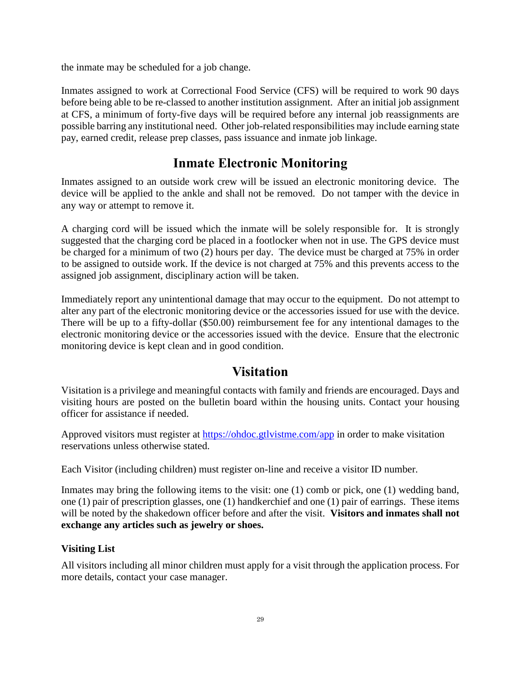the inmate may be scheduled for a job change.

Inmates assigned to work at Correctional Food Service (CFS) will be required to work 90 days before being able to be re-classed to another institution assignment. After an initial job assignment at CFS, a minimum of forty-five days will be required before any internal job reassignments are possible barring any institutional need. Other job-related responsibilities may include earning state pay, earned credit, release prep classes, pass issuance and inmate job linkage.

# **Inmate Electronic Monitoring**

Inmates assigned to an outside work crew will be issued an electronic monitoring device. The device will be applied to the ankle and shall not be removed. Do not tamper with the device in any way or attempt to remove it.

A charging cord will be issued which the inmate will be solely responsible for. It is strongly suggested that the charging cord be placed in a footlocker when not in use. The GPS device must be charged for a minimum of two (2) hours per day. The device must be charged at 75% in order to be assigned to outside work. If the device is not charged at 75% and this prevents access to the assigned job assignment, disciplinary action will be taken.

Immediately report any unintentional damage that may occur to the equipment. Do not attempt to alter any part of the electronic monitoring device or the accessories issued for use with the device. There will be up to a fifty-dollar (\$50.00) reimbursement fee for any intentional damages to the electronic monitoring device or the accessories issued with the device. Ensure that the electronic monitoring device is kept clean and in good condition.

# **Visitation**

Visitation is a privilege and meaningful contacts with family and friends are encouraged. Days and visiting hours are posted on the bulletin board within the housing units. Contact your housing officer for assistance if needed.

Approved visitors must register at<https://ohdoc.gtlvistme.com/app> in order to make visitation reservations unless otherwise stated.

Each Visitor (including children) must register on-line and receive a visitor ID number.

Inmates may bring the following items to the visit: one (1) comb or pick, one (1) wedding band, one (1) pair of prescription glasses, one (1) handkerchief and one (1) pair of earrings. These items will be noted by the shakedown officer before and after the visit. **Visitors and inmates shall not exchange any articles such as jewelry or shoes.**

#### **Visiting List**

All visitors including all minor children must apply for a visit through the application process. For more details, contact your case manager.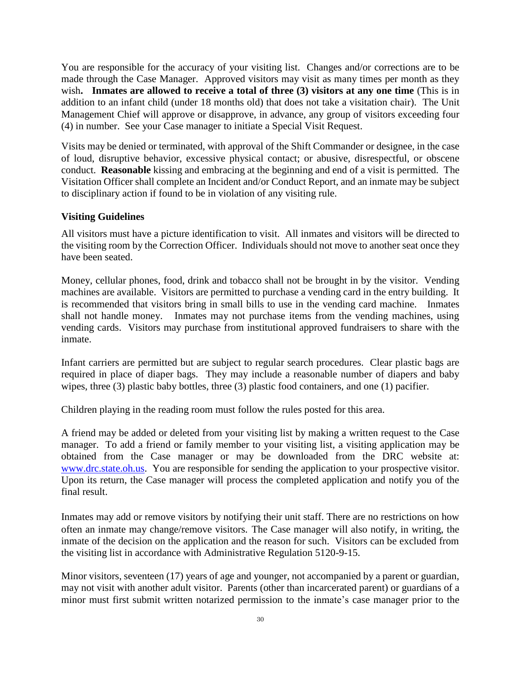You are responsible for the accuracy of your visiting list. Changes and/or corrections are to be made through the Case Manager. Approved visitors may visit as many times per month as they wish**. Inmates are allowed to receive a total of three (3) visitors at any one time** (This is in addition to an infant child (under 18 months old) that does not take a visitation chair). The Unit Management Chief will approve or disapprove, in advance, any group of visitors exceeding four (4) in number. See your Case manager to initiate a Special Visit Request.

Visits may be denied or terminated, with approval of the Shift Commander or designee, in the case of loud, disruptive behavior, excessive physical contact; or abusive, disrespectful, or obscene conduct. **Reasonable** kissing and embracing at the beginning and end of a visit is permitted. The Visitation Officer shall complete an Incident and/or Conduct Report, and an inmate may be subject to disciplinary action if found to be in violation of any visiting rule.

#### **Visiting Guidelines**

All visitors must have a picture identification to visit. All inmates and visitors will be directed to the visiting room by the Correction Officer. Individuals should not move to another seat once they have been seated.

Money, cellular phones, food, drink and tobacco shall not be brought in by the visitor. Vending machines are available. Visitors are permitted to purchase a vending card in the entry building. It is recommended that visitors bring in small bills to use in the vending card machine. Inmates shall not handle money. Inmates may not purchase items from the vending machines, using vending cards. Visitors may purchase from institutional approved fundraisers to share with the inmate.

Infant carriers are permitted but are subject to regular search procedures. Clear plastic bags are required in place of diaper bags. They may include a reasonable number of diapers and baby wipes, three (3) plastic baby bottles, three (3) plastic food containers, and one (1) pacifier.

Children playing in the reading room must follow the rules posted for this area.

A friend may be added or deleted from your visiting list by making a written request to the Case manager. To add a friend or family member to your visiting list, a visiting application may be obtained from the Case manager or may be downloaded from the DRC website at: [www.drc.state.oh.us.](http://www.drc.state.oh.us/) You are responsible for sending the application to your prospective visitor. Upon its return, the Case manager will process the completed application and notify you of the final result.

Inmates may add or remove visitors by notifying their unit staff. There are no restrictions on how often an inmate may change/remove visitors*.* The Case manager will also notify, in writing, the inmate of the decision on the application and the reason for such. Visitors can be excluded from the visiting list in accordance with Administrative Regulation 5120-9-15.

Minor visitors, seventeen (17) years of age and younger, not accompanied by a parent or guardian, may not visit with another adult visitor. Parents (other than incarcerated parent) or guardians of a minor must first submit written notarized permission to the inmate's case manager prior to the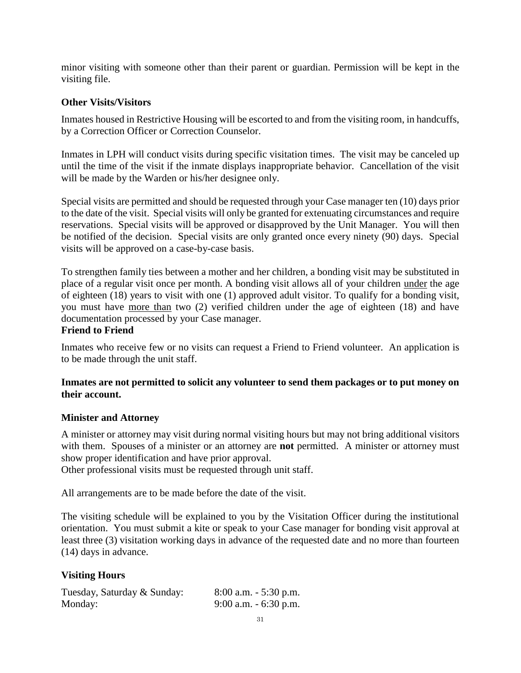minor visiting with someone other than their parent or guardian. Permission will be kept in the visiting file.

#### **Other Visits/Visitors**

Inmates housed in Restrictive Housing will be escorted to and from the visiting room, in handcuffs, by a Correction Officer or Correction Counselor.

Inmates in LPH will conduct visits during specific visitation times. The visit may be canceled up until the time of the visit if the inmate displays inappropriate behavior. Cancellation of the visit will be made by the Warden or his/her designee only.

Special visits are permitted and should be requested through your Case manager ten (10) days prior to the date of the visit. Special visits will only be granted for extenuating circumstances and require reservations. Special visits will be approved or disapproved by the Unit Manager. You will then be notified of the decision. Special visits are only granted once every ninety (90) days. Special visits will be approved on a case-by-case basis.

To strengthen family ties between a mother and her children, a bonding visit may be substituted in place of a regular visit once per month. A bonding visit allows all of your children under the age of eighteen (18) years to visit with one (1) approved adult visitor. To qualify for a bonding visit, you must have more than two (2) verified children under the age of eighteen (18) and have documentation processed by your Case manager.

#### **Friend to Friend**

Inmates who receive few or no visits can request a Friend to Friend volunteer. An application is to be made through the unit staff.

#### **Inmates are not permitted to solicit any volunteer to send them packages or to put money on their account.**

#### **Minister and Attorney**

A minister or attorney may visit during normal visiting hours but may not bring additional visitors with them. Spouses of a minister or an attorney are **not** permitted. A minister or attorney must show proper identification and have prior approval.

Other professional visits must be requested through unit staff.

All arrangements are to be made before the date of the visit.

The visiting schedule will be explained to you by the Visitation Officer during the institutional orientation. You must submit a kite or speak to your Case manager for bonding visit approval at least three (3) visitation working days in advance of the requested date and no more than fourteen (14) days in advance.

#### **Visiting Hours**

| Tuesday, Saturday & Sunday: | $8:00$ a.m. $-5:30$ p.m. |
|-----------------------------|--------------------------|
| Monday:                     | 9:00 a.m. $-6:30$ p.m.   |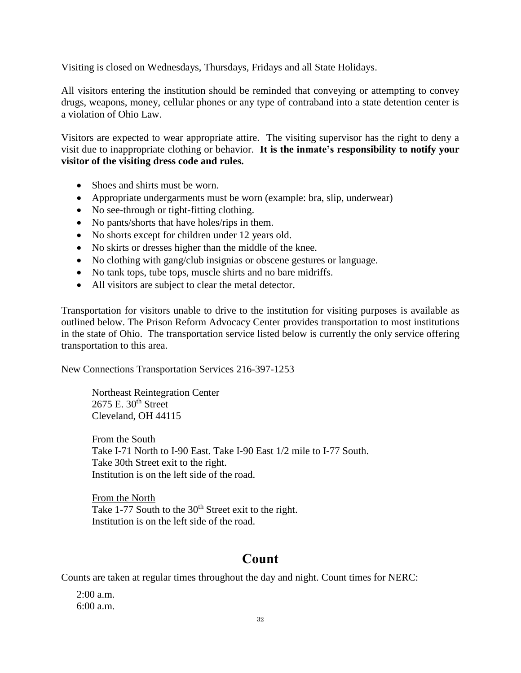Visiting is closed on Wednesdays, Thursdays, Fridays and all State Holidays.

All visitors entering the institution should be reminded that conveying or attempting to convey drugs, weapons, money, cellular phones or any type of contraband into a state detention center is a violation of Ohio Law.

Visitors are expected to wear appropriate attire. The visiting supervisor has the right to deny a visit due to inappropriate clothing or behavior. **It is the inmate's responsibility to notify your visitor of the visiting dress code and rules.** 

- Shoes and shirts must be worn.
- Appropriate undergarments must be worn (example: bra, slip, underwear)
- No see-through or tight-fitting clothing.
- No pants/shorts that have holes/rips in them.
- No shorts except for children under 12 years old.
- No skirts or dresses higher than the middle of the knee.
- No clothing with gang/club insignias or obscene gestures or language.
- No tank tops, tube tops, muscle shirts and no bare midriffs.
- All visitors are subject to clear the metal detector.

Transportation for visitors unable to drive to the institution for visiting purposes is available as outlined below. The Prison Reform Advocacy Center provides transportation to most institutions in the state of Ohio. The transportation service listed below is currently the only service offering transportation to this area.

New Connections Transportation Services 216-397-1253

Northeast Reintegration Center  $2675$  E.  $30<sup>th</sup>$  Street Cleveland, OH 44115

From the South Take I-71 North to I-90 East. Take I-90 East 1/2 mile to I-77 South. Take 30th Street exit to the right. Institution is on the left side of the road.

From the North Take 1-77 South to the  $30<sup>th</sup>$  Street exit to the right. Institution is on the left side of the road.

# **Count**

Counts are taken at regular times throughout the day and night. Count times for NERC:

2:00 a.m. 6:00 a.m.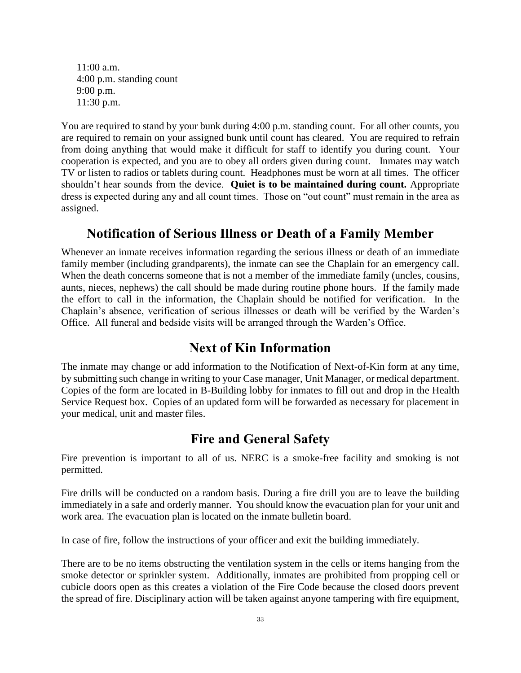11:00 a.m. 4:00 p.m. standing count 9:00 p.m. 11:30 p.m.

You are required to stand by your bunk during 4:00 p.m. standing count. For all other counts, you are required to remain on your assigned bunk until count has cleared. You are required to refrain from doing anything that would make it difficult for staff to identify you during count. Your cooperation is expected, and you are to obey all orders given during count. Inmates may watch TV or listen to radios or tablets during count. Headphones must be worn at all times. The officer shouldn't hear sounds from the device. **Quiet is to be maintained during count.** Appropriate dress is expected during any and all count times. Those on "out count" must remain in the area as assigned.

### **Notification of Serious Illness or Death of a Family Member**

Whenever an inmate receives information regarding the serious illness or death of an immediate family member (including grandparents), the inmate can see the Chaplain for an emergency call. When the death concerns someone that is not a member of the immediate family (uncles, cousins, aunts, nieces, nephews) the call should be made during routine phone hours. If the family made the effort to call in the information, the Chaplain should be notified for verification. In the Chaplain's absence, verification of serious illnesses or death will be verified by the Warden's Office. All funeral and bedside visits will be arranged through the Warden's Office.

# **Next of Kin Information**

The inmate may change or add information to the Notification of Next-of-Kin form at any time, by submitting such change in writing to your Case manager, Unit Manager, or medical department. Copies of the form are located in B-Building lobby for inmates to fill out and drop in the Health Service Request box. Copies of an updated form will be forwarded as necessary for placement in your medical, unit and master files.

# **Fire and General Safety**

Fire prevention is important to all of us. NERC is a smoke-free facility and smoking is not permitted.

Fire drills will be conducted on a random basis. During a fire drill you are to leave the building immediately in a safe and orderly manner. You should know the evacuation plan for your unit and work area. The evacuation plan is located on the inmate bulletin board.

In case of fire, follow the instructions of your officer and exit the building immediately.

There are to be no items obstructing the ventilation system in the cells or items hanging from the smoke detector or sprinkler system. Additionally, inmates are prohibited from propping cell or cubicle doors open as this creates a violation of the Fire Code because the closed doors prevent the spread of fire. Disciplinary action will be taken against anyone tampering with fire equipment,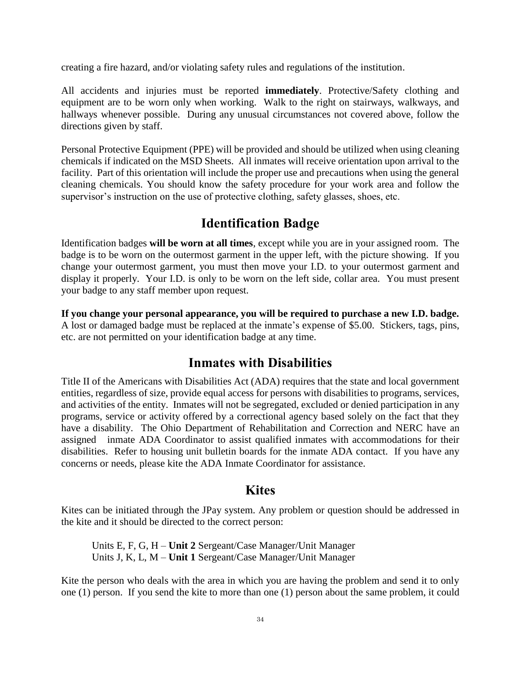creating a fire hazard, and/or violating safety rules and regulations of the institution.

All accidents and injuries must be reported **immediately**. Protective/Safety clothing and equipment are to be worn only when working. Walk to the right on stairways, walkways, and hallways whenever possible. During any unusual circumstances not covered above, follow the directions given by staff.

Personal Protective Equipment (PPE) will be provided and should be utilized when using cleaning chemicals if indicated on the MSD Sheets. All inmates will receive orientation upon arrival to the facility. Part of this orientation will include the proper use and precautions when using the general cleaning chemicals. You should know the safety procedure for your work area and follow the supervisor's instruction on the use of protective clothing, safety glasses, shoes, etc.

# **Identification Badge**

Identification badges **will be worn at all times**, except while you are in your assigned room. The badge is to be worn on the outermost garment in the upper left, with the picture showing. If you change your outermost garment, you must then move your I.D. to your outermost garment and display it properly. Your I.D. is only to be worn on the left side, collar area. You must present your badge to any staff member upon request.

**If you change your personal appearance, you will be required to purchase a new I.D. badge.** A lost or damaged badge must be replaced at the inmate's expense of \$5.00. Stickers, tags, pins, etc. are not permitted on your identification badge at any time.

### **Inmates with Disabilities**

Title II of the Americans with Disabilities Act (ADA) requires that the state and local government entities, regardless of size, provide equal access for persons with disabilities to programs, services, and activities of the entity. Inmates will not be segregated, excluded or denied participation in any programs, service or activity offered by a correctional agency based solely on the fact that they have a disability. The Ohio Department of Rehabilitation and Correction and NERC have an assigned inmate ADA Coordinator to assist qualified inmates with accommodations for their disabilities. Refer to housing unit bulletin boards for the inmate ADA contact. If you have any concerns or needs, please kite the ADA Inmate Coordinator for assistance.

#### **Kites**

Kites can be initiated through the JPay system. Any problem or question should be addressed in the kite and it should be directed to the correct person:

Units E, F, G, H – **Unit 2** Sergeant/Case Manager/Unit Manager Units J, K, L, M – **Unit 1** Sergeant/Case Manager/Unit Manager

Kite the person who deals with the area in which you are having the problem and send it to only one (1) person. If you send the kite to more than one (1) person about the same problem, it could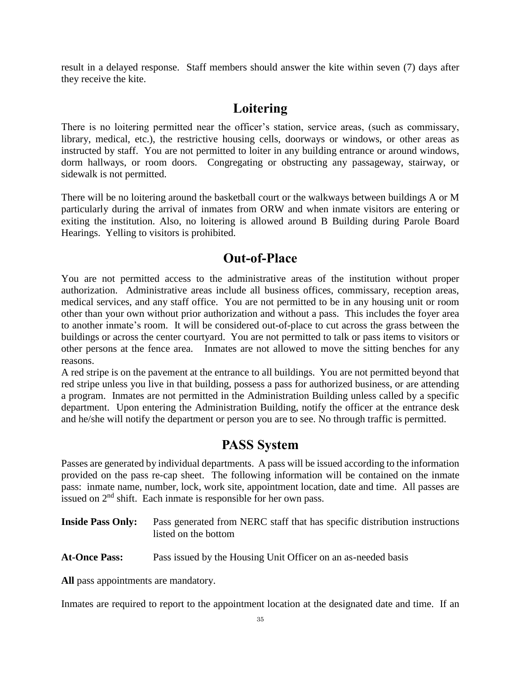result in a delayed response. Staff members should answer the kite within seven (7) days after they receive the kite.

# **Loitering**

There is no loitering permitted near the officer's station, service areas, (such as commissary, library, medical, etc.), the restrictive housing cells, doorways or windows, or other areas as instructed by staff. You are not permitted to loiter in any building entrance or around windows, dorm hallways, or room doors. Congregating or obstructing any passageway, stairway, or sidewalk is not permitted.

There will be no loitering around the basketball court or the walkways between buildings A or M particularly during the arrival of inmates from ORW and when inmate visitors are entering or exiting the institution. Also, no loitering is allowed around B Building during Parole Board Hearings. Yelling to visitors is prohibited.

### **Out-of-Place**

You are not permitted access to the administrative areas of the institution without proper authorization. Administrative areas include all business offices, commissary, reception areas, medical services, and any staff office. You are not permitted to be in any housing unit or room other than your own without prior authorization and without a pass. This includes the foyer area to another inmate's room. It will be considered out-of-place to cut across the grass between the buildings or across the center courtyard. You are not permitted to talk or pass items to visitors or other persons at the fence area. Inmates are not allowed to move the sitting benches for any reasons.

A red stripe is on the pavement at the entrance to all buildings. You are not permitted beyond that red stripe unless you live in that building, possess a pass for authorized business, or are attending a program. Inmates are not permitted in the Administration Building unless called by a specific department. Upon entering the Administration Building, notify the officer at the entrance desk and he/she will notify the department or person you are to see. No through traffic is permitted.

# **PASS System**

Passes are generated by individual departments. A pass will be issued according to the information provided on the pass re-cap sheet. The following information will be contained on the inmate pass: inmate name, number, lock, work site, appointment location, date and time. All passes are issued on  $2<sup>nd</sup>$  shift. Each inmate is responsible for her own pass.

| <b>Inside Pass Only:</b> | Pass generated from NERC staff that has specific distribution instructions |
|--------------------------|----------------------------------------------------------------------------|
|                          | listed on the bottom                                                       |

**At-Once Pass:** Pass issued by the Housing Unit Officer on an as-needed basis

**All** pass appointments are mandatory.

Inmates are required to report to the appointment location at the designated date and time. If an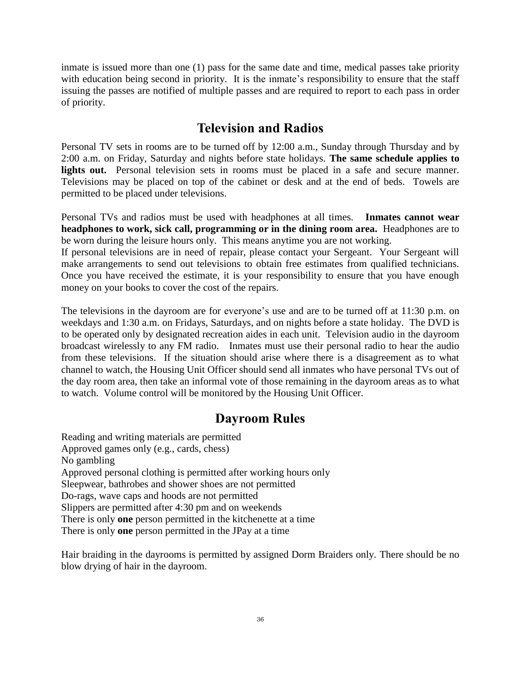inmate is issued more than one (1) pass for the same date and time, medical passes take priority with education being second in priority. It is the inmate's responsibility to ensure that the staff issuing the passes are notified of multiple passes and are required to report to each pass in order of priority.

# **Television and Radios**

Personal TV sets in rooms are to be turned off by 12:00 a.m., Sunday through Thursday and by 2:00 a.m. on Friday, Saturday and nights before state holidays. **The same schedule applies to**  lights out. Personal television sets in rooms must be placed in a safe and secure manner. Televisions may be placed on top of the cabinet or desk and at the end of beds. Towels are permitted to be placed under televisions.

Personal TVs and radios must be used with headphones at all times. **Inmates cannot wear headphones to work, sick call, programming or in the dining room area.** Headphones are to be worn during the leisure hours only. This means anytime you are not working.

If personal televisions are in need of repair, please contact your Sergeant. Your Sergeant will make arrangements to send out televisions to obtain free estimates from qualified technicians. Once you have received the estimate, it is your responsibility to ensure that you have enough money on your books to cover the cost of the repairs.

The televisions in the dayroom are for everyone's use and are to be turned off at 11:30 p.m. on weekdays and 1:30 a.m. on Fridays, Saturdays, and on nights before a state holiday. The DVD is to be operated only by designated recreation aides in each unit. Television audio in the dayroom broadcast wirelessly to any FM radio. Inmates must use their personal radio to hear the audio from these televisions. If the situation should arise where there is a disagreement as to what channel to watch, the Housing Unit Officer should send all inmates who have personal TVs out of the day room area, then take an informal vote of those remaining in the dayroom areas as to what to watch. Volume control will be monitored by the Housing Unit Officer.

# **Dayroom Rules**

Reading and writing materials are permitted Approved games only (e.g., cards, chess) No gambling Approved personal clothing is permitted after working hours only Sleepwear, bathrobes and shower shoes are not permitted Do-rags, wave caps and hoods are not permitted Slippers are permitted after 4:30 pm and on weekends There is only **one** person permitted in the kitchenette at a time There is only **one** person permitted in the JPay at a time

Hair braiding in the dayrooms is permitted by assigned Dorm Braiders only. There should be no blow drying of hair in the dayroom.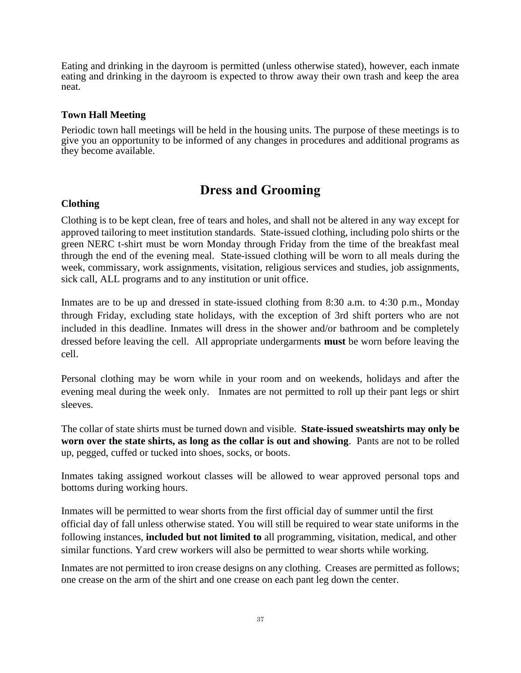Eating and drinking in the dayroom is permitted (unless otherwise stated), however, each inmate eating and drinking in the dayroom is expected to throw away their own trash and keep the area neat.

#### **Town Hall Meeting**

Periodic town hall meetings will be held in the housing units. The purpose of these meetings is to give you an opportunity to be informed of any changes in procedures and additional programs as they become available.

## **Dress and Grooming**

#### **Clothing**

Clothing is to be kept clean, free of tears and holes, and shall not be altered in any way except for approved tailoring to meet institution standards. State-issued clothing, including polo shirts or the green NERC t-shirt must be worn Monday through Friday from the time of the breakfast meal through the end of the evening meal. State-issued clothing will be worn to all meals during the week, commissary, work assignments, visitation, religious services and studies, job assignments, sick call, ALL programs and to any institution or unit office.

Inmates are to be up and dressed in state-issued clothing from 8:30 a.m. to 4:30 p.m., Monday through Friday, excluding state holidays, with the exception of 3rd shift porters who are not included in this deadline. Inmates will dress in the shower and/or bathroom and be completely dressed before leaving the cell. All appropriate undergarments **must** be worn before leaving the cell.

Personal clothing may be worn while in your room and on weekends, holidays and after the evening meal during the week only. Inmates are not permitted to roll up their pant legs or shirt sleeves.

The collar of state shirts must be turned down and visible. **State-issued sweatshirts may only be worn over the state shirts, as long as the collar is out and showing**. Pants are not to be rolled up, pegged, cuffed or tucked into shoes, socks, or boots.

Inmates taking assigned workout classes will be allowed to wear approved personal tops and bottoms during working hours.

Inmates will be permitted to wear shorts from the first official day of summer until the first official day of fall unless otherwise stated. You will still be required to wear state uniforms in the following instances, **included but not limited to** all programming, visitation, medical, and other similar functions. Yard crew workers will also be permitted to wear shorts while working.

Inmates are not permitted to iron crease designs on any clothing. Creases are permitted as follows; one crease on the arm of the shirt and one crease on each pant leg down the center.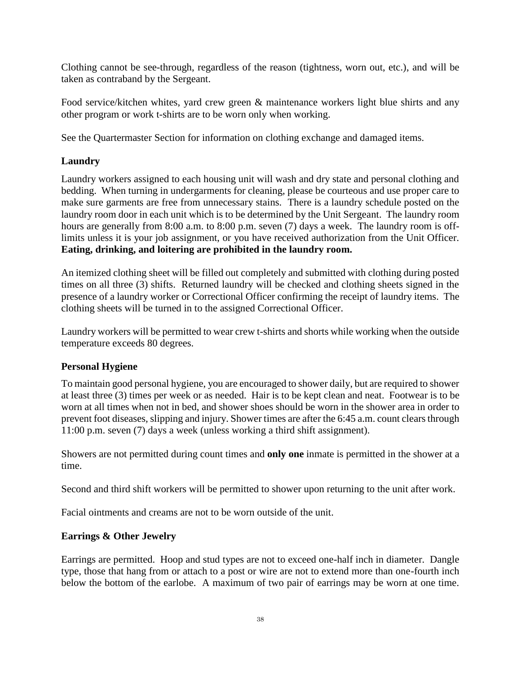Clothing cannot be see-through, regardless of the reason (tightness, worn out, etc.), and will be taken as contraband by the Sergeant.

Food service/kitchen whites, yard crew green & maintenance workers light blue shirts and any other program or work t-shirts are to be worn only when working.

See the Quartermaster Section for information on clothing exchange and damaged items.

### **Laundry**

Laundry workers assigned to each housing unit will wash and dry state and personal clothing and bedding. When turning in undergarments for cleaning, please be courteous and use proper care to make sure garments are free from unnecessary stains. There is a laundry schedule posted on the laundry room door in each unit which is to be determined by the Unit Sergeant. The laundry room hours are generally from 8:00 a.m. to 8:00 p.m. seven (7) days a week. The laundry room is offlimits unless it is your job assignment, or you have received authorization from the Unit Officer*.*  **Eating, drinking, and loitering are prohibited in the laundry room.**

An itemized clothing sheet will be filled out completely and submitted with clothing during posted times on all three (3) shifts. Returned laundry will be checked and clothing sheets signed in the presence of a laundry worker or Correctional Officer confirming the receipt of laundry items. The clothing sheets will be turned in to the assigned Correctional Officer.

Laundry workers will be permitted to wear crew t-shirts and shorts while working when the outside temperature exceeds 80 degrees.

#### **Personal Hygiene**

To maintain good personal hygiene, you are encouraged to shower daily, but are required to shower at least three (3) times per week or as needed. Hair is to be kept clean and neat. Footwear is to be worn at all times when not in bed, and shower shoes should be worn in the shower area in order to prevent foot diseases*,* slipping and injury. Shower times are after the 6:45 a.m. count clears through 11:00 p.m. seven (7) days a week (unless working a third shift assignment).

Showers are not permitted during count times and **only one** inmate is permitted in the shower at a time.

Second and third shift workers will be permitted to shower upon returning to the unit after work.

Facial ointments and creams are not to be worn outside of the unit.

#### **Earrings & Other Jewelry**

Earrings are permitted. Hoop and stud types are not to exceed one-half inch in diameter. Dangle type, those that hang from or attach to a post or wire are not to extend more than one-fourth inch below the bottom of the earlobe. A maximum of two pair of earrings may be worn at one time.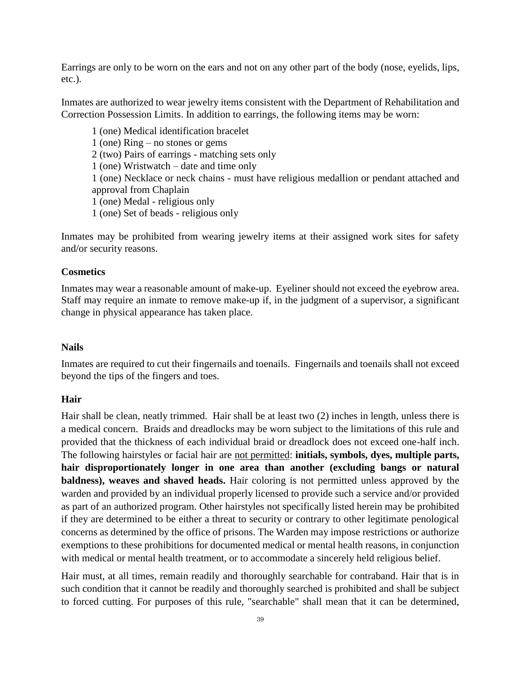Earrings are only to be worn on the ears and not on any other part of the body (nose, eyelids, lips, etc.).

Inmates are authorized to wear jewelry items consistent with the Department of Rehabilitation and Correction Possession Limits. In addition to earrings, the following items may be worn:

1 (one) Medical identification bracelet 1 (one) Ring – no stones or gems 2 (two) Pairs of earrings - matching sets only 1 (one) Wristwatch – date and time only 1 (one) Necklace or neck chains - must have religious medallion or pendant attached and approval from Chaplain 1 (one) Medal - religious only 1 (one) Set of beads - religious only

Inmates may be prohibited from wearing jewelry items at their assigned work sites for safety and/or security reasons.

#### **Cosmetics**

Inmates may wear a reasonable amount of make-up. Eyeliner should not exceed the eyebrow area. Staff may require an inmate to remove make-up if, in the judgment of a supervisor, a significant change in physical appearance has taken place.

#### **Nails**

Inmates are required to cut their fingernails and toenails. Fingernails and toenails shall not exceed beyond the tips of the fingers and toes.

#### **Hair**

Hair shall be clean, neatly trimmed. Hair shall be at least two (2) inches in length, unless there is a medical concern. Braids and dreadlocks may be worn subject to the limitations of this rule and provided that the thickness of each individual braid or dreadlock does not exceed one-half inch. The following hairstyles or facial hair are not permitted: **initials, symbols, dyes, multiple parts, hair disproportionately longer in one area than another (excluding bangs or natural baldness), weaves and shaved heads.** Hair coloring is not permitted unless approved by the warden and provided by an individual properly licensed to provide such a service and/or provided as part of an authorized program. Other hairstyles not specifically listed herein may be prohibited if they are determined to be either a threat to security or contrary to other legitimate penological concerns as determined by the office of prisons. The Warden may impose restrictions or authorize exemptions to these prohibitions for documented medical or mental health reasons, in conjunction with medical or mental health treatment, or to accommodate a sincerely held religious belief.

Hair must, at all times, remain readily and thoroughly searchable for contraband. Hair that is in such condition that it cannot be readily and thoroughly searched is prohibited and shall be subject to forced cutting. For purposes of this rule, "searchable" shall mean that it can be determined,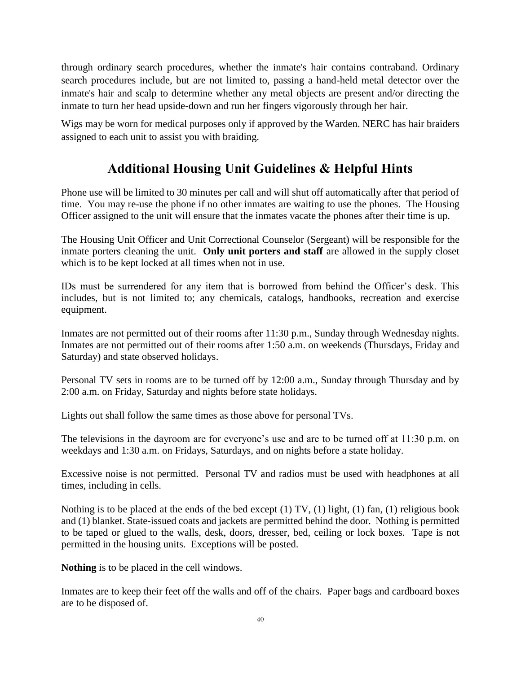through ordinary search procedures, whether the inmate's hair contains contraband. Ordinary search procedures include, but are not limited to, passing a hand-held metal detector over the inmate's hair and scalp to determine whether any metal objects are present and/or directing the inmate to turn her head upside-down and run her fingers vigorously through her hair.

Wigs may be worn for medical purposes only if approved by the Warden. NERC has hair braiders assigned to each unit to assist you with braiding.

# **Additional Housing Unit Guidelines & Helpful Hints**

Phone use will be limited to 30 minutes per call and will shut off automatically after that period of time. You may re-use the phone if no other inmates are waiting to use the phones. The Housing Officer assigned to the unit will ensure that the inmates vacate the phones after their time is up.

The Housing Unit Officer and Unit Correctional Counselor (Sergeant) will be responsible for the inmate porters cleaning the unit. **Only unit porters and staff** are allowed in the supply closet which is to be kept locked at all times when not in use.

IDs must be surrendered for any item that is borrowed from behind the Officer's desk. This includes, but is not limited to; any chemicals, catalogs, handbooks, recreation and exercise equipment.

Inmates are not permitted out of their rooms after 11:30 p.m., Sunday through Wednesday nights. Inmates are not permitted out of their rooms after 1:50 a.m. on weekends (Thursdays, Friday and Saturday) and state observed holidays.

Personal TV sets in rooms are to be turned off by 12:00 a.m., Sunday through Thursday and by 2:00 a.m. on Friday, Saturday and nights before state holidays.

Lights out shall follow the same times as those above for personal TVs.

The televisions in the dayroom are for everyone's use and are to be turned off at 11:30 p.m. on weekdays and 1:30 a.m. on Fridays, Saturdays, and on nights before a state holiday.

Excessive noise is not permitted. Personal TV and radios must be used with headphones at all times, including in cells.

Nothing is to be placed at the ends of the bed except (1) TV, (1) light, (1) fan, (1) religious book and (1) blanket. State-issued coats and jackets are permitted behind the door*.* Nothing is permitted to be taped or glued to the walls, desk, doors, dresser, bed, ceiling or lock boxes. Tape is not permitted in the housing units. Exceptions will be posted.

**Nothing** is to be placed in the cell windows.

Inmates are to keep their feet off the walls and off of the chairs. Paper bags and cardboard boxes are to be disposed of.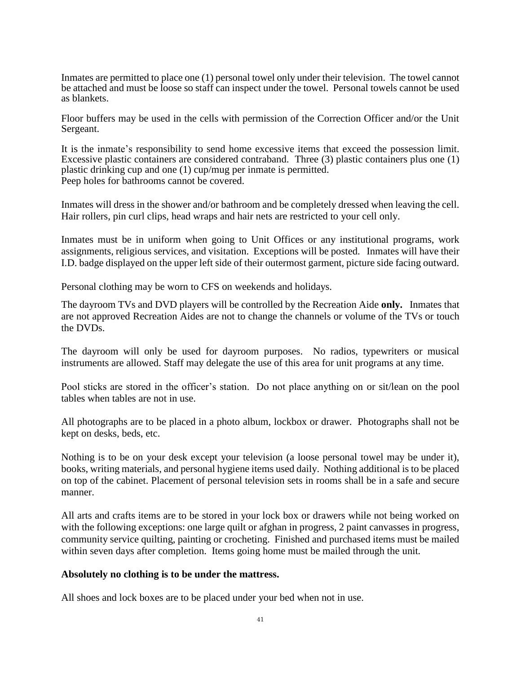Inmates are permitted to place one (1) personal towel only under their television. The towel cannot be attached and must be loose so staff can inspect under the towel. Personal towels cannot be used as blankets.

Floor buffers may be used in the cells with permission of the Correction Officer and/or the Unit Sergeant.

It is the inmate's responsibility to send home excessive items that exceed the possession limit. Excessive plastic containers are considered contraband. Three (3) plastic containers plus one (1) plastic drinking cup and one (1) cup/mug per inmate is permitted. Peep holes for bathrooms cannot be covered.

Inmates will dress in the shower and/or bathroom and be completely dressed when leaving the cell. Hair rollers, pin curl clips, head wraps and hair nets are restricted to your cell only.

Inmates must be in uniform when going to Unit Offices or any institutional programs, work assignments, religious services, and visitation. Exceptions will be posted. Inmates will have their I.D. badge displayed on the upper left side of their outermost garment, picture side facing outward.

Personal clothing may be worn to CFS on weekends and holidays.

The dayroom TVs and DVD players will be controlled by the Recreation Aide **only.** Inmates that are not approved Recreation Aides are not to change the channels or volume of the TVs or touch the DVDs.

The dayroom will only be used for dayroom purposes. No radios, typewriters or musical instruments are allowed. Staff may delegate the use of this area for unit programs at any time.

Pool sticks are stored in the officer's station. Do not place anything on or sit/lean on the pool tables when tables are not in use.

All photographs are to be placed in a photo album, lockbox or drawer. Photographs shall not be kept on desks, beds, etc.

Nothing is to be on your desk except your television (a loose personal towel may be under it), books, writing materials, and personal hygiene items used daily. Nothing additional is to be placed on top of the cabinet. Placement of personal television sets in rooms shall be in a safe and secure manner.

All arts and crafts items are to be stored in your lock box or drawers while not being worked on with the following exceptions: one large quilt or afghan in progress, 2 paint canvasses in progress, community service quilting, painting or crocheting. Finished and purchased items must be mailed within seven days after completion. Items going home must be mailed through the unit*.*

#### **Absolutely no clothing is to be under the mattress.**

All shoes and lock boxes are to be placed under your bed when not in use.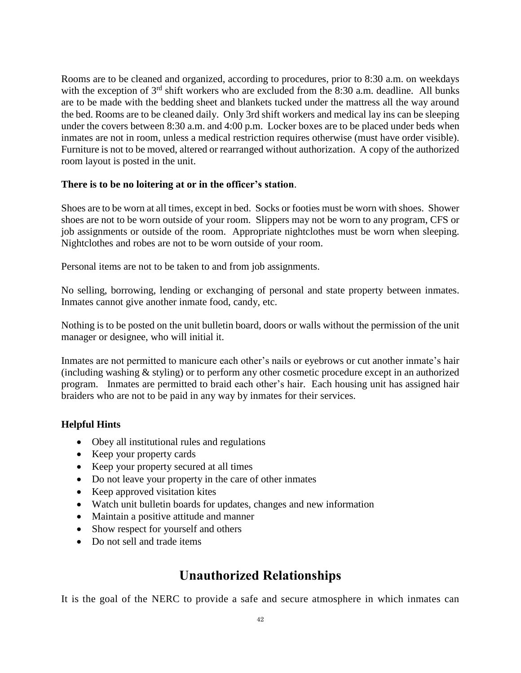Rooms are to be cleaned and organized, according to procedures, prior to 8:30 a.m. on weekdays with the exception of  $3<sup>rd</sup>$  shift workers who are excluded from the 8:30 a.m. deadline. All bunks are to be made with the bedding sheet and blankets tucked under the mattress all the way around the bed. Rooms are to be cleaned daily. Only 3rd shift workers and medical lay ins can be sleeping under the covers between 8:30 a.m. and 4:00 p.m. Locker boxes are to be placed under beds when inmates are not in room, unless a medical restriction requires otherwise (must have order visible). Furniture is not to be moved, altered or rearranged without authorization. A copy of the authorized room layout is posted in the unit.

#### **There is to be no loitering at or in the officer's station**.

Shoes are to be worn at all times, except in bed. Socks or footies must be worn with shoes. Shower shoes are not to be worn outside of your room. Slippers may not be worn to any program, CFS or job assignments or outside of the room. Appropriate nightclothes must be worn when sleeping. Nightclothes and robes are not to be worn outside of your room.

Personal items are not to be taken to and from job assignments.

No selling, borrowing, lending or exchanging of personal and state property between inmates. Inmates cannot give another inmate food, candy, etc.

Nothing is to be posted on the unit bulletin board, doors or walls without the permission of the unit manager or designee, who will initial it.

Inmates are not permitted to manicure each other's nails or eyebrows or cut another inmate's hair (including washing & styling) or to perform any other cosmetic procedure except in an authorized program. Inmates are permitted to braid each other's hair. Each housing unit has assigned hair braiders who are not to be paid in any way by inmates for their services.

#### **Helpful Hints**

- Obey all institutional rules and regulations
- Keep your property cards
- Keep your property secured at all times
- Do not leave your property in the care of other inmates
- Keep approved visitation kites
- Watch unit bulletin boards for updates, changes and new information
- Maintain a positive attitude and manner
- Show respect for yourself and others
- Do not sell and trade items

## **Unauthorized Relationships**

It is the goal of the NERC to provide a safe and secure atmosphere in which inmates can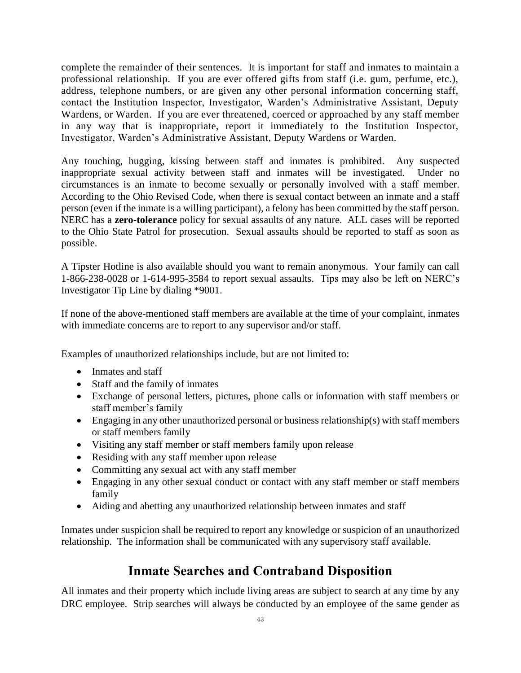complete the remainder of their sentences. It is important for staff and inmates to maintain a professional relationship. If you are ever offered gifts from staff (i.e. gum, perfume, etc.), address, telephone numbers, or are given any other personal information concerning staff, contact the Institution Inspector, Investigator, Warden's Administrative Assistant, Deputy Wardens, or Warden. If you are ever threatened, coerced or approached by any staff member in any way that is inappropriate, report it immediately to the Institution Inspector, Investigator, Warden's Administrative Assistant, Deputy Wardens or Warden.

Any touching, hugging, kissing between staff and inmates is prohibited. Any suspected inappropriate sexual activity between staff and inmates will be investigated. Under no circumstances is an inmate to become sexually or personally involved with a staff member. According to the Ohio Revised Code, when there is sexual contact between an inmate and a staff person (even if the inmate is a willing participant), a felony has been committed by the staff person. NERC has a **zero-tolerance** policy for sexual assaults of any nature. ALL cases will be reported to the Ohio State Patrol for prosecution. Sexual assaults should be reported to staff as soon as possible.

A Tipster Hotline is also available should you want to remain anonymous. Your family can call 1-866-238-0028 or 1-614-995-3584 to report sexual assaults. Tips may also be left on NERC's Investigator Tip Line by dialing \*9001.

If none of the above-mentioned staff members are available at the time of your complaint, inmates with immediate concerns are to report to any supervisor and/or staff.

Examples of unauthorized relationships include, but are not limited to:

- Inmates and staff
- Staff and the family of inmates
- Exchange of personal letters, pictures, phone calls or information with staff members or staff member's family
- Engaging in any other unauthorized personal or business relationship(s) with staff members or staff members family
- Visiting any staff member or staff members family upon release
- Residing with any staff member upon release
- Committing any sexual act with any staff member
- Engaging in any other sexual conduct or contact with any staff member or staff members family
- Aiding and abetting any unauthorized relationship between inmates and staff

Inmates under suspicion shall be required to report any knowledge or suspicion of an unauthorized relationship. The information shall be communicated with any supervisory staff available.

## **Inmate Searches and Contraband Disposition**

All inmates and their property which include living areas are subject to search at any time by any DRC employee. Strip searches will always be conducted by an employee of the same gender as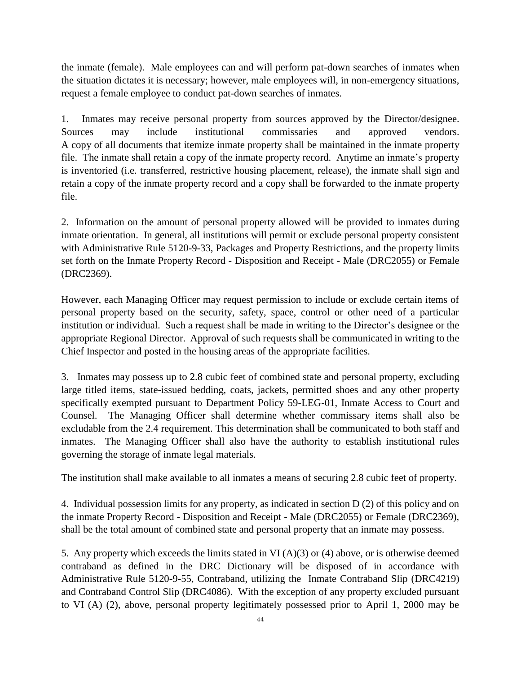the inmate (female). Male employees can and will perform pat-down searches of inmates when the situation dictates it is necessary; however, male employees will, in non-emergency situations, request a female employee to conduct pat-down searches of inmates.

1. Inmates may receive personal property from sources approved by the Director/designee. Sources may include institutional commissaries and approved vendors. A copy of all documents that itemize inmate property shall be maintained in the inmate property file. The inmate shall retain a copy of the inmate property record. Anytime an inmate's property is inventoried (i.e. transferred, restrictive housing placement, release), the inmate shall sign and retain a copy of the inmate property record and a copy shall be forwarded to the inmate property file.

2. Information on the amount of personal property allowed will be provided to inmates during inmate orientation. In general, all institutions will permit or exclude personal property consistent with Administrative Rule 5120-9-33, Packages and Property Restrictions, and the property limits set forth on the Inmate Property Record - Disposition and Receipt - Male (DRC2055) or Female (DRC2369).

However, each Managing Officer may request permission to include or exclude certain items of personal property based on the security, safety, space, control or other need of a particular institution or individual. Such a request shall be made in writing to the Director's designee or the appropriate Regional Director. Approval of such requests shall be communicated in writing to the Chief Inspector and posted in the housing areas of the appropriate facilities.

3. Inmates may possess up to 2.8 cubic feet of combined state and personal property, excluding large titled items, state-issued bedding, coats, jackets, permitted shoes and any other property specifically exempted pursuant to Department Policy 59-LEG-01, Inmate Access to Court and Counsel. The Managing Officer shall determine whether commissary items shall also be excludable from the 2.4 requirement. This determination shall be communicated to both staff and inmates. The Managing Officer shall also have the authority to establish institutional rules governing the storage of inmate legal materials.

The institution shall make available to all inmates a means of securing 2.8 cubic feet of property.

4. Individual possession limits for any property, as indicated in section D (2) of this policy and on the inmate Property Record - Disposition and Receipt - Male (DRC2055) or Female (DRC2369), shall be the total amount of combined state and personal property that an inmate may possess.

5. Any property which exceeds the limits stated in VI (A)(3) or (4) above, or is otherwise deemed contraband as defined in the DRC Dictionary will be disposed of in accordance with Administrative Rule 5120-9-55, Contraband, utilizing the Inmate Contraband Slip (DRC4219) and Contraband Control Slip (DRC4086). With the exception of any property excluded pursuant to VI (A) (2), above, personal property legitimately possessed prior to April 1, 2000 may be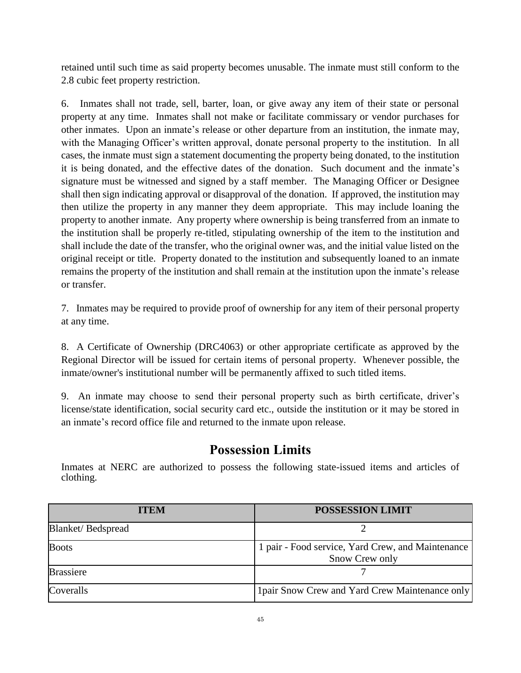retained until such time as said property becomes unusable. The inmate must still conform to the 2.8 cubic feet property restriction.

6. Inmates shall not trade, sell, barter, loan, or give away any item of their state or personal property at any time. Inmates shall not make or facilitate commissary or vendor purchases for other inmates. Upon an inmate's release or other departure from an institution, the inmate may, with the Managing Officer's written approval, donate personal property to the institution. In all cases, the inmate must sign a statement documenting the property being donated, to the institution it is being donated, and the effective dates of the donation. Such document and the inmate's signature must be witnessed and signed by a staff member. The Managing Officer or Designee shall then sign indicating approval or disapproval of the donation. If approved, the institution may then utilize the property in any manner they deem appropriate. This may include loaning the property to another inmate. Any property where ownership is being transferred from an inmate to the institution shall be properly re-titled, stipulating ownership of the item to the institution and shall include the date of the transfer, who the original owner was, and the initial value listed on the original receipt or title. Property donated to the institution and subsequently loaned to an inmate remains the property of the institution and shall remain at the institution upon the inmate's release or transfer.

7. Inmates may be required to provide proof of ownership for any item of their personal property at any time.

8. A Certificate of Ownership (DRC4063) or other appropriate certificate as approved by the Regional Director will be issued for certain items of personal property. Whenever possible, the inmate/owner's institutional number will be permanently affixed to such titled items.

9. An inmate may choose to send their personal property such as birth certificate, driver's license/state identification, social security card etc., outside the institution or it may be stored in an inmate's record office file and returned to the inmate upon release.

## **Possession Limits**

Inmates at NERC are authorized to possess the following state-issued items and articles of clothing.

| <b>ITEM</b>       | <b>POSSESSION LIMIT</b>                                             |
|-------------------|---------------------------------------------------------------------|
| Blanket/Bedspread |                                                                     |
| <b>Boots</b>      | 1 pair - Food service, Yard Crew, and Maintenance<br>Snow Crew only |
| <b>Brassiere</b>  |                                                                     |
| Coveralls         | 1 pair Snow Crew and Yard Crew Maintenance only                     |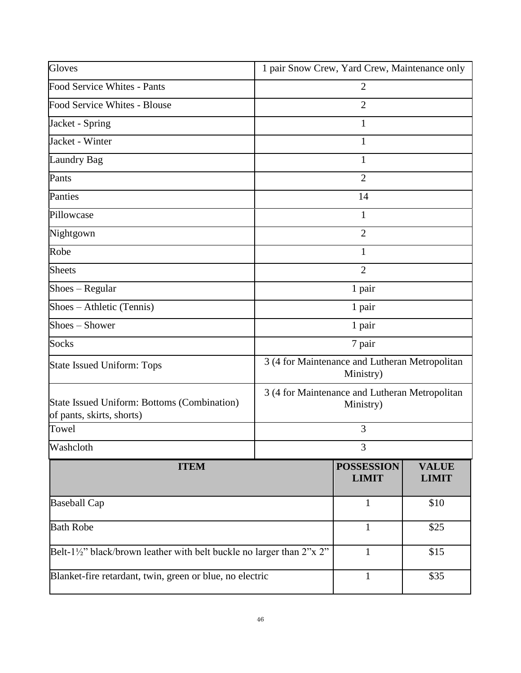| Gloves                                                                                               | 1 pair Snow Crew, Yard Crew, Maintenance only               |                                   |                              |  |
|------------------------------------------------------------------------------------------------------|-------------------------------------------------------------|-----------------------------------|------------------------------|--|
| Food Service Whites - Pants                                                                          | $\overline{2}$                                              |                                   |                              |  |
| Food Service Whites - Blouse                                                                         |                                                             | $\overline{2}$                    |                              |  |
| Jacket - Spring                                                                                      |                                                             | 1                                 |                              |  |
| Jacket - Winter                                                                                      |                                                             | 1                                 |                              |  |
| <b>Laundry Bag</b>                                                                                   |                                                             | 1                                 |                              |  |
| Pants                                                                                                |                                                             | $\overline{2}$                    |                              |  |
| Panties                                                                                              |                                                             | 14                                |                              |  |
| Pillowcase                                                                                           |                                                             | 1                                 |                              |  |
| Nightgown                                                                                            | $\overline{2}$                                              |                                   |                              |  |
| Robe                                                                                                 | 1                                                           |                                   |                              |  |
| <b>Sheets</b>                                                                                        | $\overline{2}$                                              |                                   |                              |  |
| $\text{Shoes} - \text{Regular}$                                                                      | 1 pair                                                      |                                   |                              |  |
| Shoes - Athletic (Tennis)                                                                            | 1 pair                                                      |                                   |                              |  |
| Shoes – Shower                                                                                       | 1 pair                                                      |                                   |                              |  |
| <b>Socks</b>                                                                                         | 7 pair                                                      |                                   |                              |  |
| <b>State Issued Uniform: Tops</b>                                                                    | 3 (4 for Maintenance and Lutheran Metropolitan<br>Ministry) |                                   |                              |  |
| State Issued Uniform: Bottoms (Combination)<br>of pants, skirts, shorts)                             | 3 (4 for Maintenance and Lutheran Metropolitan<br>Ministry) |                                   |                              |  |
| Towel                                                                                                | 3                                                           |                                   |                              |  |
| Washcloth                                                                                            | 3                                                           |                                   |                              |  |
| <b>ITEM</b>                                                                                          |                                                             | <b>POSSESSION</b><br><b>LIMIT</b> | <b>VALUE</b><br><b>LIMIT</b> |  |
| <b>Baseball Cap</b>                                                                                  |                                                             | $\mathbf{1}$                      | \$10                         |  |
| <b>Bath Robe</b>                                                                                     |                                                             | $\mathbf{1}$                      | \$25                         |  |
| Belt-1½" black/brown leather with belt buckle no larger than $2^{\prime\prime}$ x $2^{\prime\prime}$ |                                                             | $\mathbf{1}$                      | \$15                         |  |
| Blanket-fire retardant, twin, green or blue, no electric                                             |                                                             | $\mathbf{1}$                      | \$35                         |  |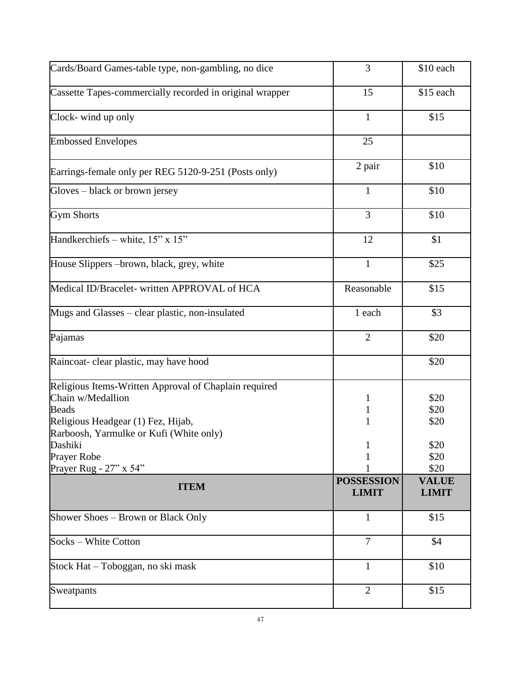| Cards/Board Games-table type, non-gambling, no dice                                                                                                                         | 3                                 | \$10 each                    |
|-----------------------------------------------------------------------------------------------------------------------------------------------------------------------------|-----------------------------------|------------------------------|
| Cassette Tapes-commercially recorded in original wrapper                                                                                                                    | 15                                | \$15 each                    |
| Clock-wind up only                                                                                                                                                          | $\mathbf{1}$                      | \$15                         |
| <b>Embossed Envelopes</b>                                                                                                                                                   | 25                                |                              |
| Earrings-female only per REG 5120-9-251 (Posts only)                                                                                                                        | 2 pair                            | \$10                         |
| Gloves – black or brown jersey                                                                                                                                              | $\mathbf{1}$                      | \$10                         |
| <b>Gym Shorts</b>                                                                                                                                                           | $\overline{3}$                    | \$10                         |
| Handkerchiefs - white, 15" x 15"                                                                                                                                            | 12                                | \$1                          |
| House Slippers – brown, black, grey, white                                                                                                                                  | $\mathbf{1}$                      | \$25                         |
| Medical ID/Bracelet- written APPROVAL of HCA                                                                                                                                | Reasonable                        | \$15                         |
| Mugs and Glasses – clear plastic, non-insulated                                                                                                                             | 1 each                            | \$3                          |
| Pajamas                                                                                                                                                                     | $\overline{2}$                    | \$20                         |
| Raincoat- clear plastic, may have hood                                                                                                                                      |                                   | \$20                         |
| Religious Items-Written Approval of Chaplain required<br>Chain w/Medallion<br><b>Beads</b><br>Religious Headgear (1) Fez, Hijab,<br>Rarboosh, Yarmulke or Kufi (White only) | 1<br>$\mathbf 1$<br>1             | \$20<br>\$20<br>\$20         |
| Dashiki                                                                                                                                                                     | T                                 | \$20                         |
| <b>Prayer Robe</b>                                                                                                                                                          |                                   | \$20                         |
| Prayer Rug - 27" x 54"                                                                                                                                                      |                                   | \$20                         |
| <b>ITEM</b>                                                                                                                                                                 | <b>POSSESSION</b><br><b>LIMIT</b> | <b>VALUE</b><br><b>LIMIT</b> |
| Shower Shoes - Brown or Black Only                                                                                                                                          | $\mathbf{1}$                      | \$15                         |
| Socks – White Cotton                                                                                                                                                        | $\overline{7}$                    | \$4                          |
| Stock Hat - Toboggan, no ski mask                                                                                                                                           | $\mathbf{1}$                      | \$10                         |
| Sweatpants                                                                                                                                                                  | $\overline{2}$                    | \$15                         |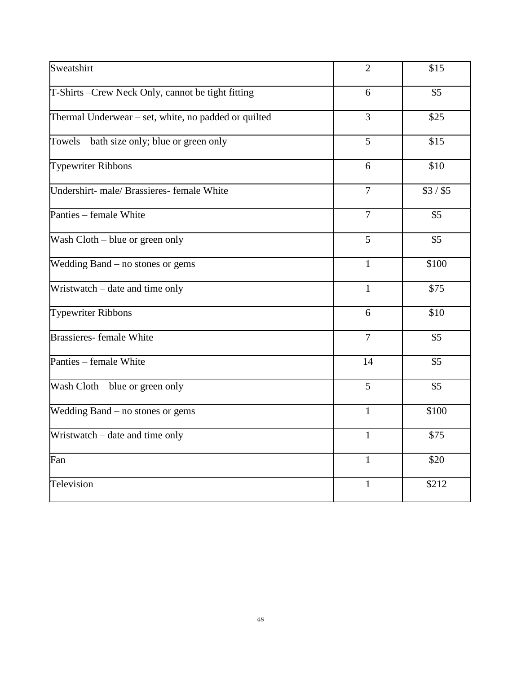| Sweatshirt                                           | $\overline{2}$ | \$15      |
|------------------------------------------------------|----------------|-----------|
| T-Shirts -Crew Neck Only, cannot be tight fitting    | 6              | \$5       |
| Thermal Underwear – set, white, no padded or quilted | 3              | \$25      |
| Towels – bath size only; blue or green only          | 5              | \$15      |
| <b>Typewriter Ribbons</b>                            | 6              | \$10      |
| Undershirt- male/ Brassieres- female White           | $\overline{7}$ | $$3/$ \$5 |
| Panties – female White                               | $\overline{7}$ | \$5       |
| Wash Cloth - blue or green only                      | 5              | \$5       |
| Wedding Band – no stones or gems                     | $\mathbf{1}$   | \$100     |
| Wristwatch - date and time only                      | $\mathbf{1}$   | \$75      |
| <b>Typewriter Ribbons</b>                            | 6              | \$10      |
| <b>Brassieres-female White</b>                       | $\overline{7}$ | \$5       |
| Panties – female White                               | 14             | \$5       |
| Wash Cloth – blue or green only                      | 5              | \$5       |
| Wedding Band – no stones or gems                     | $\mathbf{1}$   | \$100     |
| Wristwatch - date and time only                      | $\mathbf{1}$   | \$75      |
| Fan                                                  | $\mathbf{1}$   | \$20      |
| Television                                           | $\mathbf{1}$   | \$212     |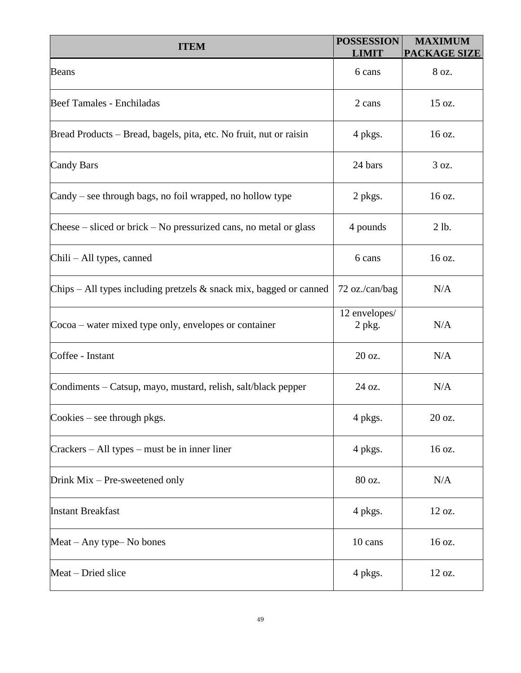| <b>ITEM</b>                                                           | <b>POSSESSION</b><br><b>LIMIT</b> | <b>MAXIMUM</b><br><b>PACKAGE SIZE</b> |
|-----------------------------------------------------------------------|-----------------------------------|---------------------------------------|
| <b>Beans</b>                                                          | 6 cans                            | 8 oz.                                 |
| Beef Tamales - Enchiladas                                             | 2 cans                            | 15 oz.                                |
| Bread Products – Bread, bagels, pita, etc. No fruit, nut or raisin    | 4 pkgs.                           | 16 oz.                                |
| <b>Candy Bars</b>                                                     | 24 bars                           | 3 oz.                                 |
| Candy – see through bags, no foil wrapped, no hollow type             | 2 pkgs.                           | 16 oz.                                |
| Cheese $-$ sliced or brick $-$ No pressurized cans, no metal or glass | 4 pounds                          | 2 lb.                                 |
| Chili – All types, canned                                             | 6 cans                            | 16 oz.                                |
| Chips – All types including pretzels $\&$ snack mix, bagged or canned | 72 oz./can/bag                    | N/A                                   |
| Cocoa – water mixed type only, envelopes or container                 | 12 envelopes/<br>$2$ pkg.         | N/A                                   |
| Coffee - Instant                                                      | 20 oz.                            | N/A                                   |
| Condiments – Catsup, mayo, mustard, relish, salt/black pepper         | 24 oz.                            | N/A                                   |
| Cookies - see through pkgs.                                           | 4 pkgs.                           | 20 oz.                                |
| $Crackers - All types - must be in inner line.$                       | 4 pkgs.                           | 16 oz.                                |
| Drink Mix - Pre-sweetened only                                        | 80 oz.                            | N/A                                   |
| <b>Instant Breakfast</b>                                              | 4 pkgs.                           | 12 oz.                                |
| Meat – Any type– No bones                                             | 10 cans                           | 16 oz.                                |
| Meat – Dried slice                                                    | 4 pkgs.                           | 12 oz.                                |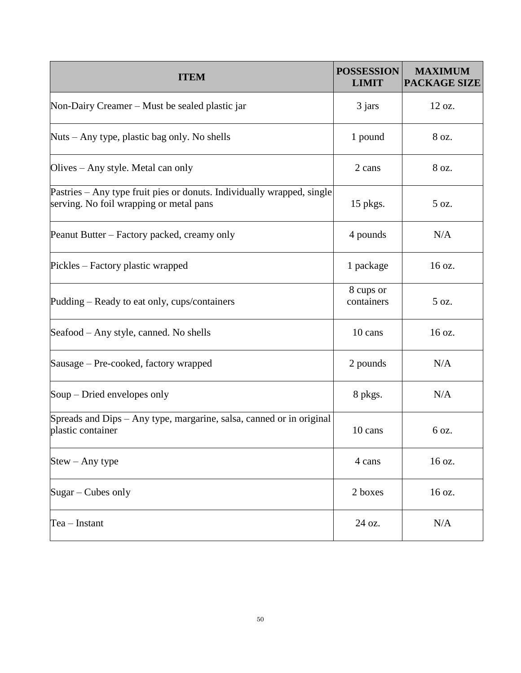| <b>ITEM</b>                                                                                                       | <b>POSSESSION</b><br><b>LIMIT</b> | <b>MAXIMUM</b><br><b>PACKAGE SIZE</b> |
|-------------------------------------------------------------------------------------------------------------------|-----------------------------------|---------------------------------------|
| Non-Dairy Creamer – Must be sealed plastic jar                                                                    | 3 jars                            | 12 oz.                                |
| Nuts – Any type, plastic bag only. No shells                                                                      | 1 pound                           | 8 oz.                                 |
| Olives – Any style. Metal can only                                                                                | 2 cans                            | 8 oz.                                 |
| Pastries – Any type fruit pies or donuts. Individually wrapped, single<br>serving. No foil wrapping or metal pans | $15$ pkgs.                        | 5 oz.                                 |
| Peanut Butter – Factory packed, creamy only                                                                       | 4 pounds                          | N/A                                   |
| Pickles – Factory plastic wrapped                                                                                 | 1 package                         | 16 oz.                                |
| Pudding – Ready to eat only, cups/containers                                                                      | 8 cups or<br>containers           | 5 oz.                                 |
| Seafood – Any style, canned. No shells                                                                            | 10 cans                           | 16 oz.                                |
| Sausage – Pre-cooked, factory wrapped                                                                             | 2 pounds                          | N/A                                   |
| Soup – Dried envelopes only                                                                                       | 8 pkgs.                           | N/A                                   |
| Spreads and Dips – Any type, margarine, salsa, canned or in original<br>plastic container                         | 10 cans                           | 6 oz.                                 |
| $Stew - Any type$                                                                                                 | 4 cans                            | 16 oz.                                |
| $Sugar - Cubes only$                                                                                              | 2 boxes                           | 16 oz.                                |
| $Tea$ – Instant                                                                                                   | 24 oz.                            | N/A                                   |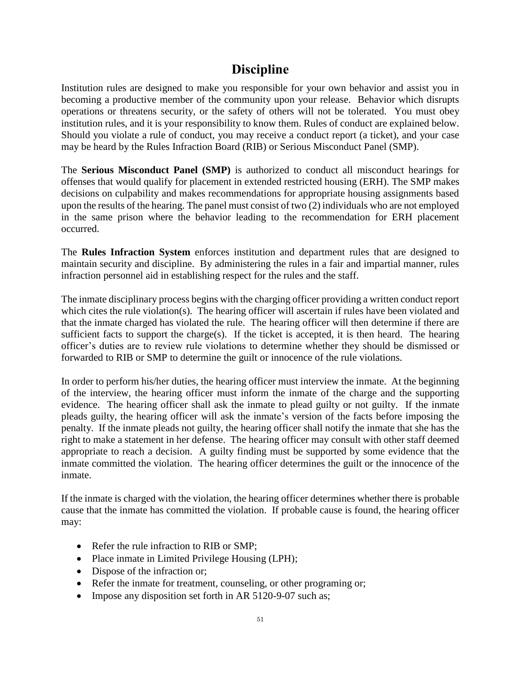## **Discipline**

Institution rules are designed to make you responsible for your own behavior and assist you in becoming a productive member of the community upon your release. Behavior which disrupts operations or threatens security, or the safety of others will not be tolerated. You must obey institution rules, and it is your responsibility to know them. Rules of conduct are explained below. Should you violate a rule of conduct, you may receive a conduct report (a ticket), and your case may be heard by the Rules Infraction Board (RIB) or Serious Misconduct Panel (SMP).

The **Serious Misconduct Panel (SMP)** is authorized to conduct all misconduct hearings for offenses that would qualify for placement in extended restricted housing (ERH). The SMP makes decisions on culpability and makes recommendations for appropriate housing assignments based upon the results of the hearing. The panel must consist of two (2) individuals who are not employed in the same prison where the behavior leading to the recommendation for ERH placement occurred.

The **Rules Infraction System** enforces institution and department rules that are designed to maintain security and discipline. By administering the rules in a fair and impartial manner, rules infraction personnel aid in establishing respect for the rules and the staff.

The inmate disciplinary process begins with the charging officer providing a written conduct report which cites the rule violation(s). The hearing officer will ascertain if rules have been violated and that the inmate charged has violated the rule. The hearing officer will then determine if there are sufficient facts to support the charge(s). If the ticket is accepted, it is then heard. The hearing officer's duties are to review rule violations to determine whether they should be dismissed or forwarded to RIB or SMP to determine the guilt or innocence of the rule violations.

In order to perform his/her duties, the hearing officer must interview the inmate. At the beginning of the interview*,* the hearing officer must inform the inmate of the charge and the supporting evidence. The hearing officer shall ask the inmate to plead guilty or not guilty. If the inmate pleads guilty, the hearing officer will ask the inmate's version of the facts before imposing the penalty. If the inmate pleads not guilty, the hearing officer shall notify the inmate that she has the right to make a statement in her defense. The hearing officer may consult with other staff deemed appropriate to reach a decision. A guilty finding must be supported by some evidence that the inmate committed the violation. The hearing officer determines the guilt or the innocence of the inmate.

If the inmate is charged with the violation, the hearing officer determines whether there is probable cause that the inmate has committed the violation. If probable cause is found, the hearing officer may:

- Refer the rule infraction to RIB or SMP;
- Place inmate in Limited Privilege Housing (LPH);
- Dispose of the infraction or;
- Refer the inmate for treatment, counseling, or other programing or;
- Impose any disposition set forth in AR 5120-9-07 such as;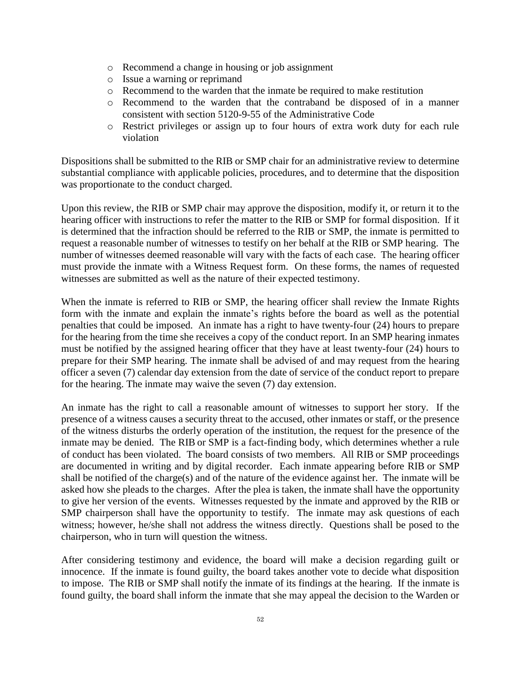- o Recommend a change in housing or job assignment
- o Issue a warning or reprimand
- o Recommend to the warden that the inmate be required to make restitution
- o Recommend to the warden that the contraband be disposed of in a manner consistent with section 5120-9-55 of the Administrative Code
- o Restrict privileges or assign up to four hours of extra work duty for each rule violation

Dispositions shall be submitted to the RIB or SMP chair for an administrative review to determine substantial compliance with applicable policies, procedures, and to determine that the disposition was proportionate to the conduct charged.

Upon this review, the RIB or SMP chair may approve the disposition, modify it, or return it to the hearing officer with instructions to refer the matter to the RIB or SMP for formal disposition. If it is determined that the infraction should be referred to the RIB or SMP, the inmate is permitted to request a reasonable number of witnesses to testify on her behalf at the RIB or SMP hearing. The number of witnesses deemed reasonable will vary with the facts of each case. The hearing officer must provide the inmate with a Witness Request form. On these forms, the names of requested witnesses are submitted as well as the nature of their expected testimony.

When the inmate is referred to RIB or SMP, the hearing officer shall review the Inmate Rights form with the inmate and explain the inmate's rights before the board as well as the potential penalties that could be imposed. An inmate has a right to have twenty-four (24) hours to prepare for the hearing from the time she receives a copy of the conduct report. In an SMP hearing inmates must be notified by the assigned hearing officer that they have at least twenty-four (24) hours to prepare for their SMP hearing. The inmate shall be advised of and may request from the hearing officer a seven (7) calendar day extension from the date of service of the conduct report to prepare for the hearing. The inmate may waive the seven (7) day extension.

An inmate has the right to call a reasonable amount of witnesses to support her story. If the presence of a witness causes a security threat to the accused, other inmates or staff, or the presence of the witness disturbs the orderly operation of the institution, the request for the presence of the inmate may be denied. The RIB or SMP is a fact-finding body, which determines whether a rule of conduct has been violated. The board consists of two members. All RIB or SMP proceedings are documented in writing and by digital recorder. Each inmate appearing before RIB or SMP shall be notified of the charge(s) and of the nature of the evidence against her. The inmate will be asked how she pleads to the charges. After the plea is taken, the inmate shall have the opportunity to give her version of the events. Witnesses requested by the inmate and approved by the RIB or SMP chairperson shall have the opportunity to testify. The inmate may ask questions of each witness; however, he/she shall not address the witness directly. Questions shall be posed to the chairperson, who in turn will question the witness.

After considering testimony and evidence, the board will make a decision regarding guilt or innocence. If the inmate is found guilty, the board takes another vote to decide what disposition to impose. The RIB or SMP shall notify the inmate of its findings at the hearing. If the inmate is found guilty, the board shall inform the inmate that she may appeal the decision to the Warden or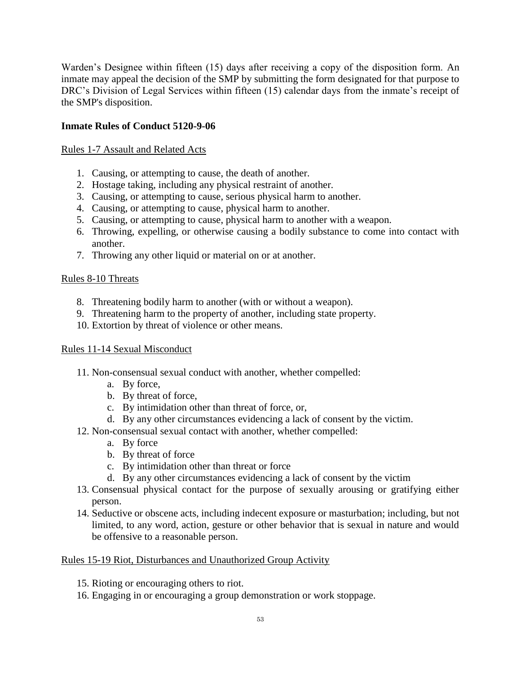Warden's Designee within fifteen (15) days after receiving a copy of the disposition form. An inmate may appeal the decision of the SMP by submitting the form designated for that purpose to DRC's Division of Legal Services within fifteen (15) calendar days from the inmate's receipt of the SMP's disposition.

### **Inmate Rules of Conduct 5120-9-06**

#### Rules 1-7 Assault and Related Acts

- 1. Causing, or attempting to cause, the death of another.
- 2. Hostage taking, including any physical restraint of another.
- 3. Causing, or attempting to cause, serious physical harm to another.
- 4. Causing, or attempting to cause, physical harm to another.
- 5. Causing, or attempting to cause, physical harm to another with a weapon.
- 6. Throwing, expelling, or otherwise causing a bodily substance to come into contact with another.
- 7. Throwing any other liquid or material on or at another.

#### Rules 8-10 Threats

- 8. Threatening bodily harm to another (with or without a weapon).
- 9. Threatening harm to the property of another, including state property.
- 10. Extortion by threat of violence or other means.

#### Rules 11-14 Sexual Misconduct

- 11. Non-consensual sexual conduct with another, whether compelled:
	- a. By force,
	- b. By threat of force,
	- c. By intimidation other than threat of force, or,
	- d. By any other circumstances evidencing a lack of consent by the victim.
- 12. Non-consensual sexual contact with another, whether compelled:
	- a. By force
	- b. By threat of force
	- c. By intimidation other than threat or force
	- d. By any other circumstances evidencing a lack of consent by the victim
- 13. Consensual physical contact for the purpose of sexually arousing or gratifying either person.
- 14. Seductive or obscene acts, including indecent exposure or masturbation; including, but not limited, to any word, action, gesture or other behavior that is sexual in nature and would be offensive to a reasonable person.

#### Rules 15-19 Riot, Disturbances and Unauthorized Group Activity

- 15. Rioting or encouraging others to riot.
- 16. Engaging in or encouraging a group demonstration or work stoppage.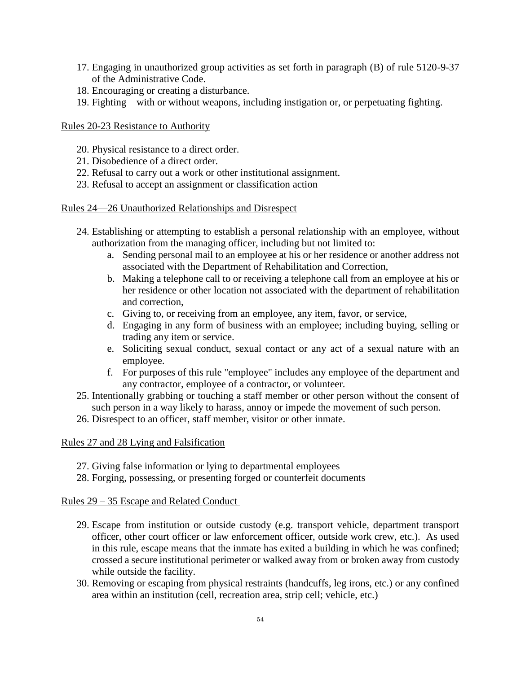- 17. Engaging in unauthorized group activities as set forth in paragraph (B) of rule 5120-9-37 of the Administrative Code.
- 18. Encouraging or creating a disturbance.
- 19. Fighting with or without weapons, including instigation or, or perpetuating fighting.

#### Rules 20-23 Resistance to Authority

- 20. Physical resistance to a direct order.
- 21. Disobedience of a direct order.
- 22. Refusal to carry out a work or other institutional assignment.
- 23. Refusal to accept an assignment or classification action

#### Rules 24—26 Unauthorized Relationships and Disrespect

- 24. Establishing or attempting to establish a personal relationship with an employee, without authorization from the managing officer, including but not limited to:
	- a. Sending personal mail to an employee at his or her residence or another address not associated with the Department of Rehabilitation and Correction,
	- b. Making a telephone call to or receiving a telephone call from an employee at his or her residence or other location not associated with the department of rehabilitation and correction,
	- c. Giving to, or receiving from an employee, any item, favor, or service,
	- d. Engaging in any form of business with an employee; including buying, selling or trading any item or service.
	- e. Soliciting sexual conduct, sexual contact or any act of a sexual nature with an employee.
	- f. For purposes of this rule "employee" includes any employee of the department and any contractor, employee of a contractor, or volunteer.
- 25. Intentionally grabbing or touching a staff member or other person without the consent of such person in a way likely to harass, annoy or impede the movement of such person.
- 26. Disrespect to an officer, staff member, visitor or other inmate.

#### Rules 27 and 28 Lying and Falsification

- 27. Giving false information or lying to departmental employees
- 28. Forging, possessing, or presenting forged or counterfeit documents

#### Rules 29 – 35 Escape and Related Conduct

- 29. Escape from institution or outside custody (e.g. transport vehicle, department transport officer, other court officer or law enforcement officer, outside work crew, etc.). As used in this rule, escape means that the inmate has exited a building in which he was confined; crossed a secure institutional perimeter or walked away from or broken away from custody while outside the facility.
- 30. Removing or escaping from physical restraints (handcuffs, leg irons, etc.) or any confined area within an institution (cell, recreation area, strip cell; vehicle, etc.)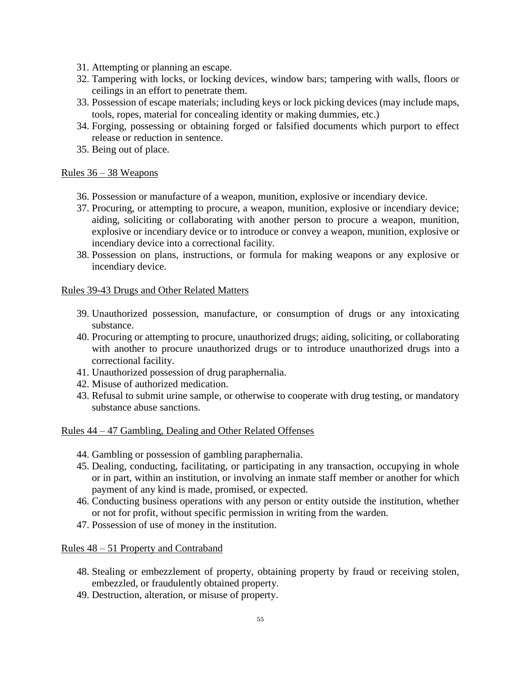- 31. Attempting or planning an escape.
- 32. Tampering with locks, or locking devices, window bars; tampering with walls, floors or ceilings in an effort to penetrate them.
- 33. Possession of escape materials; including keys or lock picking devices (may include maps, tools, ropes, material for concealing identity or making dummies, etc.)
- 34. Forging, possessing or obtaining forged or falsified documents which purport to effect release or reduction in sentence.
- 35. Being out of place.

#### Rules 36 – 38 Weapons

- 36. Possession or manufacture of a weapon, munition, explosive or incendiary device.
- 37. Procuring, or attempting to procure, a weapon, munition, explosive or incendiary device; aiding, soliciting or collaborating with another person to procure a weapon, munition, explosive or incendiary device or to introduce or convey a weapon, munition, explosive or incendiary device into a correctional facility.
- 38. Possession on plans, instructions, or formula for making weapons or any explosive or incendiary device.

#### Rules 39-43 Drugs and Other Related Matters

- 39. Unauthorized possession, manufacture, or consumption of drugs or any intoxicating substance.
- 40. Procuring or attempting to procure, unauthorized drugs; aiding, soliciting, or collaborating with another to procure unauthorized drugs or to introduce unauthorized drugs into a correctional facility.
- 41. Unauthorized possession of drug paraphernalia.
- 42. Misuse of authorized medication.
- 43. Refusal to submit urine sample, or otherwise to cooperate with drug testing, or mandatory substance abuse sanctions.

#### Rules 44 – 47 Gambling, Dealing and Other Related Offenses

- 44. Gambling or possession of gambling paraphernalia.
- 45. Dealing, conducting, facilitating, or participating in any transaction, occupying in whole or in part, within an institution, or involving an inmate staff member or another for which payment of any kind is made, promised, or expected.
- 46. Conducting business operations with any person or entity outside the institution, whether or not for profit, without specific permission in writing from the warden.
- 47. Possession of use of money in the institution.

Rules 48 – 51 Property and Contraband

- 48. Stealing or embezzlement of property, obtaining property by fraud or receiving stolen, embezzled, or fraudulently obtained property.
- 49. Destruction, alteration, or misuse of property.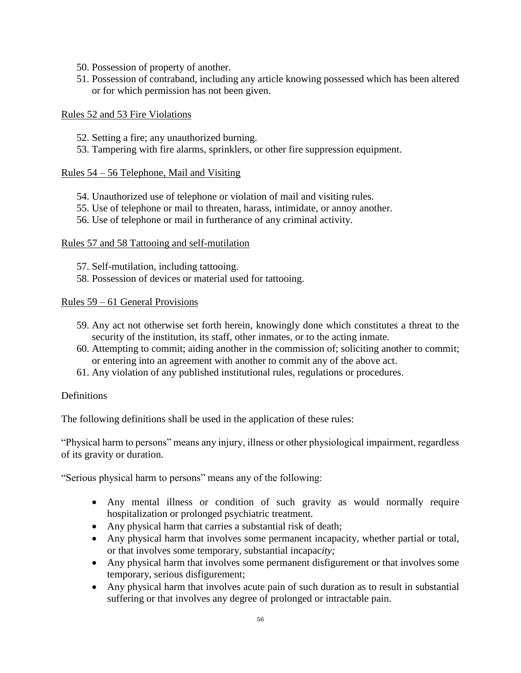- 50. Possession of property of another.
- 51. Possession of contraband, including any article knowing possessed which has been altered or for which permission has not been given.

#### Rules 52 and 53 Fire Violations

- 52. Setting a fire; any unauthorized burning.
- 53. Tampering with fire alarms, sprinklers, or other fire suppression equipment.

#### Rules 54 – 56 Telephone, Mail and Visiting

- 54. Unauthorized use of telephone or violation of mail and visiting rules.
- 55. Use of telephone or mail to threaten, harass, intimidate, or annoy another.
- 56. Use of telephone or mail in furtherance of any criminal activity.

#### Rules 57 and 58 Tattooing and self-mutilation

- 57. Self-mutilation, including tattooing.
- 58. Possession of devices or material used for tattooing.

#### Rules 59 – 61 General Provisions

- 59. Any act not otherwise set forth herein, knowingly done which constitutes a threat to the security of the institution, its staff, other inmates, or to the acting inmate.
- 60. Attempting to commit; aiding another in the commission of; soliciting another to commit; or entering into an agreement with another to commit any of the above act.
- 61. Any violation of any published institutional rules, regulations or procedures.

#### **Definitions**

The following definitions shall be used in the application of these rules:

"Physical harm to persons" means any injury, illness or other physiological impairment, regardless of its gravity or duration.

"Serious physical harm to persons" means any of the following:

- Any mental illness or condition of such gravity as would normally require hospitalization or prolonged psychiatric treatment*.*
- Any physical harm that carries a substantial risk of death;
- Any physical harm that involves some permanent incapacity, whether partial or total, or that involves some temporary, substantial incapac*ity;*
- Any physical harm that involves some permanent disfigurement or that involves some temporary, serious disfigurement;
- Any physical harm that involves acute pain of such duration as to result in substantial suffering or that involves any degree of prolonged or intractable pain.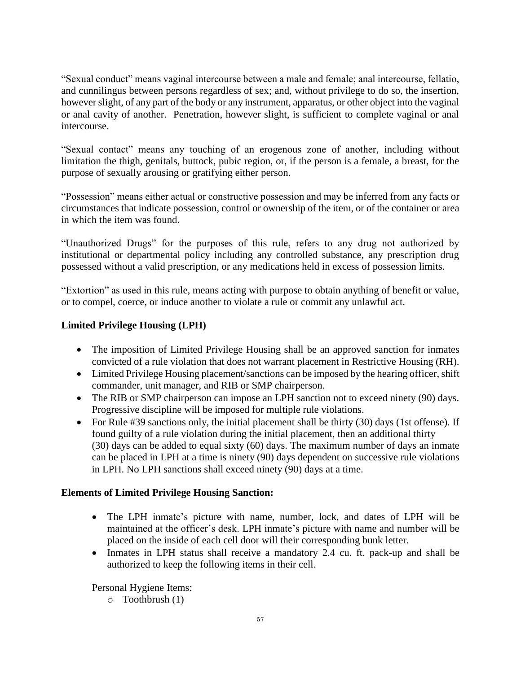"Sexual conduct" means vaginal intercourse between a male and female; anal intercourse, fellatio, and cunnilingus between persons regardless of sex; and, without privilege to do so, the insertion, however slight, of any part of the body or any instrument, apparatus, or other object into the vaginal or anal cavity of another. Penetration, however slight, is sufficient to complete vaginal or anal intercourse.

"Sexual contact" means any touching of an erogenous zone of another, including without limitation the thigh, genitals, buttock, pubic region, or, if the person is a female, a breast, for the purpose of sexually arousing or gratifying either person.

"Possession" means either actual or constructive possession and may be inferred from any facts or circumstances that indicate possession, control or ownership of the item, or of the container or area in which the item was found.

"Unauthorized Drugs" for the purposes of this rule, refers to any drug not authorized by institutional or departmental policy including any controlled substance, any prescription drug possessed without a valid prescription, or any medications held in excess of possession limits.

"Extortion" as used in this rule, means acting with purpose to obtain anything of benefit or value, or to compel, coerce, or induce another to violate a rule or commit any unlawful act.

## **Limited Privilege Housing (LPH)**

- The imposition of Limited Privilege Housing shall be an approved sanction for inmates convicted of a rule violation that does not warrant placement in Restrictive Housing (RH).
- Limited Privilege Housing placement/sanctions can be imposed by the hearing officer, shift commander, unit manager, and RIB or SMP chairperson.
- The RIB or SMP chairperson can impose an LPH sanction not to exceed ninety (90) days. Progressive discipline will be imposed for multiple rule violations.
- For Rule #39 sanctions only, the initial placement shall be thirty (30) days (1st offense). If found guilty of a rule violation during the initial placement, then an additional thirty (30) days can be added to equal sixty (60) days. The maximum number of days an inmate can be placed in LPH at a time is ninety (90) days dependent on successive rule violations in LPH. No LPH sanctions shall exceed ninety (90) days at a time.

## **Elements of Limited Privilege Housing Sanction:**

- The LPH inmate's picture with name, number, lock, and dates of LPH will be maintained at the officer's desk. LPH inmate's picture with name and number will be placed on the inside of each cell door will their corresponding bunk letter.
- Inmates in LPH status shall receive a mandatory 2.4 cu. ft. pack-up and shall be authorized to keep the following items in their cell.

Personal Hygiene Items:

o Toothbrush (1)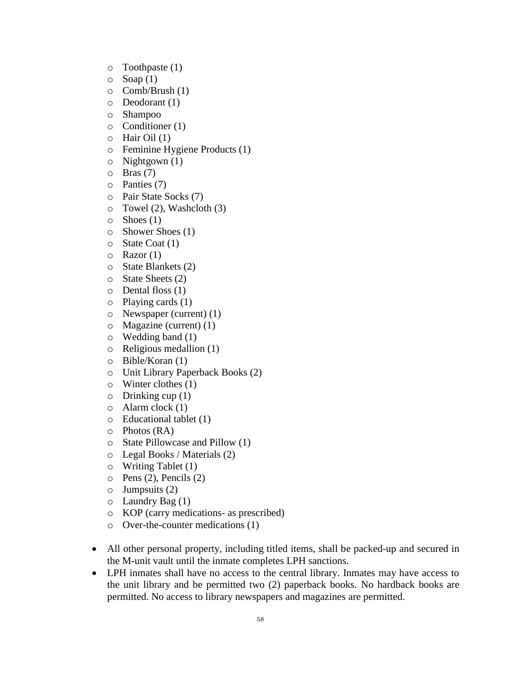- o Toothpaste (1)
- $\circ$  Soap (1)
- o Comb/Brush (1)
- o Deodorant (1)
- o Shampoo
- o Conditioner (1)
- $\circ$  Hair Oil (1)
- o Feminine Hygiene Products (1)
- $\circ$  Nightgown (1)
- $\circ$  Bras (7)
- o Panties (7)
- o Pair State Socks (7)
- $\circ$  Towel (2), Washcloth (3)
- $\circ$  Shoes (1)
- o Shower Shoes (1)
- $\circ$  State Coat (1)
- $\circ$  Razor (1)
- o State Blankets (2)
- o State Sheets (2)
- o Dental floss (1)
- o Playing cards (1)
- $\circ$  Newspaper (current) (1)
- o Magazine (current) (1)
- $\circ$  Wedding band (1)
- o Religious medallion (1)
- o Bible/Koran (1)
- o Unit Library Paperback Books (2)
- o Winter clothes (1)
- $\circ$  Drinking cup (1)
- $\circ$  Alarm clock (1)
- o Educational tablet (1)
- o Photos (RA)
- o State Pillowcase and Pillow (1)
- o Legal Books / Materials (2)
- o Writing Tablet (1)
- $\circ$  Pens (2), Pencils (2)
- $\circ$  Jumpsuits (2)
- $\circ$  Laundry Bag (1)
- o KOP (carry medications- as prescribed)
- o Over-the-counter medications (1)
- All other personal property, including titled items, shall be packed-up and secured in the M-unit vault until the inmate completes LPH sanctions.
- LPH inmates shall have no access to the central library. Inmates may have access to the unit library and be permitted two (2) paperback books. No hardback books are permitted. No access to library newspapers and magazines are permitted.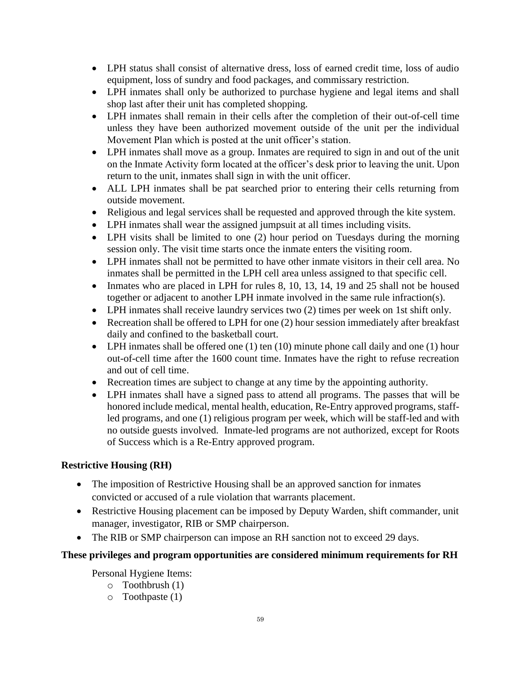- LPH status shall consist of alternative dress, loss of earned credit time, loss of audio equipment, loss of sundry and food packages, and commissary restriction.
- LPH inmates shall only be authorized to purchase hygiene and legal items and shall shop last after their unit has completed shopping.
- LPH inmates shall remain in their cells after the completion of their out-of-cell time unless they have been authorized movement outside of the unit per the individual Movement Plan which is posted at the unit officer's station.
- LPH inmates shall move as a group. Inmates are required to sign in and out of the unit on the Inmate Activity form located at the officer's desk prior to leaving the unit. Upon return to the unit, inmates shall sign in with the unit officer.
- ALL LPH inmates shall be pat searched prior to entering their cells returning from outside movement.
- Religious and legal services shall be requested and approved through the kite system.
- LPH inmates shall wear the assigned jumpsuit at all times including visits.
- LPH visits shall be limited to one (2) hour period on Tuesdays during the morning session only. The visit time starts once the inmate enters the visiting room.
- LPH inmates shall not be permitted to have other inmate visitors in their cell area. No inmates shall be permitted in the LPH cell area unless assigned to that specific cell.
- Inmates who are placed in LPH for rules 8, 10, 13, 14, 19 and 25 shall not be housed together or adjacent to another LPH inmate involved in the same rule infraction(s).
- LPH inmates shall receive laundry services two (2) times per week on 1st shift only.
- Recreation shall be offered to LPH for one (2) hour session immediately after breakfast daily and confined to the basketball court.
- LPH inmates shall be offered one  $(1)$  ten  $(10)$  minute phone call daily and one  $(1)$  hour out-of-cell time after the 1600 count time. Inmates have the right to refuse recreation and out of cell time.
- Recreation times are subject to change at any time by the appointing authority.
- LPH inmates shall have a signed pass to attend all programs. The passes that will be honored include medical, mental health, education, Re-Entry approved programs, staffled programs, and one (1) religious program per week, which will be staff-led and with no outside guests involved. Inmate-led programs are not authorized, except for Roots of Success which is a Re-Entry approved program.

## **Restrictive Housing (RH)**

- The imposition of Restrictive Housing shall be an approved sanction for inmates convicted or accused of a rule violation that warrants placement.
- Restrictive Housing placement can be imposed by Deputy Warden, shift commander, unit manager, investigator, RIB or SMP chairperson.
- The RIB or SMP chairperson can impose an RH sanction not to exceed 29 days.

## **These privileges and program opportunities are considered minimum requirements for RH**

Personal Hygiene Items:

- o Toothbrush (1)
- o Toothpaste (1)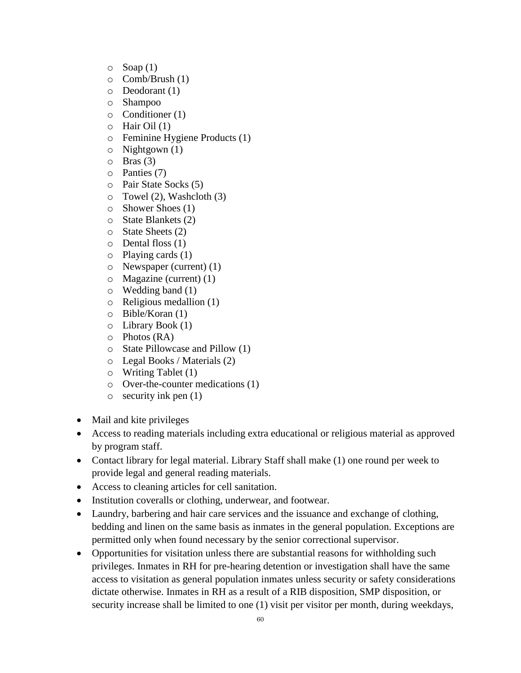- $\circ$  Soap (1)
- o Comb/Brush (1)
- o Deodorant (1)
- o Shampoo
- o Conditioner (1)
- $\circ$  Hair Oil (1)
- o Feminine Hygiene Products (1)
- o Nightgown (1)
- $\circ$  Bras (3)
- o Panties (7)
- o Pair State Socks (5)
- $\circ$  Towel (2), Washcloth (3)
- o Shower Shoes (1)
- o State Blankets (2)
- o State Sheets (2)
- $\circ$  Dental floss (1)
- o Playing cards (1)
- o Newspaper (current) (1)
- o Magazine (current) (1)
- $\circ$  Wedding band (1)
- o Religious medallion (1)
- o Bible/Koran (1)
- o Library Book (1)
- o Photos (RA)
- o State Pillowcase and Pillow (1)
- o Legal Books / Materials (2)
- o Writing Tablet (1)
- o Over-the-counter medications (1)
- o security ink pen (1)
- Mail and kite privileges
- Access to reading materials including extra educational or religious material as approved by program staff.
- Contact library for legal material. Library Staff shall make (1) one round per week to provide legal and general reading materials.
- Access to cleaning articles for cell sanitation.
- Institution coveralls or clothing, underwear, and footwear.
- Laundry, barbering and hair care services and the issuance and exchange of clothing, bedding and linen on the same basis as inmates in the general population. Exceptions are permitted only when found necessary by the senior correctional supervisor.
- Opportunities for visitation unless there are substantial reasons for withholding such privileges. Inmates in RH for pre-hearing detention or investigation shall have the same access to visitation as general population inmates unless security or safety considerations dictate otherwise. Inmates in RH as a result of a RIB disposition, SMP disposition, or security increase shall be limited to one (1) visit per visitor per month, during weekdays,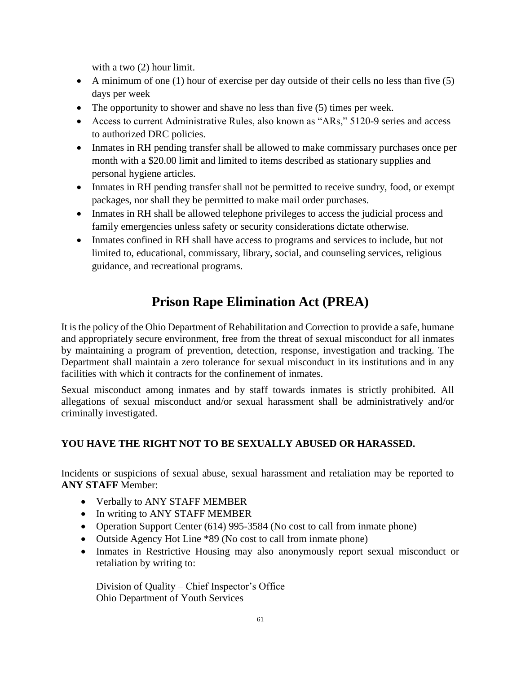with a two  $(2)$  hour limit.

- A minimum of one (1) hour of exercise per day outside of their cells no less than five (5) days per week
- The opportunity to shower and shave no less than five (5) times per week.
- Access to current Administrative Rules, also known as "ARs," 5120-9 series and access to authorized DRC policies.
- Inmates in RH pending transfer shall be allowed to make commissary purchases once per month with a \$20.00 limit and limited to items described as stationary supplies and personal hygiene articles.
- Inmates in RH pending transfer shall not be permitted to receive sundry, food, or exempt packages, nor shall they be permitted to make mail order purchases.
- Inmates in RH shall be allowed telephone privileges to access the judicial process and family emergencies unless safety or security considerations dictate otherwise.
- Inmates confined in RH shall have access to programs and services to include, but not limited to, educational, commissary, library, social, and counseling services, religious guidance, and recreational programs.

# **Prison Rape Elimination Act (PREA)**

It is the policy of the Ohio Department of Rehabilitation and Correction to provide a safe, humane and appropriately secure environment, free from the threat of sexual misconduct for all inmates by maintaining a program of prevention, detection, response, investigation and tracking. The Department shall maintain a zero tolerance for sexual misconduct in its institutions and in any facilities with which it contracts for the confinement of inmates.

Sexual misconduct among inmates and by staff towards inmates is strictly prohibited. All allegations of sexual misconduct and/or sexual harassment shall be administratively and/or criminally investigated.

## **YOU HAVE THE RIGHT NOT TO BE SEXUALLY ABUSED OR HARASSED.**

Incidents or suspicions of sexual abuse, sexual harassment and retaliation may be reported to **ANY STAFF** Member:

- Verbally to ANY STAFF MEMBER
- In writing to ANY STAFF MEMBER
- Operation Support Center (614) 995-3584 (No cost to call from inmate phone)
- Outside Agency Hot Line \*89 (No cost to call from inmate phone)
- Inmates in Restrictive Housing may also anonymously report sexual misconduct or retaliation by writing to:

Division of Quality – Chief Inspector's Office Ohio Department of Youth Services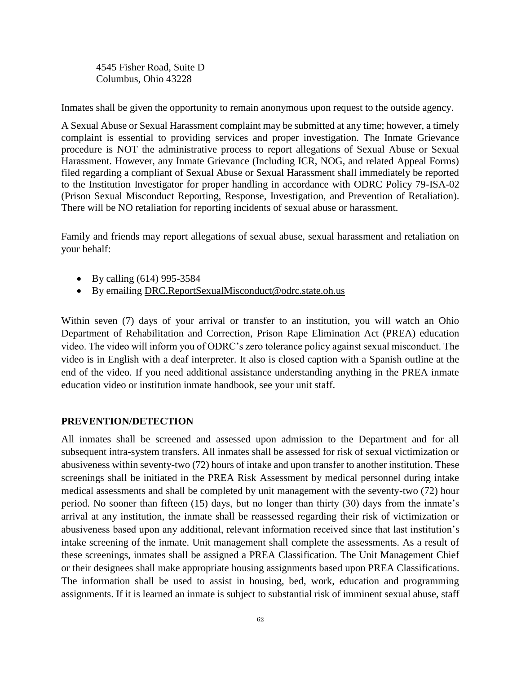4545 Fisher Road, Suite D Columbus, Ohio 43228

Inmates shall be given the opportunity to remain anonymous upon request to the outside agency.

A Sexual Abuse or Sexual Harassment complaint may be submitted at any time; however, a timely complaint is essential to providing services and proper investigation. The Inmate Grievance procedure is NOT the administrative process to report allegations of Sexual Abuse or Sexual Harassment. However, any Inmate Grievance (Including ICR, NOG, and related Appeal Forms) filed regarding a compliant of Sexual Abuse or Sexual Harassment shall immediately be reported to the Institution Investigator for proper handling in accordance with ODRC Policy 79-ISA-02 (Prison Sexual Misconduct Reporting, Response, Investigation, and Prevention of Retaliation). There will be NO retaliation for reporting incidents of sexual abuse or harassment.

Family and friends may report allegations of sexual abuse, sexual harassment and retaliation on your behalf:

- By calling (614) 995-3584
- By emailing [DRC.ReportSexualMisconduct@odrc.state.oh.us](mailto:DRC.ReportSexualMisconduct@odrc.state.oh.us)

Within seven (7) days of your arrival or transfer to an institution, you will watch an Ohio Department of Rehabilitation and Correction, Prison Rape Elimination Act (PREA) education video. The video will inform you of ODRC's zero tolerance policy against sexual misconduct. The video is in English with a deaf interpreter. It also is closed caption with a Spanish outline at the end of the video. If you need additional assistance understanding anything in the PREA inmate education video or institution inmate handbook, see your unit staff.

#### **PREVENTION/DETECTION**

All inmates shall be screened and assessed upon admission to the Department and for all subsequent intra-system transfers. All inmates shall be assessed for risk of sexual victimization or abusiveness within seventy-two (72) hours of intake and upon transfer to another institution. These screenings shall be initiated in the PREA Risk Assessment by medical personnel during intake medical assessments and shall be completed by unit management with the seventy-two (72) hour period. No sooner than fifteen (15) days, but no longer than thirty (30) days from the inmate's arrival at any institution, the inmate shall be reassessed regarding their risk of victimization or abusiveness based upon any additional, relevant information received since that last institution's intake screening of the inmate. Unit management shall complete the assessments. As a result of these screenings, inmates shall be assigned a PREA Classification. The Unit Management Chief or their designees shall make appropriate housing assignments based upon PREA Classifications. The information shall be used to assist in housing, bed, work, education and programming assignments. If it is learned an inmate is subject to substantial risk of imminent sexual abuse, staff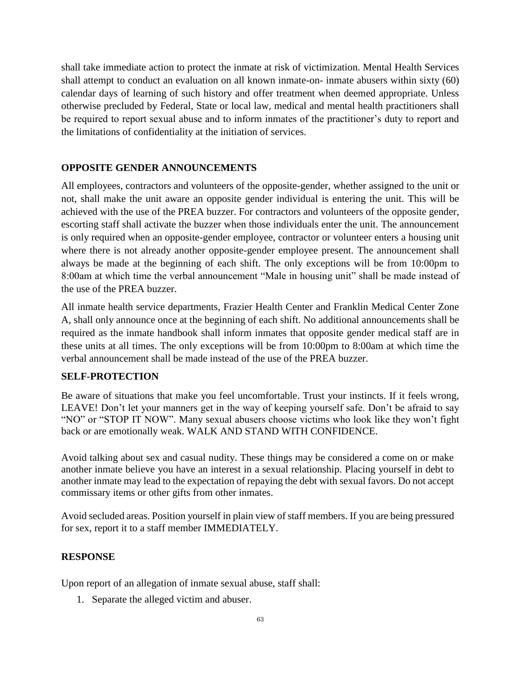shall take immediate action to protect the inmate at risk of victimization. Mental Health Services shall attempt to conduct an evaluation on all known inmate-on- inmate abusers within sixty (60) calendar days of learning of such history and offer treatment when deemed appropriate. Unless otherwise precluded by Federal, State or local law, medical and mental health practitioners shall be required to report sexual abuse and to inform inmates of the practitioner's duty to report and the limitations of confidentiality at the initiation of services.

## **OPPOSITE GENDER ANNOUNCEMENTS**

All employees, contractors and volunteers of the opposite-gender, whether assigned to the unit or not, shall make the unit aware an opposite gender individual is entering the unit. This will be achieved with the use of the PREA buzzer. For contractors and volunteers of the opposite gender, escorting staff shall activate the buzzer when those individuals enter the unit. The announcement is only required when an opposite-gender employee, contractor or volunteer enters a housing unit where there is not already another opposite-gender employee present. The announcement shall always be made at the beginning of each shift. The only exceptions will be from 10:00pm to 8:00am at which time the verbal announcement "Male in housing unit" shall be made instead of the use of the PREA buzzer.

All inmate health service departments, Frazier Health Center and Franklin Medical Center Zone A, shall only announce once at the beginning of each shift. No additional announcements shall be required as the inmate handbook shall inform inmates that opposite gender medical staff are in these units at all times. The only exceptions will be from 10:00pm to 8:00am at which time the verbal announcement shall be made instead of the use of the PREA buzzer.

## **SELF-PROTECTION**

Be aware of situations that make you feel uncomfortable. Trust your instincts. If it feels wrong, LEAVE! Don't let your manners get in the way of keeping yourself safe. Don't be afraid to say "NO" or "STOP IT NOW". Many sexual abusers choose victims who look like they won't fight back or are emotionally weak. WALK AND STAND WITH CONFIDENCE.

Avoid talking about sex and casual nudity. These things may be considered a come on or make another inmate believe you have an interest in a sexual relationship. Placing yourself in debt to another inmate may lead to the expectation of repaying the debt with sexual favors. Do not accept commissary items or other gifts from other inmates.

Avoid secluded areas. Position yourself in plain view of staff members. If you are being pressured for sex, report it to a staff member IMMEDIATELY.

## **RESPONSE**

Upon report of an allegation of inmate sexual abuse, staff shall:

1. Separate the alleged victim and abuser.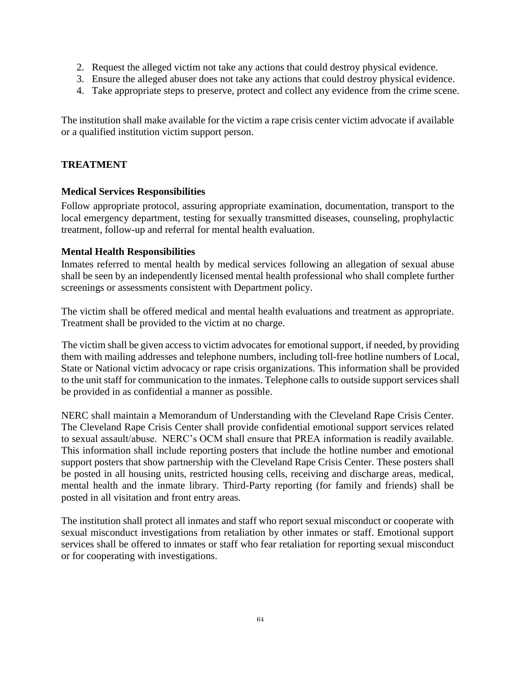- 2. Request the alleged victim not take any actions that could destroy physical evidence.
- 3. Ensure the alleged abuser does not take any actions that could destroy physical evidence.
- 4. Take appropriate steps to preserve, protect and collect any evidence from the crime scene.

The institution shall make available for the victim a rape crisis center victim advocate if available or a qualified institution victim support person.

#### **TREATMENT**

#### **Medical Services Responsibilities**

Follow appropriate protocol, assuring appropriate examination, documentation, transport to the local emergency department, testing for sexually transmitted diseases, counseling, prophylactic treatment, follow-up and referral for mental health evaluation.

#### **Mental Health Responsibilities**

Inmates referred to mental health by medical services following an allegation of sexual abuse shall be seen by an independently licensed mental health professional who shall complete further screenings or assessments consistent with Department policy.

The victim shall be offered medical and mental health evaluations and treatment as appropriate. Treatment shall be provided to the victim at no charge.

The victim shall be given access to victim advocates for emotional support, if needed, by providing them with mailing addresses and telephone numbers, including toll-free hotline numbers of Local, State or National victim advocacy or rape crisis organizations. This information shall be provided to the unit staff for communication to the inmates. Telephone calls to outside support services shall be provided in as confidential a manner as possible.

NERC shall maintain a Memorandum of Understanding with the Cleveland Rape Crisis Center. The Cleveland Rape Crisis Center shall provide confidential emotional support services related to sexual assault/abuse. NERC's OCM shall ensure that PREA information is readily available. This information shall include reporting posters that include the hotline number and emotional support posters that show partnership with the Cleveland Rape Crisis Center. These posters shall be posted in all housing units, restricted housing cells, receiving and discharge areas, medical, mental health and the inmate library. Third-Party reporting (for family and friends) shall be posted in all visitation and front entry areas.

The institution shall protect all inmates and staff who report sexual misconduct or cooperate with sexual misconduct investigations from retaliation by other inmates or staff. Emotional support services shall be offered to inmates or staff who fear retaliation for reporting sexual misconduct or for cooperating with investigations.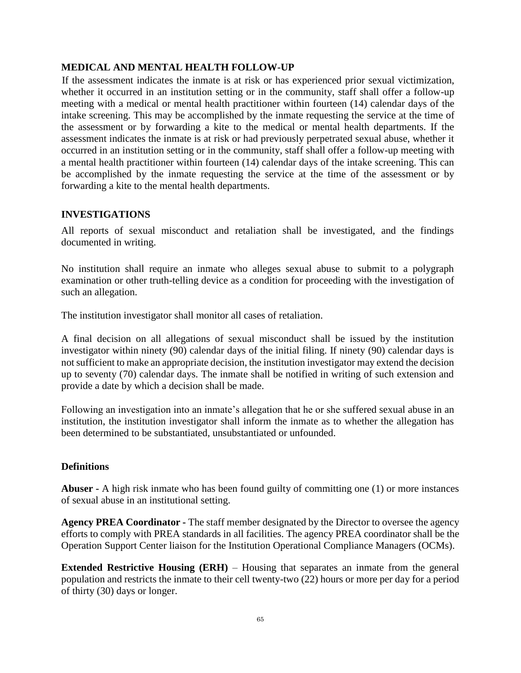#### **MEDICAL AND MENTAL HEALTH FOLLOW-UP**

If the assessment indicates the inmate is at risk or has experienced prior sexual victimization, whether it occurred in an institution setting or in the community, staff shall offer a follow-up meeting with a medical or mental health practitioner within fourteen (14) calendar days of the intake screening. This may be accomplished by the inmate requesting the service at the time of the assessment or by forwarding a kite to the medical or mental health departments. If the assessment indicates the inmate is at risk or had previously perpetrated sexual abuse, whether it occurred in an institution setting or in the community, staff shall offer a follow-up meeting with a mental health practitioner within fourteen (14) calendar days of the intake screening. This can be accomplished by the inmate requesting the service at the time of the assessment or by forwarding a kite to the mental health departments.

#### **INVESTIGATIONS**

All reports of sexual misconduct and retaliation shall be investigated, and the findings documented in writing.

No institution shall require an inmate who alleges sexual abuse to submit to a polygraph examination or other truth-telling device as a condition for proceeding with the investigation of such an allegation.

The institution investigator shall monitor all cases of retaliation.

A final decision on all allegations of sexual misconduct shall be issued by the institution investigator within ninety (90) calendar days of the initial filing. If ninety (90) calendar days is not sufficient to make an appropriate decision, the institution investigator may extend the decision up to seventy (70) calendar days. The inmate shall be notified in writing of such extension and provide a date by which a decision shall be made.

Following an investigation into an inmate's allegation that he or she suffered sexual abuse in an institution, the institution investigator shall inform the inmate as to whether the allegation has been determined to be substantiated, unsubstantiated or unfounded.

#### **Definitions**

**Abuser -** A high risk inmate who has been found guilty of committing one (1) or more instances of sexual abuse in an institutional setting.

**Agency PREA Coordinator -** The staff member designated by the Director to oversee the agency efforts to comply with PREA standards in all facilities. The agency PREA coordinator shall be the Operation Support Center liaison for the Institution Operational Compliance Managers (OCMs).

**Extended Restrictive Housing (ERH)** – Housing that separates an inmate from the general population and restricts the inmate to their cell twenty-two (22) hours or more per day for a period of thirty (30) days or longer.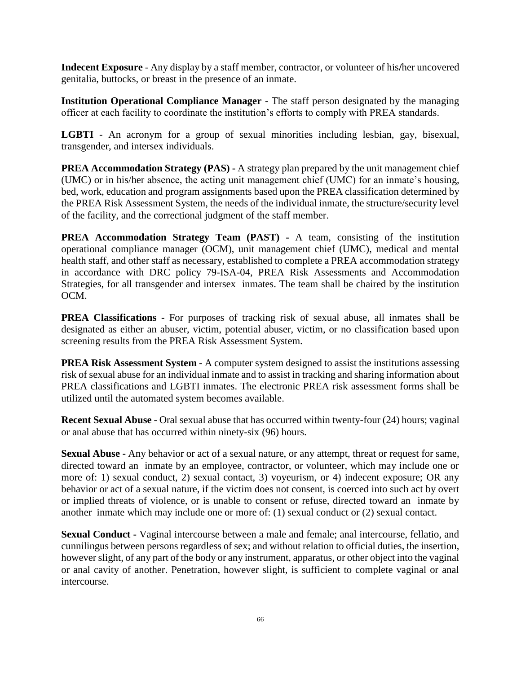**Indecent Exposure** - Any display by a staff member, contractor, or volunteer of his**/**her uncovered genitalia, buttocks, or breast in the presence of an inmate.

**Institution Operational Compliance Manager -** The staff person designated by the managing officer at each facility to coordinate the institution's efforts to comply with PREA standards.

**LGBTI** - An acronym for a group of sexual minorities including lesbian, gay, bisexual, transgender, and intersex individuals.

**PREA Accommodation Strategy (PAS) -** A strategy plan prepared by the unit management chief (UMC) or in his/her absence, the acting unit management chief (UMC) for an inmate's housing, bed, work, education and program assignments based upon the PREA classification determined by the PREA Risk Assessment System, the needs of the individual inmate, the structure/security level of the facility, and the correctional judgment of the staff member.

**PREA Accommodation Strategy Team (PAST) -** A team, consisting of the institution operational compliance manager (OCM), unit management chief (UMC), medical and mental health staff, and other staff as necessary, established to complete a PREA accommodation strategy in accordance with DRC policy 79-ISA-04, PREA Risk Assessments and Accommodation Strategies, for all transgender and intersex inmates. The team shall be chaired by the institution OCM.

**PREA Classifications -** For purposes of tracking risk of sexual abuse, all inmates shall be designated as either an abuser, victim, potential abuser, victim, or no classification based upon screening results from the PREA Risk Assessment System.

**PREA Risk Assessment System -** A computer system designed to assist the institutions assessing risk of sexual abuse for an individual inmate and to assist in tracking and sharing information about PREA classifications and LGBTI inmates. The electronic PREA risk assessment forms shall be utilized until the automated system becomes available.

**Recent Sexual Abuse** - Oral sexual abuse that has occurred within twenty-four (24) hours; vaginal or anal abuse that has occurred within ninety-six (96) hours.

**Sexual Abuse -** Any behavior or act of a sexual nature, or any attempt, threat or request for same, directed toward an inmate by an employee, contractor, or volunteer, which may include one or more of: 1) sexual conduct, 2) sexual contact, 3) voyeurism, or 4) indecent exposure; OR any behavior or act of a sexual nature, if the victim does not consent, is coerced into such act by overt or implied threats of violence, or is unable to consent or refuse, directed toward an inmate by another inmate which may include one or more of: (1) sexual conduct or (2) sexual contact.

**Sexual Conduct -** Vaginal intercourse between a male and female; anal intercourse, fellatio, and cunnilingus between persons regardless of sex; and without relation to official duties, the insertion, however slight, of any part of the body or any instrument, apparatus, or other object into the vaginal or anal cavity of another. Penetration, however slight, is sufficient to complete vaginal or anal intercourse.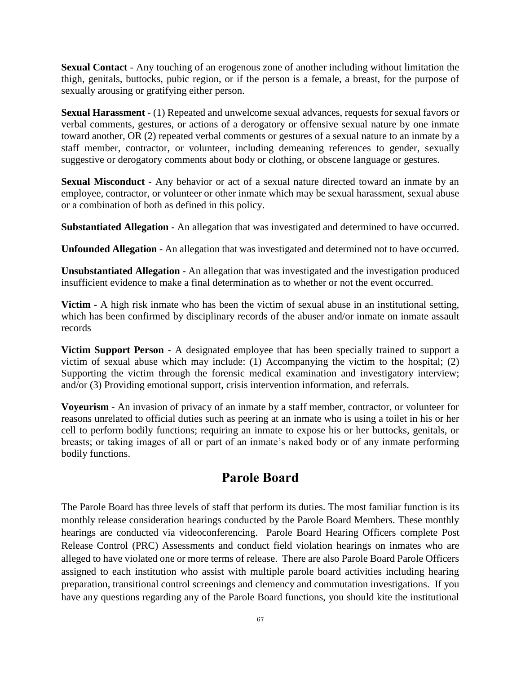**Sexual Contact** - Any touching of an erogenous zone of another including without limitation the thigh, genitals, buttocks, pubic region, or if the person is a female, a breast, for the purpose of sexually arousing or gratifying either person.

**Sexual Harassment** - (1) Repeated and unwelcome sexual advances, requests for sexual favors or verbal comments, gestures, or actions of a derogatory or offensive sexual nature by one inmate toward another, OR (2) repeated verbal comments or gestures of a sexual nature to an inmate by a staff member, contractor, or volunteer, including demeaning references to gender, sexually suggestive or derogatory comments about body or clothing, or obscene language or gestures.

**Sexual Misconduct** - Any behavior or act of a sexual nature directed toward an inmate by an employee, contractor, or volunteer or other inmate which may be sexual harassment, sexual abuse or a combination of both as defined in this policy.

**Substantiated Allegation -** An allegation that was investigated and determined to have occurred.

**Unfounded Allegation -** An allegation that was investigated and determined not to have occurred.

**Unsubstantiated Allegation -** An allegation that was investigated and the investigation produced insufficient evidence to make a final determination as to whether or not the event occurred.

**Victim -** A high risk inmate who has been the victim of sexual abuse in an institutional setting, which has been confirmed by disciplinary records of the abuser and/or inmate on inmate assault records

**Victim Support Person** - A designated employee that has been specially trained to support a victim of sexual abuse which may include: (1) Accompanying the victim to the hospital; (2) Supporting the victim through the forensic medical examination and investigatory interview; and/or (3) Providing emotional support, crisis intervention information, and referrals.

**Voyeurism -** An invasion of privacy of an inmate by a staff member, contractor, or volunteer for reasons unrelated to official duties such as peering at an inmate who is using a toilet in his or her cell to perform bodily functions; requiring an inmate to expose his or her buttocks, genitals, or breasts; or taking images of all or part of an inmate's naked body or of any inmate performing bodily functions.

## **Parole Board**

The Parole Board has three levels of staff that perform its duties. The most familiar function is its monthly release consideration hearings conducted by the Parole Board Members. These monthly hearings are conducted via videoconferencing. Parole Board Hearing Officers complete Post Release Control (PRC) Assessments and conduct field violation hearings on inmates who are alleged to have violated one or more terms of release. There are also Parole Board Parole Officers assigned to each institution who assist with multiple parole board activities including hearing preparation, transitional control screenings and clemency and commutation investigations. If you have any questions regarding any of the Parole Board functions, you should kite the institutional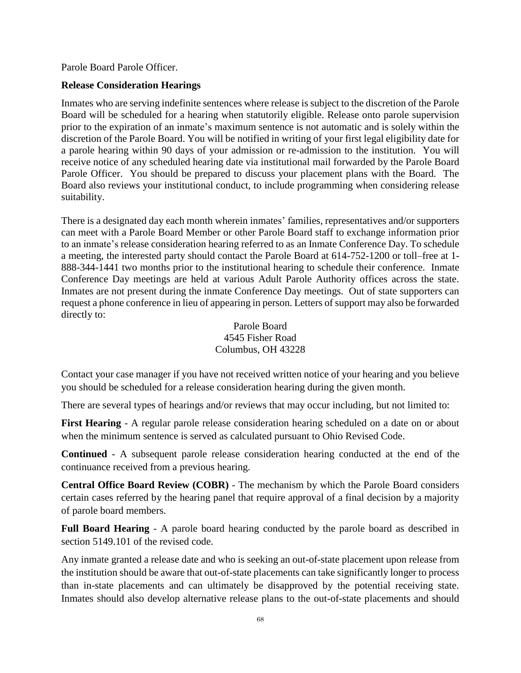Parole Board Parole Officer.

#### **Release Consideration Hearings**

Inmates who are serving indefinite sentences where release is subject to the discretion of the Parole Board will be scheduled for a hearing when statutorily eligible. Release onto parole supervision prior to the expiration of an inmate's maximum sentence is not automatic and is solely within the discretion of the Parole Board. You will be notified in writing of your first legal eligibility date for a parole hearing within 90 days of your admission or re-admission to the institution. You will receive notice of any scheduled hearing date via institutional mail forwarded by the Parole Board Parole Officer. You should be prepared to discuss your placement plans with the Board. The Board also reviews your institutional conduct, to include programming when considering release suitability.

There is a designated day each month wherein inmates' families, representatives and/or supporters can meet with a Parole Board Member or other Parole Board staff to exchange information prior to an inmate's release consideration hearing referred to as an Inmate Conference Day. To schedule a meeting, the interested party should contact the Parole Board at 614-752-1200 or toll–free at 1- 888-344-1441 two months prior to the institutional hearing to schedule their conference. Inmate Conference Day meetings are held at various Adult Parole Authority offices across the state. Inmates are not present during the inmate Conference Day meetings. Out of state supporters can request a phone conference in lieu of appearing in person. Letters of support may also be forwarded directly to:

### Parole Board 4545 Fisher Road Columbus, OH 43228

Contact your case manager if you have not received written notice of your hearing and you believe you should be scheduled for a release consideration hearing during the given month.

There are several types of hearings and/or reviews that may occur including, but not limited to:

**First Hearing** - A regular parole release consideration hearing scheduled on a date on or about when the minimum sentence is served as calculated pursuant to Ohio Revised Code.

**Continued** - A subsequent parole release consideration hearing conducted at the end of the continuance received from a previous hearing.

**Central Office Board Review (COBR)** - The mechanism by which the Parole Board considers certain cases referred by the hearing panel that require approval of a final decision by a majority of parole board members.

**Full Board Hearing** - A parole board hearing conducted by the parole board as described in section 5149.101 of the revised code.

Any inmate granted a release date and who is seeking an out-of-state placement upon release from the institution should be aware that out-of-state placements can take significantly longer to process than in-state placements and can ultimately be disapproved by the potential receiving state. Inmates should also develop alternative release plans to the out-of-state placements and should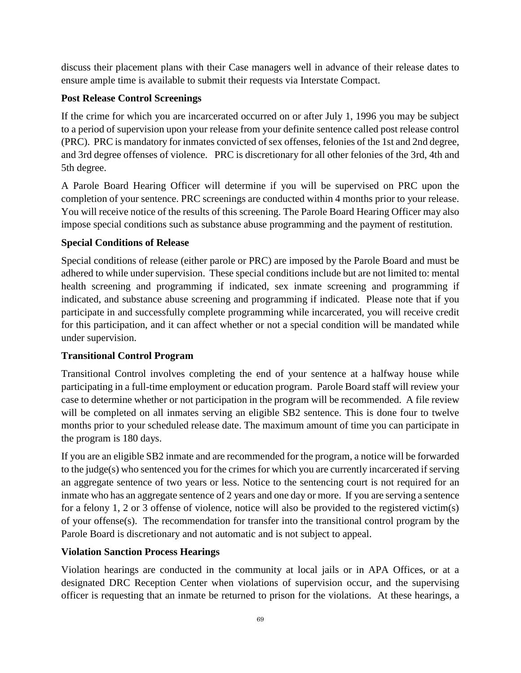discuss their placement plans with their Case managers well in advance of their release dates to ensure ample time is available to submit their requests via Interstate Compact.

## **Post Release Control Screenings**

If the crime for which you are incarcerated occurred on or after July 1, 1996 you may be subject to a period of supervision upon your release from your definite sentence called post release control (PRC). PRC is mandatory for inmates convicted of sex offenses, felonies of the 1st and 2nd degree, and 3rd degree offenses of violence. PRC is discretionary for all other felonies of the 3rd, 4th and 5th degree.

A Parole Board Hearing Officer will determine if you will be supervised on PRC upon the completion of your sentence. PRC screenings are conducted within 4 months prior to your release. You will receive notice of the results of this screening. The Parole Board Hearing Officer may also impose special conditions such as substance abuse programming and the payment of restitution.

## **Special Conditions of Release**

Special conditions of release (either parole or PRC) are imposed by the Parole Board and must be adhered to while under supervision. These special conditions include but are not limited to: mental health screening and programming if indicated, sex inmate screening and programming if indicated, and substance abuse screening and programming if indicated. Please note that if you participate in and successfully complete programming while incarcerated, you will receive credit for this participation, and it can affect whether or not a special condition will be mandated while under supervision.

## **Transitional Control Program**

Transitional Control involves completing the end of your sentence at a halfway house while participating in a full-time employment or education program. Parole Board staff will review your case to determine whether or not participation in the program will be recommended. A file review will be completed on all inmates serving an eligible SB2 sentence. This is done four to twelve months prior to your scheduled release date. The maximum amount of time you can participate in the program is 180 days.

If you are an eligible SB2 inmate and are recommended for the program, a notice will be forwarded to the judge(s) who sentenced you for the crimes for which you are currently incarcerated if serving an aggregate sentence of two years or less. Notice to the sentencing court is not required for an inmate who has an aggregate sentence of 2 years and one day or more. If you are serving a sentence for a felony 1, 2 or 3 offense of violence, notice will also be provided to the registered victim(s) of your offense(s). The recommendation for transfer into the transitional control program by the Parole Board is discretionary and not automatic and is not subject to appeal.

## **Violation Sanction Process Hearings**

Violation hearings are conducted in the community at local jails or in APA Offices, or at a designated DRC Reception Center when violations of supervision occur, and the supervising officer is requesting that an inmate be returned to prison for the violations. At these hearings, a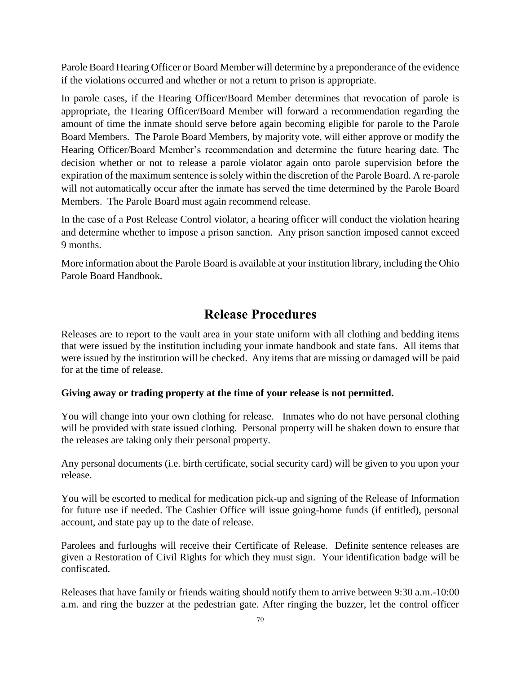Parole Board Hearing Officer or Board Member will determine by a preponderance of the evidence if the violations occurred and whether or not a return to prison is appropriate.

In parole cases, if the Hearing Officer/Board Member determines that revocation of parole is appropriate, the Hearing Officer/Board Member will forward a recommendation regarding the amount of time the inmate should serve before again becoming eligible for parole to the Parole Board Members. The Parole Board Members, by majority vote, will either approve or modify the Hearing Officer/Board Member's recommendation and determine the future hearing date. The decision whether or not to release a parole violator again onto parole supervision before the expiration of the maximum sentence is solely within the discretion of the Parole Board. A re-parole will not automatically occur after the inmate has served the time determined by the Parole Board Members. The Parole Board must again recommend release.

In the case of a Post Release Control violator, a hearing officer will conduct the violation hearing and determine whether to impose a prison sanction. Any prison sanction imposed cannot exceed 9 months.

More information about the Parole Board is available at your institution library, including the Ohio Parole Board Handbook.

## **Release Procedures**

Releases are to report to the vault area in your state uniform with all clothing and bedding items that were issued by the institution including your inmate handbook and state fans. All items that were issued by the institution will be checked. Any items that are missing or damaged will be paid for at the time of release.

#### **Giving away or trading property at the time of your release is not permitted.**

You will change into your own clothing for release. Inmates who do not have personal clothing will be provided with state issued clothing. Personal property will be shaken down to ensure that the releases are taking only their personal property.

Any personal documents (i.e. birth certificate, social security card) will be given to you upon your release.

You will be escorted to medical for medication pick-up and signing of the Release of Information for future use if needed. The Cashier Office will issue going-home funds (if entitled), personal account, and state pay up to the date of release.

Parolees and furloughs will receive their Certificate of Release. Definite sentence releases are given a Restoration of Civil Rights for which they must sign. Your identification badge will be confiscated.

Releases that have family or friends waiting should notify them to arrive between 9:30 a.m.-10:00 a.m. and ring the buzzer at the pedestrian gate. After ringing the buzzer, let the control officer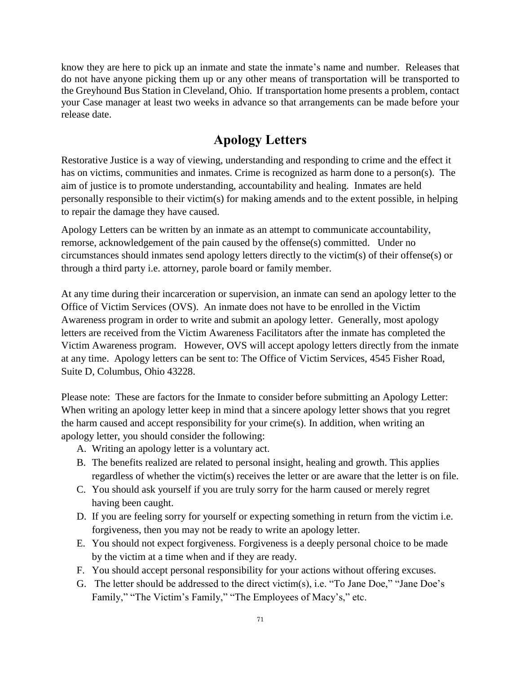know they are here to pick up an inmate and state the inmate's name and number. Releases that do not have anyone picking them up or any other means of transportation will be transported to the Greyhound Bus Station in Cleveland, Ohio. If transportation home presents a problem, contact your Case manager at least two weeks in advance so that arrangements can be made before your release date.

## **Apology Letters**

Restorative Justice is a way of viewing, understanding and responding to crime and the effect it has on victims, communities and inmates. Crime is recognized as harm done to a person(s). The aim of justice is to promote understanding, accountability and healing. Inmates are held personally responsible to their victim(s) for making amends and to the extent possible, in helping to repair the damage they have caused.

Apology Letters can be written by an inmate as an attempt to communicate accountability, remorse, acknowledgement of the pain caused by the offense(s) committed. Under no circumstances should inmates send apology letters directly to the victim(s) of their offense(s) or through a third party i.e. attorney, parole board or family member.

At any time during their incarceration or supervision, an inmate can send an apology letter to the Office of Victim Services (OVS). An inmate does not have to be enrolled in the Victim Awareness program in order to write and submit an apology letter. Generally, most apology letters are received from the Victim Awareness Facilitators after the inmate has completed the Victim Awareness program. However, OVS will accept apology letters directly from the inmate at any time. Apology letters can be sent to: The Office of Victim Services, 4545 Fisher Road, Suite D, Columbus, Ohio 43228.

Please note: These are factors for the Inmate to consider before submitting an Apology Letter: When writing an apology letter keep in mind that a sincere apology letter shows that you regret the harm caused and accept responsibility for your crime(s). In addition, when writing an apology letter, you should consider the following:

- A. Writing an apology letter is a voluntary act.
- B. The benefits realized are related to personal insight, healing and growth. This applies regardless of whether the victim(s) receives the letter or are aware that the letter is on file.
- C. You should ask yourself if you are truly sorry for the harm caused or merely regret having been caught.
- D. If you are feeling sorry for yourself or expecting something in return from the victim i.e. forgiveness, then you may not be ready to write an apology letter.
- E. You should not expect forgiveness. Forgiveness is a deeply personal choice to be made by the victim at a time when and if they are ready.
- F. You should accept personal responsibility for your actions without offering excuses.
- G. The letter should be addressed to the direct victim(s), i.e. "To Jane Doe," "Jane Doe's Family," "The Victim's Family," "The Employees of Macy's," etc.